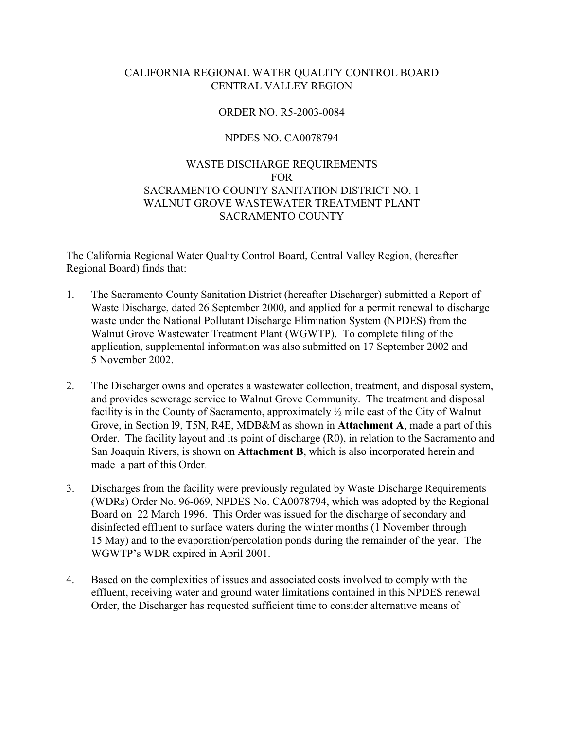#### CALIFORNIA REGIONAL WATER QUALITY CONTROL BOARD CENTRAL VALLEY REGION

#### ORDER NO. R5-2003-0084

#### NPDES NO. CA0078794

## WASTE DISCHARGE REQUIREMENTS FOR SACRAMENTO COUNTY SANITATION DISTRICT NO. 1 WALNUT GROVE WASTEWATER TREATMENT PLANT SACRAMENTO COUNTY

The California Regional Water Quality Control Board, Central Valley Region, (hereafter Regional Board) finds that:

- 1. The Sacramento County Sanitation District (hereafter Discharger) submitted a Report of Waste Discharge, dated 26 September 2000, and applied for a permit renewal to discharge waste under the National Pollutant Discharge Elimination System (NPDES) from the Walnut Grove Wastewater Treatment Plant (WGWTP). To complete filing of the application, supplemental information was also submitted on 17 September 2002 and 5 November 2002.
- 2. The Discharger owns and operates a wastewater collection, treatment, and disposal system, and provides sewerage service to Walnut Grove Community. The treatment and disposal facility is in the County of Sacramento, approximately ½ mile east of the City of Walnut Grove, in Section l9, T5N, R4E, MDB&M as shown in **Attachment A**, made a part of this Order. The facility layout and its point of discharge (R0), in relation to the Sacramento and San Joaquin Rivers, is shown on **Attachment B**, which is also incorporated herein and made a part of this Order*.*
- 3. Discharges from the facility were previously regulated by Waste Discharge Requirements (WDRs) Order No. 96-069, NPDES No. CA0078794, which was adopted by the Regional Board on 22 March 1996. This Order was issued for the discharge of secondary and disinfected effluent to surface waters during the winter months (1 November through 15 May) and to the evaporation/percolation ponds during the remainder of the year. The WGWTP's WDR expired in April 2001.
- 4. Based on the complexities of issues and associated costs involved to comply with the effluent, receiving water and ground water limitations contained in this NPDES renewal Order, the Discharger has requested sufficient time to consider alternative means of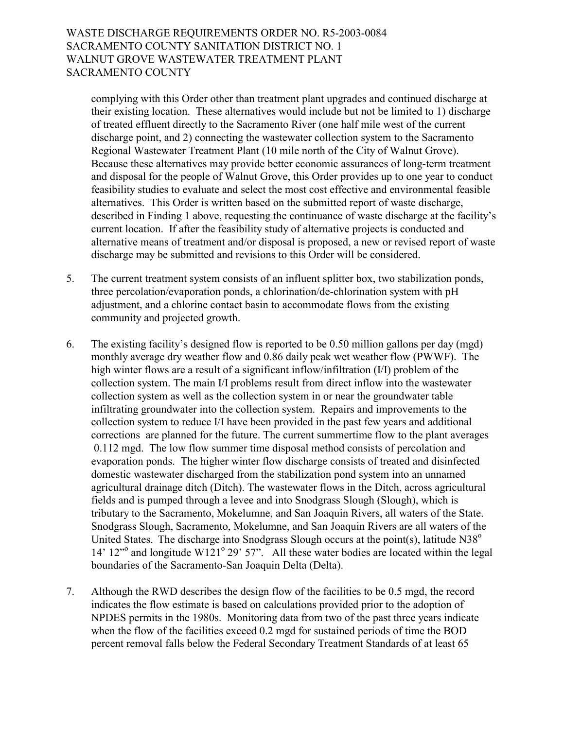complying with this Order other than treatment plant upgrades and continued discharge at their existing location. These alternatives would include but not be limited to 1) discharge of treated effluent directly to the Sacramento River (one half mile west of the current discharge point, and 2) connecting the wastewater collection system to the Sacramento Regional Wastewater Treatment Plant (10 mile north of the City of Walnut Grove). Because these alternatives may provide better economic assurances of long-term treatment and disposal for the people of Walnut Grove, this Order provides up to one year to conduct feasibility studies to evaluate and select the most cost effective and environmental feasible alternatives. This Order is written based on the submitted report of waste discharge, described in Finding 1 above, requesting the continuance of waste discharge at the facility's current location. If after the feasibility study of alternative projects is conducted and alternative means of treatment and/or disposal is proposed, a new or revised report of waste discharge may be submitted and revisions to this Order will be considered.

- 5. The current treatment system consists of an influent splitter box, two stabilization ponds, three percolation/evaporation ponds, a chlorination/de-chlorination system with pH adjustment, and a chlorine contact basin to accommodate flows from the existing community and projected growth.
- 6. The existing facility's designed flow is reported to be 0.50 million gallons per day (mgd) monthly average dry weather flow and 0.86 daily peak wet weather flow (PWWF). The high winter flows are a result of a significant inflow/infiltration (I/I) problem of the collection system. The main I/I problems result from direct inflow into the wastewater collection system as well as the collection system in or near the groundwater table infiltrating groundwater into the collection system. Repairs and improvements to the collection system to reduce I/I have been provided in the past few years and additional corrections are planned for the future. The current summertime flow to the plant averages 0.112 mgd. The low flow summer time disposal method consists of percolation and evaporation ponds. The higher winter flow discharge consists of treated and disinfected domestic wastewater discharged from the stabilization pond system into an unnamed agricultural drainage ditch (Ditch). The wastewater flows in the Ditch, across agricultural fields and is pumped through a levee and into Snodgrass Slough (Slough), which is tributary to the Sacramento, Mokelumne, and San Joaquin Rivers, all waters of the State. Snodgrass Slough, Sacramento, Mokelumne, and San Joaquin Rivers are all waters of the United States. The discharge into Snodgrass Slough occurs at the point(s), latitude  $N38^\circ$ 14' 12<sup>no</sup> and longitude W121<sup>o</sup> 29' 57". All these water bodies are located within the legal boundaries of the Sacramento-San Joaquin Delta (Delta).
- 7. Although the RWD describes the design flow of the facilities to be 0.5 mgd, the record indicates the flow estimate is based on calculations provided prior to the adoption of NPDES permits in the 1980s. Monitoring data from two of the past three years indicate when the flow of the facilities exceed 0.2 mgd for sustained periods of time the BOD percent removal falls below the Federal Secondary Treatment Standards of at least 65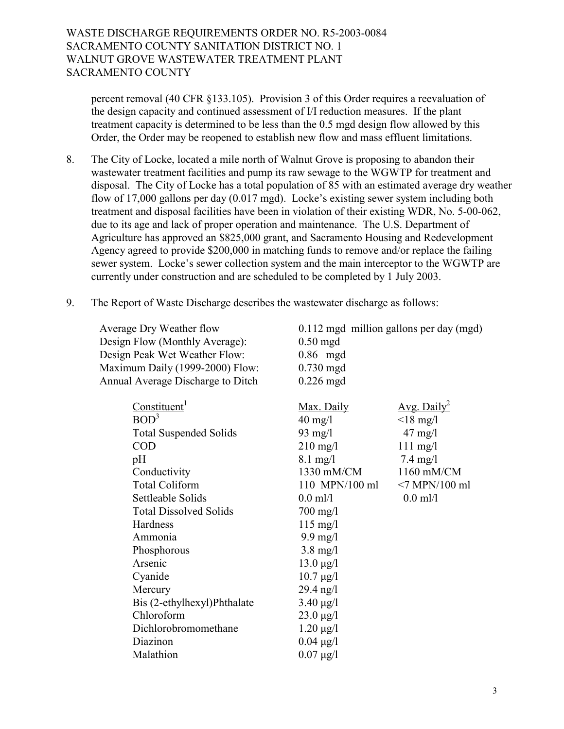percent removal (40 CFR ß133.105). Provision 3 of this Order requires a reevaluation of the design capacity and continued assessment of I/I reduction measures. If the plant treatment capacity is determined to be less than the 0.5 mgd design flow allowed by this Order, the Order may be reopened to establish new flow and mass effluent limitations.

- 8. The City of Locke, located a mile north of Walnut Grove is proposing to abandon their wastewater treatment facilities and pump its raw sewage to the WGWTP for treatment and disposal. The City of Locke has a total population of 85 with an estimated average dry weather flow of 17,000 gallons per day  $(0.017 \text{ med})$ . Locke's existing sewer system including both treatment and disposal facilities have been in violation of their existing WDR, No. 5-00-062, due to its age and lack of proper operation and maintenance. The U.S. Department of Agriculture has approved an \$825,000 grant, and Sacramento Housing and Redevelopment Agency agreed to provide \$200,000 in matching funds to remove and/or replace the failing sewer system. Locke's sewer collection system and the main interceptor to the WGWTP are currently under construction and are scheduled to be completed by 1 July 2003.
- 9. The Report of Waste Discharge describes the wastewater discharge as follows:

| <b>Average Dry Weather flow</b><br>Design Flow (Monthly Average):<br>Design Peak Wet Weather Flow:<br>Maximum Daily (1999-2000) Flow:<br>Annual Average Discharge to Ditch                                                                                                                                                                                            | 0.112 mgd million gallons per day (mgd)<br>$0.50$ mgd<br>$0.86$ mgd<br>$0.730$ mgd<br>$0.226$ mgd                                                                                                                                                                                                                                                                 |                                                                                                                                                |
|-----------------------------------------------------------------------------------------------------------------------------------------------------------------------------------------------------------------------------------------------------------------------------------------------------------------------------------------------------------------------|-------------------------------------------------------------------------------------------------------------------------------------------------------------------------------------------------------------------------------------------------------------------------------------------------------------------------------------------------------------------|------------------------------------------------------------------------------------------------------------------------------------------------|
| Constituent <sup>1</sup><br>BOD <sup>3</sup><br><b>Total Suspended Solids</b><br><b>COD</b><br>pH<br>Conductivity<br><b>Total Coliform</b><br>Settleable Solids<br><b>Total Dissolved Solids</b><br>Hardness<br>Ammonia<br>Phosphorous<br>Arsenic<br>Cyanide<br>Mercury<br>Bis (2-ethylhexyl)Phthalate<br>Chloroform<br>Dichlorobromomethane<br>Diazinon<br>Malathion | Max. Daily<br>$40 \text{ mg/l}$<br>$93 \text{ mg/l}$<br>$210$ mg/l<br>$8.1 \text{ mg}/l$<br>1330 mM/CM<br>110 MPN/100 ml<br>$0.0$ ml/l<br>$700 \text{ mg}/1$<br>$115$ mg/l<br>$9.9$ mg/l<br>$3.8 \text{ mg}/l$<br>$13.0 \,\mu g/l$<br>$10.7 \,\mu g/l$<br>$29.4$ ng/l<br>$3.40 \mu g/l$<br>$23.0 \,\mu g/l$<br>$1.20 \mu g/l$<br>$0.04 \mu g/l$<br>$0.07 \mu g/l$ | Avg. Daily <sup>2</sup><br>$<$ 18 mg/l<br>$47 \text{ mg}/l$<br>$111$ mg/l<br>$7.4 \text{ mg}/l$<br>1160 mM/CM<br>$<7$ MPN/100 ml<br>$0.0$ ml/l |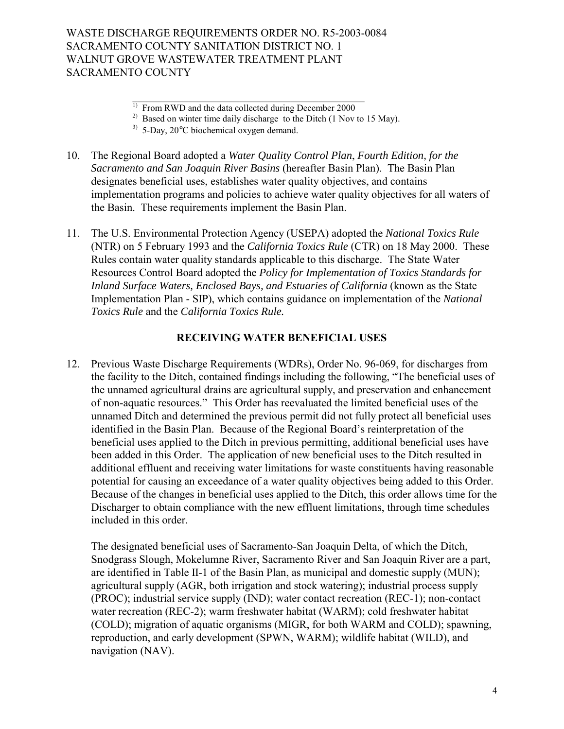- 10. The Regional Board adopted a *Water Quality Control Plan*, *Fourth Edition, for the Sacramento and San Joaquin River Basins* (hereafter Basin Plan). The Basin Plan designates beneficial uses, establishes water quality objectives, and contains implementation programs and policies to achieve water quality objectives for all waters of the Basin. These requirements implement the Basin Plan.
- 11. The U.S. Environmental Protection Agency (USEPA) adopted the *National Toxics Rule* (NTR) on 5 February 1993 and the *California Toxics Rule* (CTR) on 18 May 2000. These Rules contain water quality standards applicable to this discharge. The State Water Resources Control Board adopted the *Policy for Implementation of Toxics Standards for Inland Surface Waters, Enclosed Bays, and Estuaries of California* (known as the State Implementation Plan - SIP), which contains guidance on implementation of the *National Toxics Rule* and the *California Toxics Rule.*

### **RECEIVING WATER BENEFICIAL USES**

12. Previous Waste Discharge Requirements (WDRs), Order No. 96-069, for discharges from the facility to the Ditch, contained findings including the following, "The beneficial uses of the unnamed agricultural drains are agricultural supply, and preservation and enhancement of non-aquatic resources." This Order has reevaluated the limited beneficial uses of the unnamed Ditch and determined the previous permit did not fully protect all beneficial uses identified in the Basin Plan. Because of the Regional Board's reinterpretation of the beneficial uses applied to the Ditch in previous permitting, additional beneficial uses have been added in this Order. The application of new beneficial uses to the Ditch resulted in additional effluent and receiving water limitations for waste constituents having reasonable potential for causing an exceedance of a water quality objectives being added to this Order. Because of the changes in beneficial uses applied to the Ditch, this order allows time for the Discharger to obtain compliance with the new effluent limitations, through time schedules included in this order.

 The designated beneficial uses of Sacramento-San Joaquin Delta, of which the Ditch, Snodgrass Slough, Mokelumne River, Sacramento River and San Joaquin River are a part, are identified in Table II-1 of the Basin Plan, as municipal and domestic supply (MUN); agricultural supply (AGR, both irrigation and stock watering); industrial process supply (PROC); industrial service supply (IND); water contact recreation (REC-1); non-contact water recreation (REC-2); warm freshwater habitat (WARM); cold freshwater habitat (COLD); migration of aquatic organisms (MIGR, for both WARM and COLD); spawning, reproduction, and early development (SPWN, WARM); wildlife habitat (WILD), and navigation (NAV).

<sup>&</sup>lt;sup>1)</sup> From RWD and the data collected during December 2000

<sup>&</sup>lt;sup>2)</sup> Based on winter time daily discharge to the Ditch (1 Nov to 15 May).

 $3)$  5-Day, 20 $\degree$ C biochemical oxygen demand.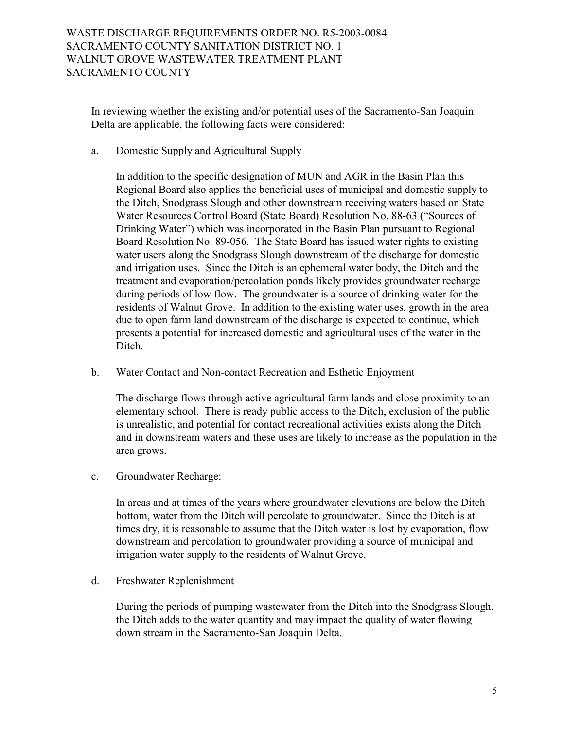In reviewing whether the existing and/or potential uses of the Sacramento-San Joaquin Delta are applicable, the following facts were considered:

a. Domestic Supply and Agricultural Supply

In addition to the specific designation of MUN and AGR in the Basin Plan this Regional Board also applies the beneficial uses of municipal and domestic supply to the Ditch, Snodgrass Slough and other downstream receiving waters based on State Water Resources Control Board (State Board) Resolution No. 88-63 ("Sources of Drinking Water<sup>n</sup>) which was incorporated in the Basin Plan pursuant to Regional Board Resolution No. 89-056. The State Board has issued water rights to existing water users along the Snodgrass Slough downstream of the discharge for domestic and irrigation uses. Since the Ditch is an ephemeral water body, the Ditch and the treatment and evaporation/percolation ponds likely provides groundwater recharge during periods of low flow. The groundwater is a source of drinking water for the residents of Walnut Grove. In addition to the existing water uses, growth in the area due to open farm land downstream of the discharge is expected to continue, which presents a potential for increased domestic and agricultural uses of the water in the Ditch.

b. Water Contact and Non-contact Recreation and Esthetic Enjoyment

The discharge flows through active agricultural farm lands and close proximity to an elementary school. There is ready public access to the Ditch, exclusion of the public is unrealistic, and potential for contact recreational activities exists along the Ditch and in downstream waters and these uses are likely to increase as the population in the area grows.

c. Groundwater Recharge:

In areas and at times of the years where groundwater elevations are below the Ditch bottom, water from the Ditch will percolate to groundwater. Since the Ditch is at times dry, it is reasonable to assume that the Ditch water is lost by evaporation, flow downstream and percolation to groundwater providing a source of municipal and irrigation water supply to the residents of Walnut Grove.

d. Freshwater Replenishment

During the periods of pumping wastewater from the Ditch into the Snodgrass Slough, the Ditch adds to the water quantity and may impact the quality of water flowing down stream in the Sacramento-San Joaquin Delta.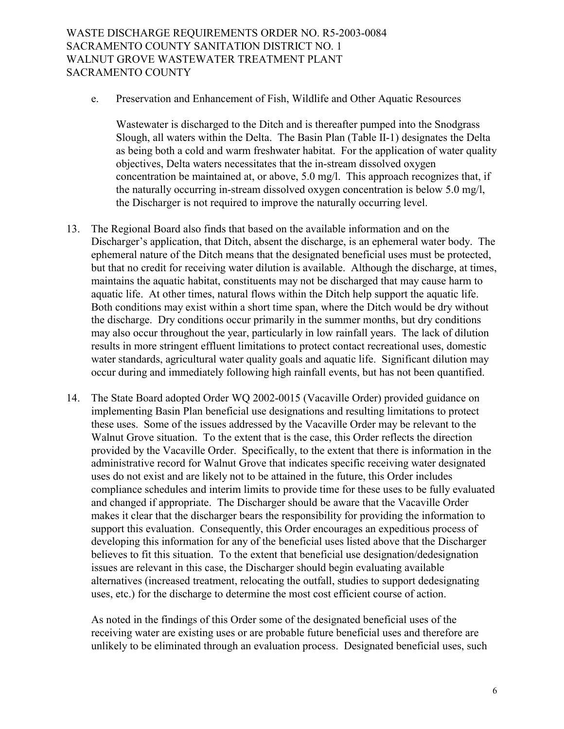e. Preservation and Enhancement of Fish, Wildlife and Other Aquatic Resources

Wastewater is discharged to the Ditch and is thereafter pumped into the Snodgrass Slough, all waters within the Delta. The Basin Plan (Table II-1) designates the Delta as being both a cold and warm freshwater habitat. For the application of water quality objectives, Delta waters necessitates that the in-stream dissolved oxygen concentration be maintained at, or above, 5.0 mg/l. This approach recognizes that, if the naturally occurring in-stream dissolved oxygen concentration is below 5.0 mg/l, the Discharger is not required to improve the naturally occurring level.

- 13. The Regional Board also finds that based on the available information and on the Discharger's application, that Ditch, absent the discharge, is an ephemeral water body. The ephemeral nature of the Ditch means that the designated beneficial uses must be protected, but that no credit for receiving water dilution is available. Although the discharge, at times, maintains the aquatic habitat, constituents may not be discharged that may cause harm to aquatic life. At other times, natural flows within the Ditch help support the aquatic life. Both conditions may exist within a short time span, where the Ditch would be dry without the discharge. Dry conditions occur primarily in the summer months, but dry conditions may also occur throughout the year, particularly in low rainfall years. The lack of dilution results in more stringent effluent limitations to protect contact recreational uses, domestic water standards, agricultural water quality goals and aquatic life. Significant dilution may occur during and immediately following high rainfall events, but has not been quantified.
- 14. The State Board adopted Order WQ 2002-0015 (Vacaville Order) provided guidance on implementing Basin Plan beneficial use designations and resulting limitations to protect these uses. Some of the issues addressed by the Vacaville Order may be relevant to the Walnut Grove situation. To the extent that is the case, this Order reflects the direction provided by the Vacaville Order. Specifically, to the extent that there is information in the administrative record for Walnut Grove that indicates specific receiving water designated uses do not exist and are likely not to be attained in the future, this Order includes compliance schedules and interim limits to provide time for these uses to be fully evaluated and changed if appropriate. The Discharger should be aware that the Vacaville Order makes it clear that the discharger bears the responsibility for providing the information to support this evaluation. Consequently, this Order encourages an expeditious process of developing this information for any of the beneficial uses listed above that the Discharger believes to fit this situation. To the extent that beneficial use designation/dedesignation issues are relevant in this case, the Discharger should begin evaluating available alternatives (increased treatment, relocating the outfall, studies to support dedesignating uses, etc.) for the discharge to determine the most cost efficient course of action.

As noted in the findings of this Order some of the designated beneficial uses of the receiving water are existing uses or are probable future beneficial uses and therefore are unlikely to be eliminated through an evaluation process. Designated beneficial uses, such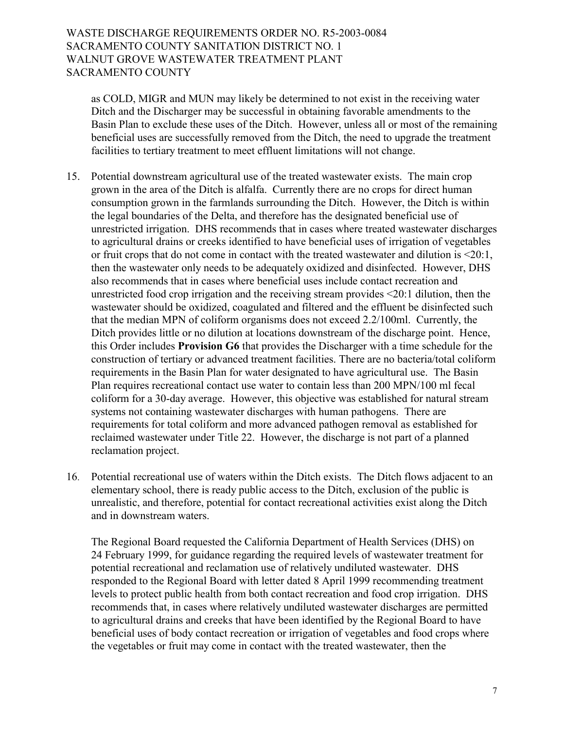as COLD, MIGR and MUN may likely be determined to not exist in the receiving water Ditch and the Discharger may be successful in obtaining favorable amendments to the Basin Plan to exclude these uses of the Ditch. However, unless all or most of the remaining beneficial uses are successfully removed from the Ditch, the need to upgrade the treatment facilities to tertiary treatment to meet effluent limitations will not change.

- 15. Potential downstream agricultural use of the treated wastewater exists. The main crop grown in the area of the Ditch is alfalfa. Currently there are no crops for direct human consumption grown in the farmlands surrounding the Ditch. However, the Ditch is within the legal boundaries of the Delta, and therefore has the designated beneficial use of unrestricted irrigation. DHS recommends that in cases where treated wastewater discharges to agricultural drains or creeks identified to have beneficial uses of irrigation of vegetables or fruit crops that do not come in contact with the treated wastewater and dilution is <20:1, then the wastewater only needs to be adequately oxidized and disinfected. However, DHS also recommends that in cases where beneficial uses include contact recreation and unrestricted food crop irrigation and the receiving stream provides <20:1 dilution, then the wastewater should be oxidized, coagulated and filtered and the effluent be disinfected such that the median MPN of coliform organisms does not exceed 2.2/100ml. Currently, the Ditch provides little or no dilution at locations downstream of the discharge point. Hence, this Order includes **Provision G6** that provides the Discharger with a time schedule for the construction of tertiary or advanced treatment facilities. There are no bacteria/total coliform requirements in the Basin Plan for water designated to have agricultural use. The Basin Plan requires recreational contact use water to contain less than 200 MPN/100 ml fecal coliform for a 30-day average. However, this objective was established for natural stream systems not containing wastewater discharges with human pathogens. There are requirements for total coliform and more advanced pathogen removal as established for reclaimed wastewater under Title 22. However, the discharge is not part of a planned reclamation project.
- 16. Potential recreational use of waters within the Ditch exists. The Ditch flows adjacent to an elementary school, there is ready public access to the Ditch, exclusion of the public is unrealistic, and therefore, potential for contact recreational activities exist along the Ditch and in downstream waters.

The Regional Board requested the California Department of Health Services (DHS) on 24 February 1999, for guidance regarding the required levels of wastewater treatment for potential recreational and reclamation use of relatively undiluted wastewater. DHS responded to the Regional Board with letter dated 8 April 1999 recommending treatment levels to protect public health from both contact recreation and food crop irrigation. DHS recommends that, in cases where relatively undiluted wastewater discharges are permitted to agricultural drains and creeks that have been identified by the Regional Board to have beneficial uses of body contact recreation or irrigation of vegetables and food crops where the vegetables or fruit may come in contact with the treated wastewater, then the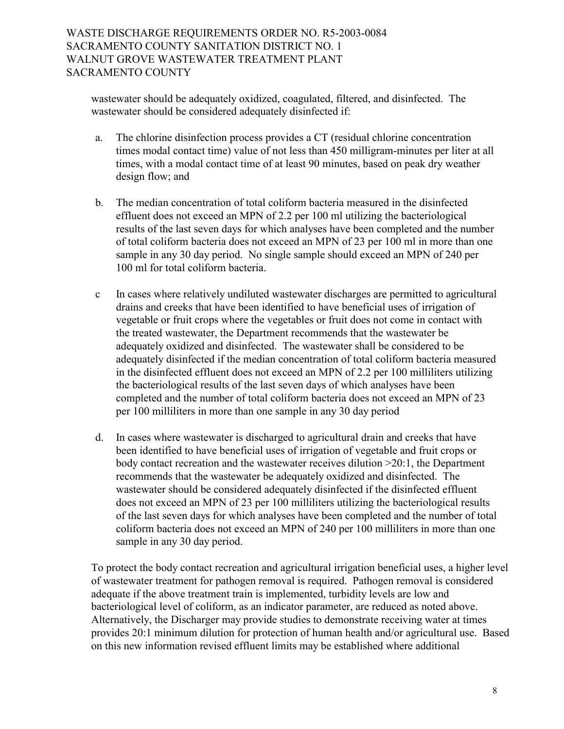wastewater should be adequately oxidized, coagulated, filtered, and disinfected. The wastewater should be considered adequately disinfected if:

- a. The chlorine disinfection process provides a CT (residual chlorine concentration times modal contact time) value of not less than 450 milligram-minutes per liter at all times, with a modal contact time of at least 90 minutes, based on peak dry weather design flow; and
- b. The median concentration of total coliform bacteria measured in the disinfected effluent does not exceed an MPN of 2.2 per 100 ml utilizing the bacteriological results of the last seven days for which analyses have been completed and the number of total coliform bacteria does not exceed an MPN of 23 per 100 ml in more than one sample in any 30 day period. No single sample should exceed an MPN of 240 per 100 ml for total coliform bacteria.
- c In cases where relatively undiluted wastewater discharges are permitted to agricultural drains and creeks that have been identified to have beneficial uses of irrigation of vegetable or fruit crops where the vegetables or fruit does not come in contact with the treated wastewater, the Department recommends that the wastewater be adequately oxidized and disinfected. The wastewater shall be considered to be adequately disinfected if the median concentration of total coliform bacteria measured in the disinfected effluent does not exceed an MPN of 2.2 per 100 milliliters utilizing the bacteriological results of the last seven days of which analyses have been completed and the number of total coliform bacteria does not exceed an MPN of 23 per 100 milliliters in more than one sample in any 30 day period
- d. In cases where wastewater is discharged to agricultural drain and creeks that have been identified to have beneficial uses of irrigation of vegetable and fruit crops or body contact recreation and the wastewater receives dilution >20:1, the Department recommends that the wastewater be adequately oxidized and disinfected. The wastewater should be considered adequately disinfected if the disinfected effluent does not exceed an MPN of 23 per 100 milliliters utilizing the bacteriological results of the last seven days for which analyses have been completed and the number of total coliform bacteria does not exceed an MPN of 240 per 100 milliliters in more than one sample in any 30 day period.

To protect the body contact recreation and agricultural irrigation beneficial uses, a higher level of wastewater treatment for pathogen removal is required. Pathogen removal is considered adequate if the above treatment train is implemented, turbidity levels are low and bacteriological level of coliform, as an indicator parameter, are reduced as noted above. Alternatively, the Discharger may provide studies to demonstrate receiving water at times provides 20:1 minimum dilution for protection of human health and/or agricultural use. Based on this new information revised effluent limits may be established where additional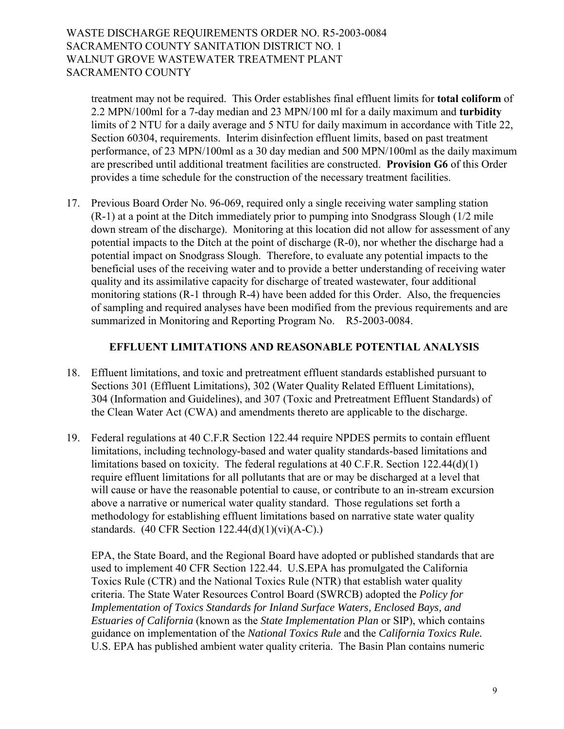treatment may not be required. This Order establishes final effluent limits for **total coliform** of 2.2 MPN/100ml for a 7-day median and 23 MPN/100 ml for a daily maximum and **turbidity** limits of 2 NTU for a daily average and 5 NTU for daily maximum in accordance with Title 22, Section 60304, requirements. Interim disinfection effluent limits, based on past treatment performance, of 23 MPN/100ml as a 30 day median and 500 MPN/100ml as the daily maximum are prescribed until additional treatment facilities are constructed. **Provision G6** of this Order provides a time schedule for the construction of the necessary treatment facilities.

17. Previous Board Order No. 96-069, required only a single receiving water sampling station (R-1) at a point at the Ditch immediately prior to pumping into Snodgrass Slough (1/2 mile down stream of the discharge). Monitoring at this location did not allow for assessment of any potential impacts to the Ditch at the point of discharge (R-0), nor whether the discharge had a potential impact on Snodgrass Slough. Therefore, to evaluate any potential impacts to the beneficial uses of the receiving water and to provide a better understanding of receiving water quality and its assimilative capacity for discharge of treated wastewater, four additional monitoring stations (R-1 through R-4) have been added for this Order. Also, the frequencies of sampling and required analyses have been modified from the previous requirements and are summarized in Monitoring and Reporting Program No. R5-2003-0084.

#### **EFFLUENT LIMITATIONS AND REASONABLE POTENTIAL ANALYSIS**

- 18. Effluent limitations, and toxic and pretreatment effluent standards established pursuant to Sections 301 (Effluent Limitations), 302 (Water Quality Related Effluent Limitations), 304 (Information and Guidelines), and 307 (Toxic and Pretreatment Effluent Standards) of the Clean Water Act (CWA) and amendments thereto are applicable to the discharge.
- 19. Federal regulations at 40 C.F.R Section 122.44 require NPDES permits to contain effluent limitations, including technology-based and water quality standards-based limitations and limitations based on toxicity. The federal regulations at 40 C.F.R. Section 122.44(d)(1) require effluent limitations for all pollutants that are or may be discharged at a level that will cause or have the reasonable potential to cause, or contribute to an in-stream excursion above a narrative or numerical water quality standard. Those regulations set forth a methodology for establishing effluent limitations based on narrative state water quality standards. (40 CFR Section 122.44(d)(1)(vi)(A-C).)

EPA, the State Board, and the Regional Board have adopted or published standards that are used to implement 40 CFR Section 122.44. U.S.EPA has promulgated the California Toxics Rule (CTR) and the National Toxics Rule (NTR) that establish water quality criteria. The State Water Resources Control Board (SWRCB) adopted the *Policy for Implementation of Toxics Standards for Inland Surface Waters, Enclosed Bays, and Estuaries of California* (known as the *State Implementation Plan* or SIP), which contains guidance on implementation of the *National Toxics Rule* and the *California Toxics Rule.*  U.S. EPA has published ambient water quality criteria. The Basin Plan contains numeric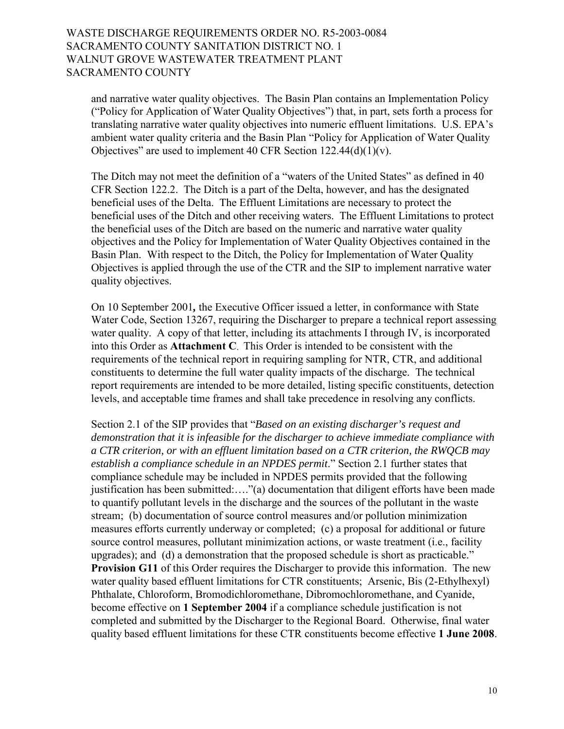and narrative water quality objectives. The Basin Plan contains an Implementation Policy ("Policy for Application of Water Quality Objectives") that, in part, sets forth a process for translating narrative water quality objectives into numeric effluent limitations.U.S. EPAís ambient water quality criteria and the Basin Plan "Policy for Application of Water Quality Objectives" are used to implement 40 CFR Section  $122.44(d)(1)(v)$ .

The Ditch may not meet the definition of a "waters of the United States" as defined in 40 CFR Section 122.2. The Ditch is a part of the Delta, however, and has the designated beneficial uses of the Delta. The Effluent Limitations are necessary to protect the beneficial uses of the Ditch and other receiving waters. The Effluent Limitations to protect the beneficial uses of the Ditch are based on the numeric and narrative water quality objectives and the Policy for Implementation of Water Quality Objectives contained in the Basin Plan. With respect to the Ditch, the Policy for Implementation of Water Quality Objectives is applied through the use of the CTR and the SIP to implement narrative water quality objectives.

On 10 September 2001*,* the Executive Officer issued a letter, in conformance with State Water Code, Section 13267, requiring the Discharger to prepare a technical report assessing water quality. A copy of that letter, including its attachments I through IV, is incorporated into this Order as **Attachment C**. This Order is intended to be consistent with the requirements of the technical report in requiring sampling for NTR, CTR, and additional constituents to determine the full water quality impacts of the discharge. The technical report requirements are intended to be more detailed, listing specific constituents, detection levels, and acceptable time frames and shall take precedence in resolving any conflicts.

Section 2.1 of the SIP provides that *<i><sup>'Based on an existing discharger's request and*</sup> *demonstration that it is infeasible for the discharger to achieve immediate compliance with a CTR criterion, or with an effluent limitation based on a CTR criterion, the RWQCB may establish a compliance schedule in an NPDES permit.*<sup>7</sup> Section 2.1 further states that compliance schedule may be included in NPDES permits provided that the following justification has been submitted:...."(a) documentation that diligent efforts have been made to quantify pollutant levels in the discharge and the sources of the pollutant in the waste stream; (b) documentation of source control measures and/or pollution minimization measures efforts currently underway or completed; (c) a proposal for additional or future source control measures, pollutant minimization actions, or waste treatment (i.e., facility upgrades); and  $(d)$  a demonstration that the proposed schedule is short as practicable.<sup> $n$ </sup> **Provision G11** of this Order requires the Discharger to provide this information. The new water quality based effluent limitations for CTR constituents; Arsenic, Bis (2-Ethylhexyl) Phthalate, Chloroform, Bromodichloromethane, Dibromochloromethane, and Cyanide, become effective on **1 September 2004** if a compliance schedule justification is not completed and submitted by the Discharger to the Regional Board. Otherwise, final water quality based effluent limitations for these CTR constituents become effective **1 June 2008**.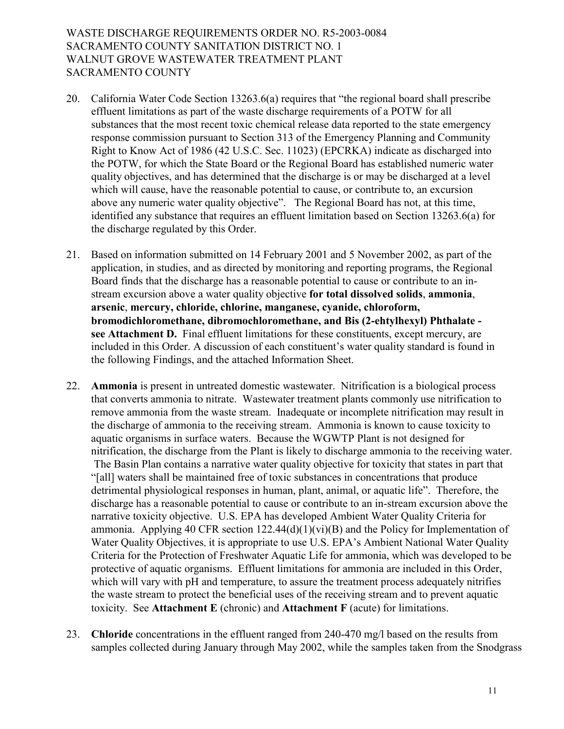- 20. California Water Code Section  $13263.6(a)$  requires that "the regional board shall prescribe effluent limitations as part of the waste discharge requirements of a POTW for all substances that the most recent toxic chemical release data reported to the state emergency response commission pursuant to Section 313 of the Emergency Planning and Community Right to Know Act of 1986 (42 U.S.C. Sec. 11023) (EPCRKA) indicate as discharged into the POTW, for which the State Board or the Regional Board has established numeric water quality objectives, and has determined that the discharge is or may be discharged at a level which will cause, have the reasonable potential to cause, or contribute to, an excursion above any numeric water quality objective". The Regional Board has not, at this time, identified any substance that requires an effluent limitation based on Section 13263.6(a) for the discharge regulated by this Order.
- 21. Based on information submitted on 14 February 2001 and 5 November 2002, as part of the application, in studies, and as directed by monitoring and reporting programs, the Regional Board finds that the discharge has a reasonable potential to cause or contribute to an instream excursion above a water quality objective **for total dissolved solids**, **ammonia**, **arsenic**, **mercury, chloride, chlorine, manganese, cyanide, chloroform, bromodichloromethane, dibromochloromethane, and Bis (2-ehtylhexyl) Phthalate see Attachment D.** Final effluent limitations for these constituents, except mercury, are included in this Order. A discussion of each constituent's water quality standard is found in the following Findings, and the attached Information Sheet.
- 22. **Ammonia** is present in untreated domestic wastewater. Nitrification is a biological process that converts ammonia to nitrate. Wastewater treatment plants commonly use nitrification to remove ammonia from the waste stream. Inadequate or incomplete nitrification may result in the discharge of ammonia to the receiving stream. Ammonia is known to cause toxicity to aquatic organisms in surface waters. Because the WGWTP Plant is not designed for nitrification, the discharge from the Plant is likely to discharge ammonia to the receiving water. The Basin Plan contains a narrative water quality objective for toxicity that states in part that ì[all] waters shall be maintained free of toxic substances in concentrations that produce detrimental physiological responses in human, plant, animal, or aquatic life". Therefore, the discharge has a reasonable potential to cause or contribute to an in-stream excursion above the narrative toxicity objective. U.S. EPA has developed Ambient Water Quality Criteria for ammonia. Applying 40 CFR section  $122.44(d)(1)(vi)(B)$  and the Policy for Implementation of Water Quality Objectives, it is appropriate to use U.S. EPA's Ambient National Water Quality Criteria for the Protection of Freshwater Aquatic Life for ammonia, which was developed to be protective of aquatic organisms. Effluent limitations for ammonia are included in this Order, which will vary with pH and temperature, to assure the treatment process adequately nitrifies the waste stream to protect the beneficial uses of the receiving stream and to prevent aquatic toxicity. See **Attachment E** (chronic) and **Attachment F** (acute) for limitations.
- 23. **Chloride** concentrations in the effluent ranged from 240-470 mg/l based on the results from samples collected during January through May 2002, while the samples taken from the Snodgrass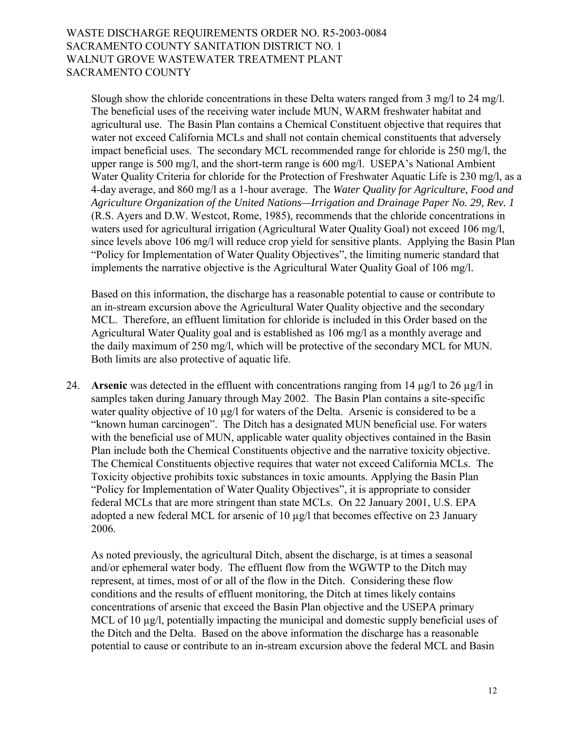Slough show the chloride concentrations in these Delta waters ranged from 3 mg/l to 24 mg/l. The beneficial uses of the receiving water include MUN, WARM freshwater habitat and agricultural use. The Basin Plan contains a Chemical Constituent objective that requires that water not exceed California MCLs and shall not contain chemical constituents that adversely impact beneficial uses. The secondary MCL recommended range for chloride is 250 mg/l, the upper range is  $500 \text{ mg/l}$ , and the short-term range is  $600 \text{ mg/l}$ . USEPA's National Ambient Water Quality Criteria for chloride for the Protection of Freshwater Aquatic Life is 230 mg/l, as a 4-day average, and 860 mg/l as a 1-hour average. The *Water Quality for Agriculture, Food and Agriculture Organization of the United Nations—Irrigation and Drainage Paper No. 29, Rev. 1* (R.S. Ayers and D.W. Westcot, Rome, 1985), recommends that the chloride concentrations in waters used for agricultural irrigation (Agricultural Water Quality Goal) not exceed 106 mg/l, since levels above 106 mg/l will reduce crop yield for sensitive plants. Applying the Basin Plan ìPolicy for Implementation of Water Quality Objectivesî, the limiting numeric standard that implements the narrative objective is the Agricultural Water Quality Goal of 106 mg/l.

Based on this information, the discharge has a reasonable potential to cause or contribute to an in-stream excursion above the Agricultural Water Quality objective and the secondary MCL. Therefore, an effluent limitation for chloride is included in this Order based on the Agricultural Water Quality goal and is established as 106 mg/l as a monthly average and the daily maximum of 250 mg/l, which will be protective of the secondary MCL for MUN. Both limits are also protective of aquatic life.

24. **Arsenic** was detected in the effluent with concentrations ranging from 14  $\mu$ g/l to 26  $\mu$ g/l in samples taken during January through May 2002. The Basin Plan contains a site-specific water quality objective of 10 µg/l for waters of the Delta. Arsenic is considered to be a ìknown human carcinogenî. The Ditch has a designated MUN beneficial use. For waters with the beneficial use of MUN, applicable water quality objectives contained in the Basin Plan include both the Chemical Constituents objective and the narrative toxicity objective. The Chemical Constituents objective requires that water not exceed California MCLs. The Toxicity objective prohibits toxic substances in toxic amounts. Applying the Basin Plan "Policy for Implementation of Water Quality Objectives", it is appropriate to consider federal MCLs that are more stringent than state MCLs. On 22 January 2001, U.S. EPA adopted a new federal MCL for arsenic of 10 µg/l that becomes effective on 23 January 2006.

 As noted previously, the agricultural Ditch, absent the discharge, is at times a seasonal and/or ephemeral water body. The effluent flow from the WGWTP to the Ditch may represent, at times, most of or all of the flow in the Ditch. Considering these flow conditions and the results of effluent monitoring, the Ditch at times likely contains concentrations of arsenic that exceed the Basin Plan objective and the USEPA primary MCL of 10  $\mu$ g/l, potentially impacting the municipal and domestic supply beneficial uses of the Ditch and the Delta. Based on the above information the discharge has a reasonable potential to cause or contribute to an in-stream excursion above the federal MCL and Basin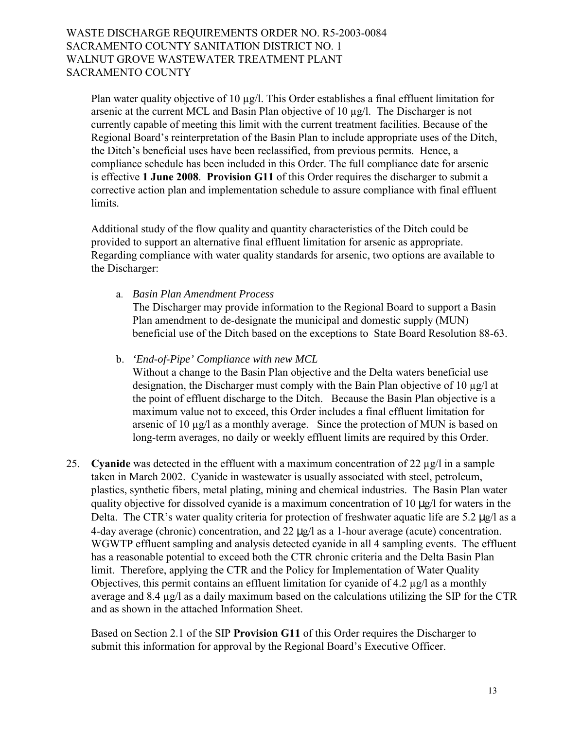Plan water quality objective of 10 µg/l. This Order establishes a final effluent limitation for arsenic at the current MCL and Basin Plan objective of 10 µg/l. The Discharger is not currently capable of meeting this limit with the current treatment facilities. Because of the Regional Board's reinterpretation of the Basin Plan to include appropriate uses of the Ditch, the Ditch's beneficial uses have been reclassified, from previous permits. Hence, a compliance schedule has been included in this Order. The full compliance date for arsenic is effective **1 June 2008**. **Provision G11** of this Order requires the discharger to submit a corrective action plan and implementation schedule to assure compliance with final effluent limits.

Additional study of the flow quality and quantity characteristics of the Ditch could be provided to support an alternative final effluent limitation for arsenic as appropriate. Regarding compliance with water quality standards for arsenic, two options are available to the Discharger:

a. *Basin Plan Amendment Process* 

The Discharger may provide information to the Regional Board to support a Basin Plan amendment to de-designate the municipal and domestic supply (MUN) beneficial use of the Ditch based on the exceptions to State Board Resolution 88-63.

b. *'End-of-Pipe' Compliance with new MCL*

Without a change to the Basin Plan objective and the Delta waters beneficial use designation, the Discharger must comply with the Bain Plan objective of 10 µg/l at the point of effluent discharge to the Ditch. Because the Basin Plan objective is a maximum value not to exceed, this Order includes a final effluent limitation for arsenic of 10 µg/l as a monthly average. Since the protection of MUN is based on long-term averages, no daily or weekly effluent limits are required by this Order.

25. **Cyanide** was detected in the effluent with a maximum concentration of 22 µg/l in a sample taken in March 2002. Cyanide in wastewater is usually associated with steel, petroleum, plastics, synthetic fibers, metal plating, mining and chemical industries. The Basin Plan water quality objective for dissolved cyanide is a maximum concentration of 10 µg/l for waters in the Delta. The CTR's water quality criteria for protection of freshwater aquatic life are  $5.2 \mu g/l$  as a 4-day average (chronic) concentration, and 22 µg/l as a 1-hour average (acute) concentration. WGWTP effluent sampling and analysis detected cyanide in all 4 sampling events. The effluent has a reasonable potential to exceed both the CTR chronic criteria and the Delta Basin Plan limit. Therefore, applying the CTR and the Policy for Implementation of Water Quality Objectives*,* this permit contains an effluent limitation for cyanide of 4.2 µg/l as a monthly average and 8.4 µg/l as a daily maximum based on the calculations utilizing the SIP for the CTR and as shown in the attached Information Sheet.

Based on Section 2.1 of the SIP **Provision G11** of this Order requires the Discharger to submit this information for approval by the Regional Board's Executive Officer.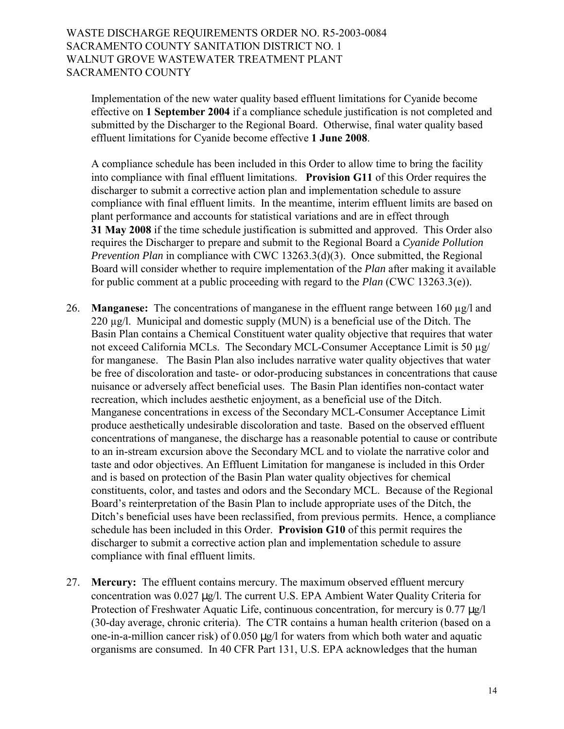Implementation of the new water quality based effluent limitations for Cyanide become effective on **1 September 2004** if a compliance schedule justification is not completed and submitted by the Discharger to the Regional Board. Otherwise, final water quality based effluent limitations for Cyanide become effective **1 June 2008**.

A compliance schedule has been included in this Order to allow time to bring the facility into compliance with final effluent limitations. **Provision G11** of this Order requires the discharger to submit a corrective action plan and implementation schedule to assure compliance with final effluent limits. In the meantime, interim effluent limits are based on plant performance and accounts for statistical variations and are in effect through **31 May 2008** if the time schedule justification is submitted and approved. This Order also requires the Discharger to prepare and submit to the Regional Board a *Cyanide Pollution Prevention Plan* in compliance with CWC 13263.3(d)(3). Once submitted, the Regional Board will consider whether to require implementation of the *Plan* after making it available for public comment at a public proceeding with regard to the *Plan* (CWC 13263.3(e)).

- 26. **Manganese:** The concentrations of manganese in the effluent range between 160 µg/l and 220 µg/l. Municipal and domestic supply (MUN) is a beneficial use of the Ditch. The Basin Plan contains a Chemical Constituent water quality objective that requires that water not exceed California MCLs. The Secondary MCL-Consumer Acceptance Limit is 50 µg/ for manganese. The Basin Plan also includes narrative water quality objectives that water be free of discoloration and taste- or odor-producing substances in concentrations that cause nuisance or adversely affect beneficial uses. The Basin Plan identifies non-contact water recreation, which includes aesthetic enjoyment, as a beneficial use of the Ditch. Manganese concentrations in excess of the Secondary MCL-Consumer Acceptance Limit produce aesthetically undesirable discoloration and taste. Based on the observed effluent concentrations of manganese, the discharge has a reasonable potential to cause or contribute to an in-stream excursion above the Secondary MCL and to violate the narrative color and taste and odor objectives. An Effluent Limitation for manganese is included in this Order and is based on protection of the Basin Plan water quality objectives for chemical constituents, color, and tastes and odors and the Secondary MCL. Because of the Regional Board's reinterpretation of the Basin Plan to include appropriate uses of the Ditch, the Ditch's beneficial uses have been reclassified, from previous permits. Hence, a compliance schedule has been included in this Order. **Provision G10** of this permit requires the discharger to submit a corrective action plan and implementation schedule to assure compliance with final effluent limits.
- 27. **Mercury:** The effluent contains mercury. The maximum observed effluent mercury concentration was 0.027 µg/l. The current U.S. EPA Ambient Water Quality Criteria for Protection of Freshwater Aquatic Life, continuous concentration, for mercury is 0.77  $\mu$ g/l (30-day average, chronic criteria). The CTR contains a human health criterion (based on a one-in-a-million cancer risk) of 0.050 µg/l for waters from which both water and aquatic organisms are consumed. In 40 CFR Part 131, U.S. EPA acknowledges that the human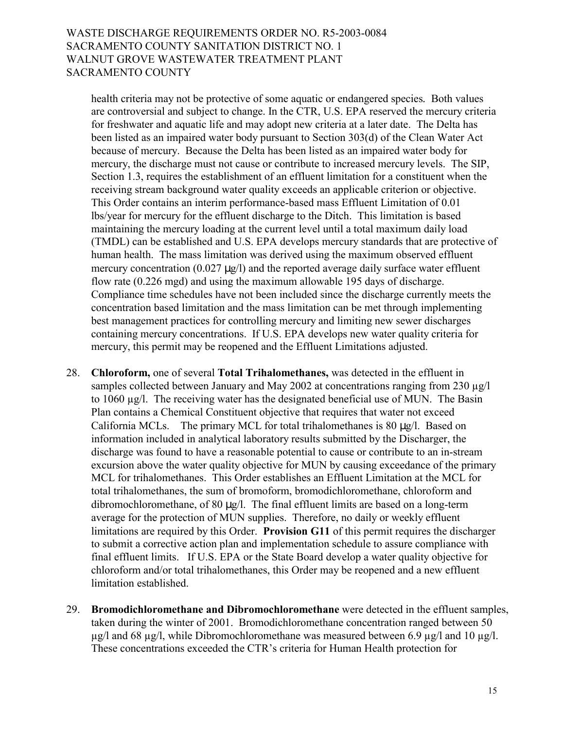health criteria may not be protective of some aquatic or endangered species*.* Both values are controversial and subject to change. In the CTR, U.S. EPA reserved the mercury criteria for freshwater and aquatic life and may adopt new criteria at a later date. The Delta has been listed as an impaired water body pursuant to Section 303(d) of the Clean Water Act because of mercury. Because the Delta has been listed as an impaired water body for mercury, the discharge must not cause or contribute to increased mercury levels. The SIP, Section 1.3, requires the establishment of an effluent limitation for a constituent when the receiving stream background water quality exceeds an applicable criterion or objective. This Order contains an interim performance-based mass Effluent Limitation of 0.01 lbs/year for mercury for the effluent discharge to the Ditch. This limitation is based maintaining the mercury loading at the current level until a total maximum daily load (TMDL) can be established and U.S. EPA develops mercury standards that are protective of human health. The mass limitation was derived using the maximum observed effluent mercury concentration  $(0.027 \mu g/l)$  and the reported average daily surface water effluent flow rate (0.226 mgd) and using the maximum allowable 195 days of discharge. Compliance time schedules have not been included since the discharge currently meets the concentration based limitation and the mass limitation can be met through implementing best management practices for controlling mercury and limiting new sewer discharges containing mercury concentrations. If U.S. EPA develops new water quality criteria for mercury, this permit may be reopened and the Effluent Limitations adjusted.

- 28. **Chloroform,** one of several **Total Trihalomethanes,** was detected in the effluent in samples collected between January and May 2002 at concentrations ranging from 230 µg/l to 1060 µg/l. The receiving water has the designated beneficial use of MUN. The Basin Plan contains a Chemical Constituent objective that requires that water not exceed California MCLs. The primary MCL for total trihalomethanes is 80 µg/l. Based on information included in analytical laboratory results submitted by the Discharger, the discharge was found to have a reasonable potential to cause or contribute to an in-stream excursion above the water quality objective for MUN by causing exceedance of the primary MCL for trihalomethanes. This Order establishes an Effluent Limitation at the MCL for total trihalomethanes, the sum of bromoform, bromodichloromethane, chloroform and dibromochloromethane, of 80 µg/l. The final effluent limits are based on a long-term average for the protection of MUN supplies. Therefore, no daily or weekly effluent limitations are required by this Order. **Provision G11** of this permit requires the discharger to submit a corrective action plan and implementation schedule to assure compliance with final effluent limits. If U.S. EPA or the State Board develop a water quality objective for chloroform and/or total trihalomethanes, this Order may be reopened and a new effluent limitation established.
- 29. **Bromodichloromethane and Dibromochloromethane** were detected in the effluent samples, taken during the winter of 2001. Bromodichloromethane concentration ranged between 50  $\mu$ g/l and 68  $\mu$ g/l, while Dibromochloromethane was measured between 6.9  $\mu$ g/l and 10  $\mu$ g/l. These concentrations exceeded the CTR's criteria for Human Health protection for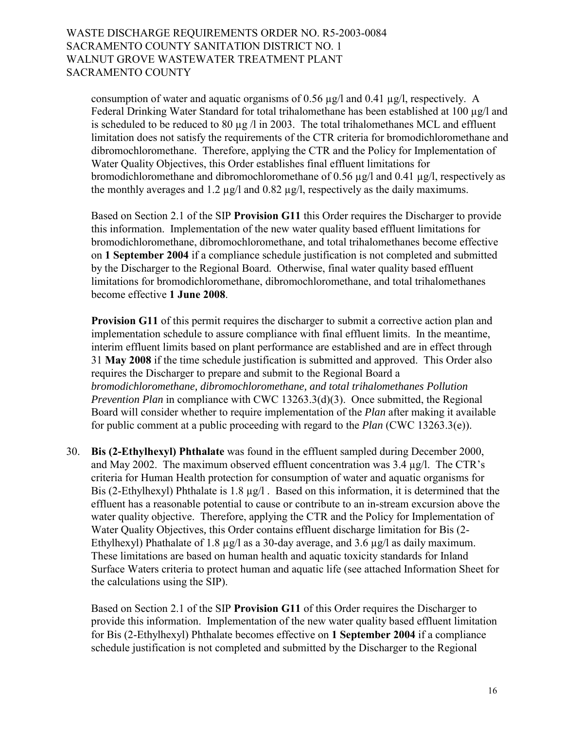consumption of water and aquatic organisms of 0.56 µg/l and 0.41 µg/l, respectively. A Federal Drinking Water Standard for total trihalomethane has been established at 100 µg/l and is scheduled to be reduced to 80  $\mu$ g /l in 2003. The total trihalomethanes MCL and effluent limitation does not satisfy the requirements of the CTR criteria for bromodichloromethane and dibromochloromethane. Therefore, applying the CTR and the Policy for Implementation of Water Quality Objectives, this Order establishes final effluent limitations for bromodichloromethane and dibromochloromethane of 0.56  $\mu$ g/l and 0.41  $\mu$ g/l, respectively as the monthly averages and 1.2  $\mu$ g/l and 0.82  $\mu$ g/l, respectively as the daily maximums.

Based on Section 2.1 of the SIP **Provision G11** this Order requires the Discharger to provide this information. Implementation of the new water quality based effluent limitations for bromodichloromethane, dibromochloromethane, and total trihalomethanes become effective on **1 September 2004** if a compliance schedule justification is not completed and submitted by the Discharger to the Regional Board. Otherwise, final water quality based effluent limitations for bromodichloromethane, dibromochloromethane, and total trihalomethanes become effective **1 June 2008**.

**Provision G11** of this permit requires the discharger to submit a corrective action plan and implementation schedule to assure compliance with final effluent limits. In the meantime, interim effluent limits based on plant performance are established and are in effect through 31 **May 2008** if the time schedule justification is submitted and approved. This Order also requires the Discharger to prepare and submit to the Regional Board a *bromodichloromethane, dibromochloromethane, and total trihalomethanes Pollution Prevention Plan* in compliance with CWC 13263.3(d)(3). Once submitted, the Regional Board will consider whether to require implementation of the *Plan* after making it available for public comment at a public proceeding with regard to the *Plan* (CWC 13263.3(e)).

30. **Bis (2-Ethylhexyl) Phthalate** was found in the effluent sampled during December 2000, and May 2002. The maximum observed effluent concentration was  $3.4 \mu g/l$ . The CTR's criteria for Human Health protection for consumption of water and aquatic organisms for Bis (2-Ethylhexyl) Phthalate is 1.8 µg/l. Based on this information, it is determined that the effluent has a reasonable potential to cause or contribute to an in-stream excursion above the water quality objective. Therefore, applying the CTR and the Policy for Implementation of Water Quality Objectives*,* this Order contains effluent discharge limitation for Bis (2- Ethylhexyl) Phathalate of 1.8  $\mu$ g/l as a 30-day average, and 3.6  $\mu$ g/l as daily maximum. These limitations are based on human health and aquatic toxicity standards for Inland Surface Waters criteria to protect human and aquatic life (see attached Information Sheet for the calculations using the SIP).

Based on Section 2.1 of the SIP **Provision G11** of this Order requires the Discharger to provide this information. Implementation of the new water quality based effluent limitation for Bis (2-Ethylhexyl) Phthalate becomes effective on **1 September 2004** if a compliance schedule justification is not completed and submitted by the Discharger to the Regional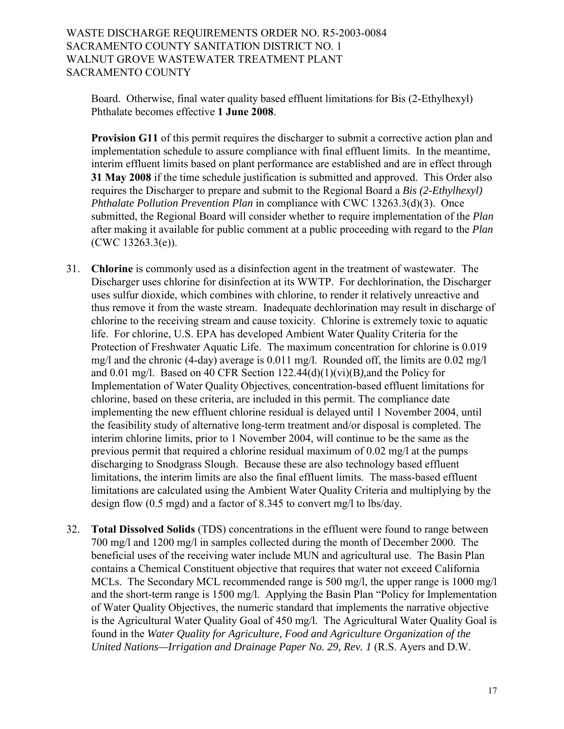Board. Otherwise, final water quality based effluent limitations for Bis (2-Ethylhexyl) Phthalate becomes effective **1 June 2008**.

**Provision G11** of this permit requires the discharger to submit a corrective action plan and implementation schedule to assure compliance with final effluent limits. In the meantime, interim effluent limits based on plant performance are established and are in effect through **31 May 2008** if the time schedule justification is submitted and approved. This Order also requires the Discharger to prepare and submit to the Regional Board a *Bis (2-Ethylhexyl) Phthalate Pollution Prevention Plan* in compliance with CWC 13263.3(d)(3). Once submitted, the Regional Board will consider whether to require implementation of the *Plan* after making it available for public comment at a public proceeding with regard to the *Plan* (CWC 13263.3(e)).

- 31. **Chlorine** is commonly used as a disinfection agent in the treatment of wastewater. The Discharger uses chlorine for disinfection at its WWTP. For dechlorination, the Discharger uses sulfur dioxide, which combines with chlorine, to render it relatively unreactive and thus remove it from the waste stream. Inadequate dechlorination may result in discharge of chlorine to the receiving stream and cause toxicity. Chlorine is extremely toxic to aquatic life. For chlorine, U.S. EPA has developed Ambient Water Quality Criteria for the Protection of Freshwater Aquatic Life. The maximum concentration for chlorine is 0.019 mg/l and the chronic (4-day) average is 0.011 mg/l. Rounded off, the limits are 0.02 mg/l and 0.01 mg/l. Based on 40 CFR Section 122.44(d)(1)(vi)(B*),*and the Policy for Implementation of Water Quality Objectives*,* concentration-based effluent limitations for chlorine, based on these criteria, are included in this permit. The compliance date implementing the new effluent chlorine residual is delayed until 1 November 2004, until the feasibility study of alternative long-term treatment and/or disposal is completed. The interim chlorine limits, prior to 1 November 2004, will continue to be the same as the previous permit that required a chlorine residual maximum of  $0.02 \text{ m/s}$  at the pumps discharging to Snodgrass Slough. Because these are also technology based effluent limitations, the interim limits are also the final effluent limits. The mass-based effluent limitations are calculated using the Ambient Water Quality Criteria and multiplying by the design flow (0.5 mgd) and a factor of 8.345 to convert mg/l to lbs/day.
- 32. **Total Dissolved Solids** (TDS) concentrations in the effluent were found to range between 700 mg/l and 1200 mg/l in samples collected during the month of December 2000. The beneficial uses of the receiving water include MUN and agricultural use. The Basin Plan contains a Chemical Constituent objective that requires that water not exceed California MCLs. The Secondary MCL recommended range is 500 mg/l, the upper range is 1000 mg/l and the short-term range is  $1500 \text{ mg/l}$ . Applying the Basin Plan "Policy for Implementation" of Water Quality Objectives, the numeric standard that implements the narrative objective is the Agricultural Water Quality Goal of 450 mg/l. The Agricultural Water Quality Goal is found in the *Water Quality for Agriculture, Food and Agriculture Organization of the United Nations—Irrigation and Drainage Paper No. 29, Rev. 1* (R.S. Ayers and D.W.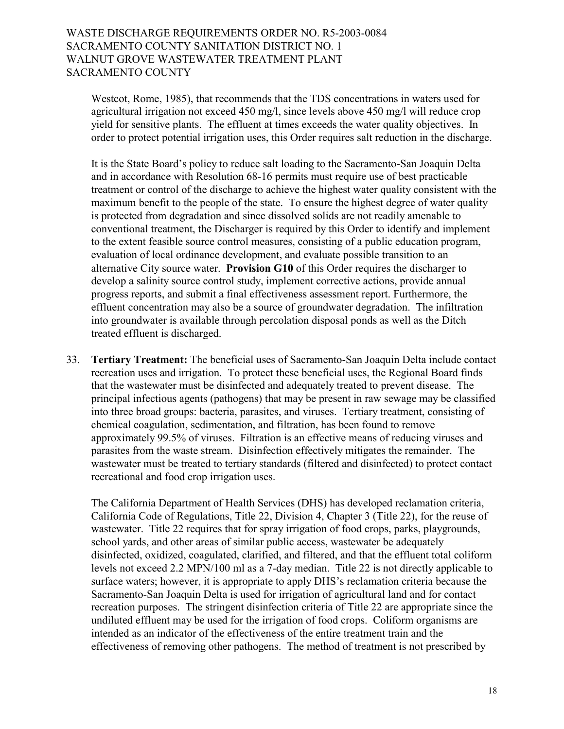Westcot, Rome, 1985), that recommends that the TDS concentrations in waters used for agricultural irrigation not exceed 450 mg/l, since levels above 450 mg/l will reduce crop yield for sensitive plants. The effluent at times exceeds the water quality objectives. In order to protect potential irrigation uses, this Order requires salt reduction in the discharge.

It is the State Board's policy to reduce salt loading to the Sacramento-San Joaquin Delta and in accordance with Resolution 68-16 permits must require use of best practicable treatment or control of the discharge to achieve the highest water quality consistent with the maximum benefit to the people of the state. To ensure the highest degree of water quality is protected from degradation and since dissolved solids are not readily amenable to conventional treatment, the Discharger is required by this Order to identify and implement to the extent feasible source control measures, consisting of a public education program, evaluation of local ordinance development, and evaluate possible transition to an alternative City source water. **Provision G10** of this Order requires the discharger to develop a salinity source control study, implement corrective actions, provide annual progress reports, and submit a final effectiveness assessment report. Furthermore, the effluent concentration may also be a source of groundwater degradation. The infiltration into groundwater is available through percolation disposal ponds as well as the Ditch treated effluent is discharged.

33. **Tertiary Treatment:** The beneficial uses of Sacramento-San Joaquin Delta include contact recreation uses and irrigation. To protect these beneficial uses, the Regional Board finds that the wastewater must be disinfected and adequately treated to prevent disease. The principal infectious agents (pathogens) that may be present in raw sewage may be classified into three broad groups: bacteria, parasites, and viruses. Tertiary treatment, consisting of chemical coagulation, sedimentation, and filtration, has been found to remove approximately 99.5% of viruses. Filtration is an effective means of reducing viruses and parasites from the waste stream. Disinfection effectively mitigates the remainder. The wastewater must be treated to tertiary standards (filtered and disinfected) to protect contact recreational and food crop irrigation uses.

The California Department of Health Services (DHS) has developed reclamation criteria, California Code of Regulations, Title 22, Division 4, Chapter 3 (Title 22), for the reuse of wastewater. Title 22 requires that for spray irrigation of food crops, parks, playgrounds, school yards, and other areas of similar public access, wastewater be adequately disinfected, oxidized, coagulated, clarified, and filtered, and that the effluent total coliform levels not exceed 2.2 MPN/100 ml as a 7-day median. Title 22 is not directly applicable to surface waters; however, it is appropriate to apply DHS's reclamation criteria because the Sacramento-San Joaquin Delta is used for irrigation of agricultural land and for contact recreation purposes. The stringent disinfection criteria of Title 22 are appropriate since the undiluted effluent may be used for the irrigation of food crops. Coliform organisms are intended as an indicator of the effectiveness of the entire treatment train and the effectiveness of removing other pathogens. The method of treatment is not prescribed by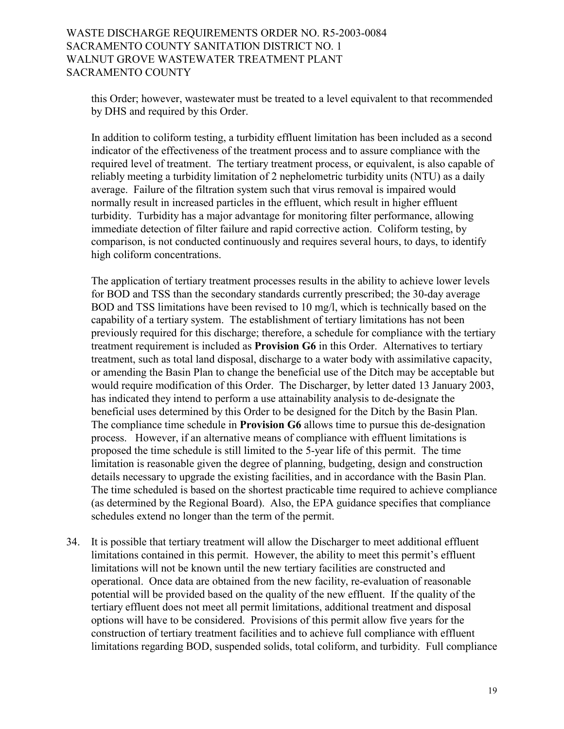this Order; however, wastewater must be treated to a level equivalent to that recommended by DHS and required by this Order.

In addition to coliform testing, a turbidity effluent limitation has been included as a second indicator of the effectiveness of the treatment process and to assure compliance with the required level of treatment. The tertiary treatment process, or equivalent, is also capable of reliably meeting a turbidity limitation of 2 nephelometric turbidity units (NTU) as a daily average. Failure of the filtration system such that virus removal is impaired would normally result in increased particles in the effluent, which result in higher effluent turbidity. Turbidity has a major advantage for monitoring filter performance, allowing immediate detection of filter failure and rapid corrective action. Coliform testing, by comparison, is not conducted continuously and requires several hours, to days, to identify high coliform concentrations.

The application of tertiary treatment processes results in the ability to achieve lower levels for BOD and TSS than the secondary standards currently prescribed; the 30-day average BOD and TSS limitations have been revised to 10 mg/l, which is technically based on the capability of a tertiary system. The establishment of tertiary limitations has not been previously required for this discharge; therefore, a schedule for compliance with the tertiary treatment requirement is included as **Provision G6** in this Order. Alternatives to tertiary treatment, such as total land disposal, discharge to a water body with assimilative capacity, or amending the Basin Plan to change the beneficial use of the Ditch may be acceptable but would require modification of this Order. The Discharger, by letter dated 13 January 2003, has indicated they intend to perform a use attainability analysis to de-designate the beneficial uses determined by this Order to be designed for the Ditch by the Basin Plan. The compliance time schedule in **Provision G6** allows time to pursue this de-designation process. However, if an alternative means of compliance with effluent limitations is proposed the time schedule is still limited to the 5-year life of this permit. The time limitation is reasonable given the degree of planning, budgeting, design and construction details necessary to upgrade the existing facilities, and in accordance with the Basin Plan. The time scheduled is based on the shortest practicable time required to achieve compliance (as determined by the Regional Board). Also, the EPA guidance specifies that compliance schedules extend no longer than the term of the permit.

34. It is possible that tertiary treatment will allow the Discharger to meet additional effluent limitations contained in this permit. However, the ability to meet this permit's effluent limitations will not be known until the new tertiary facilities are constructed and operational. Once data are obtained from the new facility, re-evaluation of reasonable potential will be provided based on the quality of the new effluent. If the quality of the tertiary effluent does not meet all permit limitations, additional treatment and disposal options will have to be considered. Provisions of this permit allow five years for the construction of tertiary treatment facilities and to achieve full compliance with effluent limitations regarding BOD, suspended solids, total coliform, and turbidity. Full compliance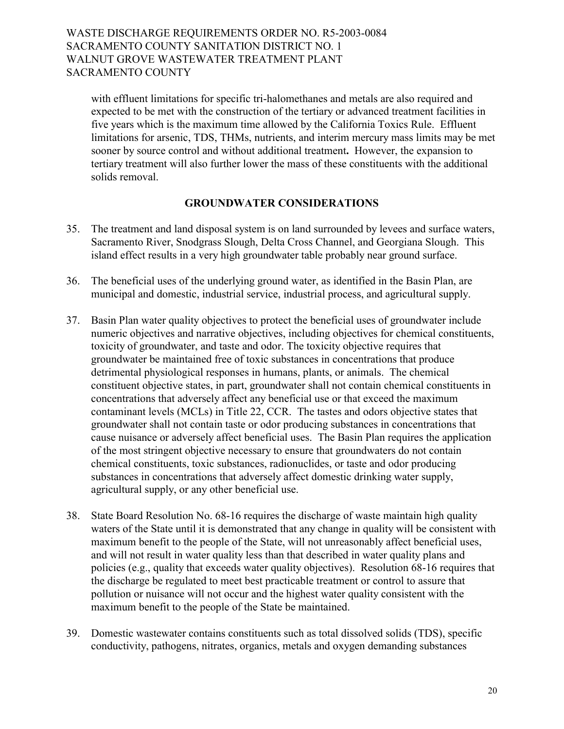with effluent limitations for specific tri-halomethanes and metals are also required and expected to be met with the construction of the tertiary or advanced treatment facilities in five years which is the maximum time allowed by the California Toxics Rule. Effluent limitations for arsenic, TDS, THMs, nutrients, and interim mercury mass limits may be met sooner by source control and without additional treatment**.** However, the expansion to tertiary treatment will also further lower the mass of these constituents with the additional solids removal.

#### **GROUNDWATER CONSIDERATIONS**

- 35. The treatment and land disposal system is on land surrounded by levees and surface waters, Sacramento River, Snodgrass Slough, Delta Cross Channel, and Georgiana Slough. This island effect results in a very high groundwater table probably near ground surface.
- 36. The beneficial uses of the underlying ground water, as identified in the Basin Plan, are municipal and domestic, industrial service, industrial process, and agricultural supply.
- 37. Basin Plan water quality objectives to protect the beneficial uses of groundwater include numeric objectives and narrative objectives, including objectives for chemical constituents, toxicity of groundwater, and taste and odor. The toxicity objective requires that groundwater be maintained free of toxic substances in concentrations that produce detrimental physiological responses in humans, plants, or animals. The chemical constituent objective states, in part, groundwater shall not contain chemical constituents in concentrations that adversely affect any beneficial use or that exceed the maximum contaminant levels (MCLs) in Title 22, CCR. The tastes and odors objective states that groundwater shall not contain taste or odor producing substances in concentrations that cause nuisance or adversely affect beneficial uses. The Basin Plan requires the application of the most stringent objective necessary to ensure that groundwaters do not contain chemical constituents, toxic substances, radionuclides, or taste and odor producing substances in concentrations that adversely affect domestic drinking water supply, agricultural supply, or any other beneficial use.
- 38. State Board Resolution No. 68-16 requires the discharge of waste maintain high quality waters of the State until it is demonstrated that any change in quality will be consistent with maximum benefit to the people of the State, will not unreasonably affect beneficial uses, and will not result in water quality less than that described in water quality plans and policies (e.g., quality that exceeds water quality objectives). Resolution 68-16 requires that the discharge be regulated to meet best practicable treatment or control to assure that pollution or nuisance will not occur and the highest water quality consistent with the maximum benefit to the people of the State be maintained.
- 39. Domestic wastewater contains constituents such as total dissolved solids (TDS), specific conductivity, pathogens, nitrates, organics, metals and oxygen demanding substances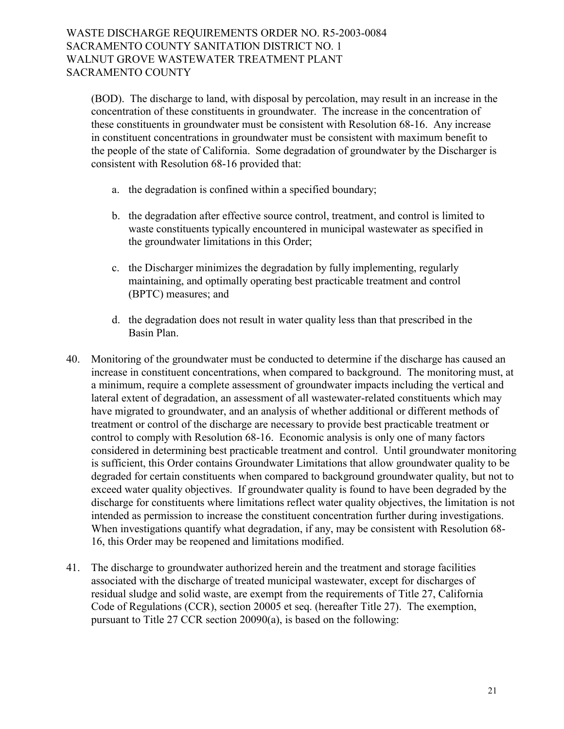(BOD). The discharge to land, with disposal by percolation, may result in an increase in the concentration of these constituents in groundwater. The increase in the concentration of these constituents in groundwater must be consistent with Resolution 68-16. Any increase in constituent concentrations in groundwater must be consistent with maximum benefit to the people of the state of California. Some degradation of groundwater by the Discharger is consistent with Resolution 68-16 provided that:

- a. the degradation is confined within a specified boundary;
- b. the degradation after effective source control, treatment, and control is limited to waste constituents typically encountered in municipal wastewater as specified in the groundwater limitations in this Order;
- c. the Discharger minimizes the degradation by fully implementing, regularly maintaining, and optimally operating best practicable treatment and control (BPTC) measures; and
- d. the degradation does not result in water quality less than that prescribed in the Basin Plan.
- 40. Monitoring of the groundwater must be conducted to determine if the discharge has caused an increase in constituent concentrations, when compared to background. The monitoring must, at a minimum, require a complete assessment of groundwater impacts including the vertical and lateral extent of degradation, an assessment of all wastewater-related constituents which may have migrated to groundwater, and an analysis of whether additional or different methods of treatment or control of the discharge are necessary to provide best practicable treatment or control to comply with Resolution 68-16. Economic analysis is only one of many factors considered in determining best practicable treatment and control. Until groundwater monitoring is sufficient, this Order contains Groundwater Limitations that allow groundwater quality to be degraded for certain constituents when compared to background groundwater quality, but not to exceed water quality objectives. If groundwater quality is found to have been degraded by the discharge for constituents where limitations reflect water quality objectives, the limitation is not intended as permission to increase the constituent concentration further during investigations. When investigations quantify what degradation, if any, may be consistent with Resolution 68- 16, this Order may be reopened and limitations modified.
- 41. The discharge to groundwater authorized herein and the treatment and storage facilities associated with the discharge of treated municipal wastewater, except for discharges of residual sludge and solid waste, are exempt from the requirements of Title 27, California Code of Regulations (CCR), section 20005 et seq. (hereafter Title 27). The exemption, pursuant to Title 27 CCR section 20090(a), is based on the following: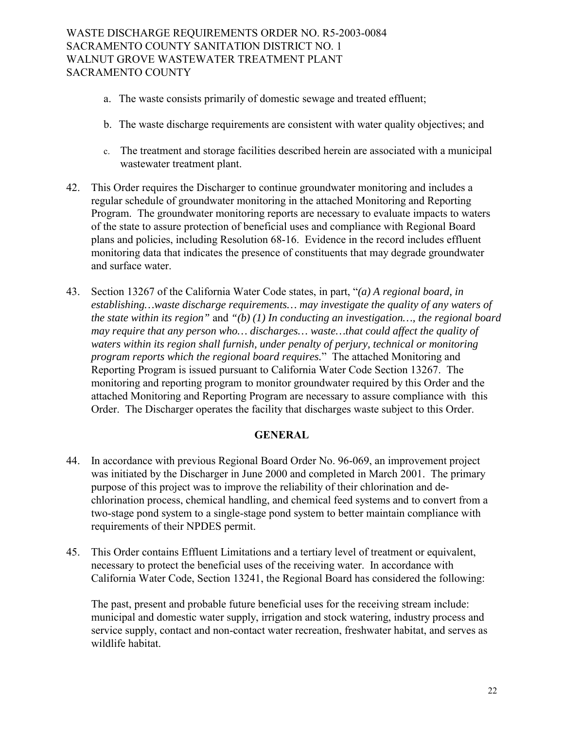- a. The waste consists primarily of domestic sewage and treated effluent;
- b. The waste discharge requirements are consistent with water quality objectives; and
- c. The treatment and storage facilities described herein are associated with a municipal wastewater treatment plant.
- 42. This Order requires the Discharger to continue groundwater monitoring and includes a regular schedule of groundwater monitoring in the attached Monitoring and Reporting Program. The groundwater monitoring reports are necessary to evaluate impacts to waters of the state to assure protection of beneficial uses and compliance with Regional Board plans and policies, including Resolution 68-16. Evidence in the record includes effluent monitoring data that indicates the presence of constituents that may degrade groundwater and surface water.
- 43. Section 13267 of the California Water Code states, in part, *<sup><i>'*</sup>(a) A regional board, in *establishing…waste discharge requirements… may investigate the quality of any waters of the state within its region"* and *"(b) (1) In conducting an investigation…, the regional board may require that any person who… discharges… waste…that could affect the quality of waters within its region shall furnish, under penalty of perjury, technical or monitoring program reports which the regional board requires.*îThe attached Monitoring and Reporting Program is issued pursuant to California Water Code Section 13267. The monitoring and reporting program to monitor groundwater required by this Order and the attached Monitoring and Reporting Program are necessary to assure compliance with this Order. The Discharger operates the facility that discharges waste subject to this Order.

#### **GENERAL**

- 44. In accordance with previous Regional Board Order No. 96-069, an improvement project was initiated by the Discharger in June 2000 and completed in March 2001. The primary purpose of this project was to improve the reliability of their chlorination and dechlorination process, chemical handling, and chemical feed systems and to convert from a two-stage pond system to a single-stage pond system to better maintain compliance with requirements of their NPDES permit.
- 45. This Order contains Effluent Limitations and a tertiary level of treatment or equivalent, necessary to protect the beneficial uses of the receiving water. In accordance with California Water Code, Section 13241, the Regional Board has considered the following:

The past, present and probable future beneficial uses for the receiving stream include: municipal and domestic water supply, irrigation and stock watering, industry process and service supply, contact and non-contact water recreation, freshwater habitat, and serves as wildlife habitat.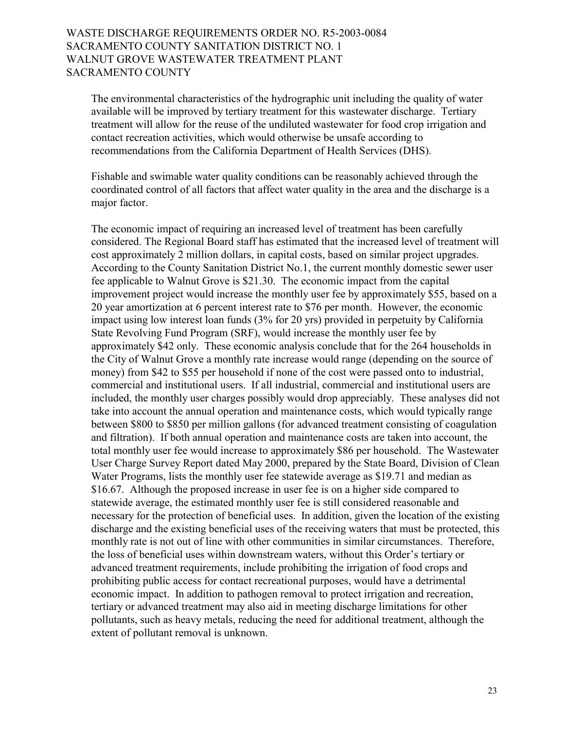The environmental characteristics of the hydrographic unit including the quality of water available will be improved by tertiary treatment for this wastewater discharge. Tertiary treatment will allow for the reuse of the undiluted wastewater for food crop irrigation and contact recreation activities, which would otherwise be unsafe according to recommendations from the California Department of Health Services (DHS).

Fishable and swimable water quality conditions can be reasonably achieved through the coordinated control of all factors that affect water quality in the area and the discharge is a major factor.

The economic impact of requiring an increased level of treatment has been carefully considered. The Regional Board staff has estimated that the increased level of treatment will cost approximately 2 million dollars, in capital costs, based on similar project upgrades. According to the County Sanitation District No.1, the current monthly domestic sewer user fee applicable to Walnut Grove is \$21.30. The economic impact from the capital improvement project would increase the monthly user fee by approximately \$55, based on a 20 year amortization at 6 percent interest rate to \$76 per month. However, the economic impact using low interest loan funds (3% for 20 yrs) provided in perpetuity by California State Revolving Fund Program (SRF), would increase the monthly user fee by approximately \$42 only. These economic analysis conclude that for the 264 households in the City of Walnut Grove a monthly rate increase would range (depending on the source of money) from \$42 to \$55 per household if none of the cost were passed onto to industrial, commercial and institutional users. If all industrial, commercial and institutional users are included, the monthly user charges possibly would drop appreciably. These analyses did not take into account the annual operation and maintenance costs, which would typically range between \$800 to \$850 per million gallons (for advanced treatment consisting of coagulation and filtration). If both annual operation and maintenance costs are taken into account, the total monthly user fee would increase to approximately \$86 per household. The Wastewater User Charge Survey Report dated May 2000, prepared by the State Board, Division of Clean Water Programs, lists the monthly user fee statewide average as \$19.71 and median as \$16.67. Although the proposed increase in user fee is on a higher side compared to statewide average, the estimated monthly user fee is still considered reasonable and necessary for the protection of beneficial uses. In addition, given the location of the existing discharge and the existing beneficial uses of the receiving waters that must be protected, this monthly rate is not out of line with other communities in similar circumstances. Therefore, the loss of beneficial uses within downstream waters, without this Order's tertiary or advanced treatment requirements, include prohibiting the irrigation of food crops and prohibiting public access for contact recreational purposes, would have a detrimental economic impact. In addition to pathogen removal to protect irrigation and recreation, tertiary or advanced treatment may also aid in meeting discharge limitations for other pollutants, such as heavy metals, reducing the need for additional treatment, although the extent of pollutant removal is unknown.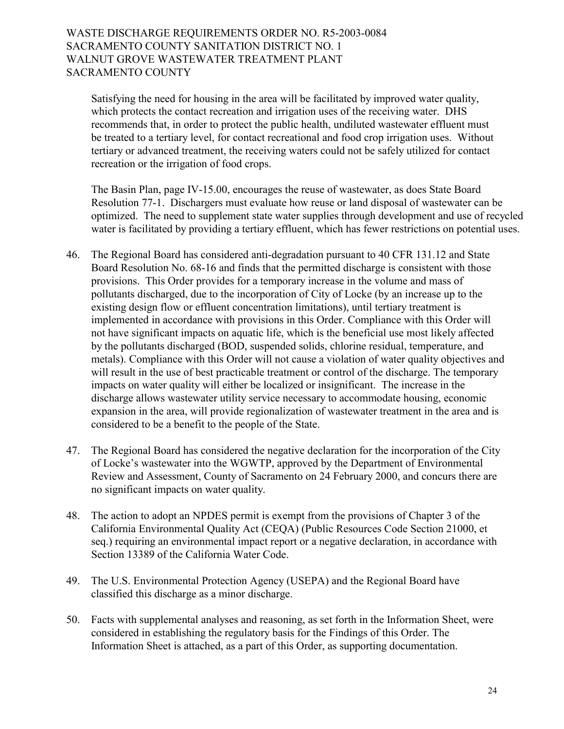Satisfying the need for housing in the area will be facilitated by improved water quality, which protects the contact recreation and irrigation uses of the receiving water. DHS recommends that, in order to protect the public health, undiluted wastewater effluent must be treated to a tertiary level, for contact recreational and food crop irrigation uses. Without tertiary or advanced treatment, the receiving waters could not be safely utilized for contact recreation or the irrigation of food crops.

The Basin Plan, page IV-15.00, encourages the reuse of wastewater, as does State Board Resolution 77-1. Dischargers must evaluate how reuse or land disposal of wastewater can be optimized. The need to supplement state water supplies through development and use of recycled water is facilitated by providing a tertiary effluent, which has fewer restrictions on potential uses.

- 46. The Regional Board has considered anti-degradation pursuant to 40 CFR 131.12 and State Board Resolution No. 68-16 and finds that the permitted discharge is consistent with those provisions. This Order provides for a temporary increase in the volume and mass of pollutants discharged, due to the incorporation of City of Locke (by an increase up to the existing design flow or effluent concentration limitations), until tertiary treatment is implemented in accordance with provisions in this Order. Compliance with this Order will not have significant impacts on aquatic life, which is the beneficial use most likely affected by the pollutants discharged (BOD, suspended solids, chlorine residual, temperature, and metals). Compliance with this Order will not cause a violation of water quality objectives and will result in the use of best practicable treatment or control of the discharge. The temporary impacts on water quality will either be localized or insignificant. The increase in the discharge allows wastewater utility service necessary to accommodate housing, economic expansion in the area, will provide regionalization of wastewater treatment in the area and is considered to be a benefit to the people of the State.
- 47. The Regional Board has considered the negative declaration for the incorporation of the City of Locke's wastewater into the WGWTP, approved by the Department of Environmental Review and Assessment, County of Sacramento on 24 February 2000, and concurs there are no significant impacts on water quality.
- 48. The action to adopt an NPDES permit is exempt from the provisions of Chapter 3 of the California Environmental Quality Act (CEQA) (Public Resources Code Section 21000, et seq.) requiring an environmental impact report or a negative declaration, in accordance with Section 13389 of the California Water Code.
- 49. The U.S. Environmental Protection Agency (USEPA) and the Regional Board have classified this discharge as a minor discharge.
- 50. Facts with supplemental analyses and reasoning, as set forth in the Information Sheet, were considered in establishing the regulatory basis for the Findings of this Order. The Information Sheet is attached, as a part of this Order, as supporting documentation.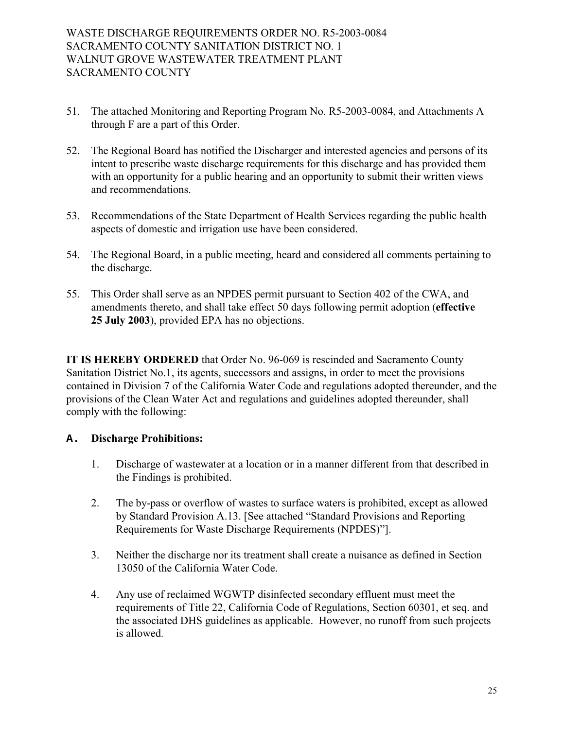- 51. The attached Monitoring and Reporting Program No. R5-2003-0084, and Attachments A through F are a part of this Order.
- 52. The Regional Board has notified the Discharger and interested agencies and persons of its intent to prescribe waste discharge requirements for this discharge and has provided them with an opportunity for a public hearing and an opportunity to submit their written views and recommendations.
- 53. Recommendations of the State Department of Health Services regarding the public health aspects of domestic and irrigation use have been considered.
- 54. The Regional Board, in a public meeting, heard and considered all comments pertaining to the discharge.
- 55. This Order shall serve as an NPDES permit pursuant to Section 402 of the CWA, and amendments thereto, and shall take effect 50 days following permit adoption (**effective 25 July 2003**), provided EPA has no objections.

**IT IS HEREBY ORDERED** that Order No. 96-069 is rescinded and Sacramento County Sanitation District No.1, its agents, successors and assigns, in order to meet the provisions contained in Division 7 of the California Water Code and regulations adopted thereunder, and the provisions of the Clean Water Act and regulations and guidelines adopted thereunder, shall comply with the following:

# **A. Discharge Prohibitions:**

- 1. Discharge of wastewater at a location or in a manner different from that described in the Findings is prohibited.
- 2. The by-pass or overflow of wastes to surface waters is prohibited, except as allowed by Standard Provision A.13. [See attached "Standard Provisions and Reporting Requirements for Waste Discharge Requirements (NPDES)"].
- 3. Neither the discharge nor its treatment shall create a nuisance as defined in Section 13050 of the California Water Code.
- 4. Any use of reclaimed WGWTP disinfected secondary effluent must meet the requirements of Title 22, California Code of Regulations, Section 60301, et seq. and the associated DHS guidelines as applicable. However, no runoff from such projects is allowed.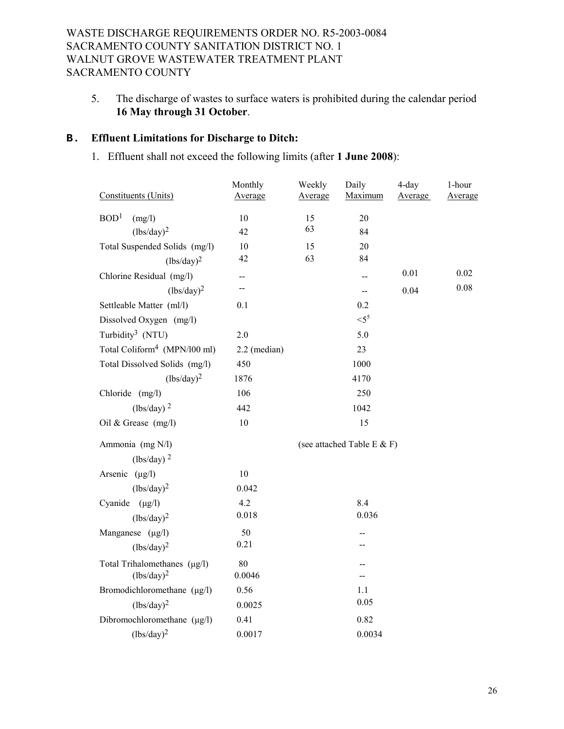5. The discharge of wastes to surface waters is prohibited during the calendar period **16 May through 31 October**.

# **B. Effluent Limitations for Discharge to Ditch:**

1. Effluent shall not exceed the following limits (after **1 June 2008**):

| Constituents (Units)                     | Monthly<br>Average | Weekly<br>Average | Daily<br>Maximum             | 4-day<br>Average | 1-hour<br>Average |
|------------------------------------------|--------------------|-------------------|------------------------------|------------------|-------------------|
| BOD <sup>1</sup><br>(mg/l)               | 10                 | 15                | 20                           |                  |                   |
| $(lbs/day)^2$                            | 42                 | 63                | 84                           |                  |                   |
| Total Suspended Solids (mg/l)            | 10                 | 15                | 20                           |                  |                   |
| $(lbs/day)^2$                            | 42                 | 63                | 84                           |                  |                   |
| Chlorine Residual (mg/l)                 | --                 |                   |                              | 0.01             | 0.02              |
| $(lbs/day)^2$                            | --                 |                   | --                           | 0.04             | 0.08              |
| Settleable Matter (ml/l)                 | 0.1                |                   | 0.2                          |                  |                   |
| Dissolved Oxygen (mg/l)                  |                    |                   | $<$ 5 <sup>5</sup>           |                  |                   |
| Turbidity <sup>3</sup> (NTU)             | 2.0                |                   | 5.0                          |                  |                   |
| Total Coliform <sup>4</sup> (MPN/l00 ml) | 2.2 (median)       |                   | 23                           |                  |                   |
| Total Dissolved Solids (mg/l)            | 450                |                   | 1000                         |                  |                   |
| $(lbs/day)^2$                            | 1876               |                   | 4170                         |                  |                   |
| Chloride (mg/l)                          | 106                |                   | 250                          |                  |                   |
| $(lbs/day)$ <sup>2</sup>                 | 442                |                   | 1042                         |                  |                   |
| Oil & Grease (mg/l)                      | 10                 |                   | 15                           |                  |                   |
| Ammonia (mg N/l)                         |                    |                   | (see attached Table E $&$ F) |                  |                   |
| $(lbs/day)$ <sup>2</sup>                 |                    |                   |                              |                  |                   |
| Arsenic $(\mu g/l)$                      | 10                 |                   |                              |                  |                   |
| $(lbs/day)^2$                            | 0.042              |                   |                              |                  |                   |
| Cyanide $(\mu g/l)$                      | 4.2                |                   | 8.4                          |                  |                   |
| $(lbs/day)^2$                            | 0.018              |                   | 0.036                        |                  |                   |
| Manganese $(\mu g/l)$                    | 50                 |                   |                              |                  |                   |
| $(lbs/day)^2$                            | 0.21               |                   |                              |                  |                   |
| Total Trihalomethanes (µg/l)             | 80                 |                   |                              |                  |                   |
| $(lbs/day)^2$                            | 0.0046             |                   |                              |                  |                   |
| Bromodichloromethane (µg/l)              | 0.56               |                   | 1.1                          |                  |                   |
| $(lbs/day)^2$                            | 0.0025             |                   | 0.05                         |                  |                   |
| Dibromochloromethane (µg/l)              | 0.41               |                   | 0.82                         |                  |                   |
| $(lbs/day)^2$                            | 0.0017             |                   | 0.0034                       |                  |                   |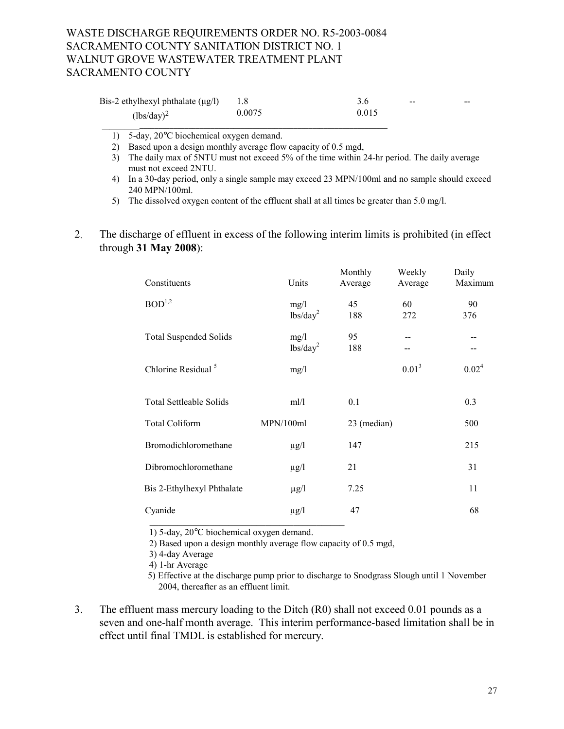| Bis-2 ethylhexyl phthalate $(\mu g/l)$ |        |       | $\sim$ | $- -$ |
|----------------------------------------|--------|-------|--------|-------|
| $(lbs/day)^2$                          | 0.0075 | 0.015 |        |       |

1) 5-day, 20°C biochemical oxygen demand.

2) Based upon a design monthly average flow capacity of 0.5 mgd,

\_\_\_\_\_\_\_\_\_\_*\_\_\_\_\_\_\_\_\_\_\_\_\_\_\_\_\_\_\_\_\_\_\_\_\_\_\_\_\_\_\_\_\_\_\_\_\_\_\_\_\_\_\_\_\_\_\_\_\_\_\_\_\_\_\_\_\_\_\_\_\_\_\_\_\_\_* 

- 3) The daily max of 5NTU must not exceed 5% of the time within 24-hr period. The daily average must not exceed 2NTU.
- 4) In a 30-day period, only a single sample may exceed 23 MPN/100ml and no sample should exceed 240 MPN/100ml.
- 5) The dissolved oxygen content of the effluent shall at all times be greater than 5.0 mg/l.
- 2. The discharge of effluent in excess of the following interim limits is prohibited (in effect through **31 May 2008**):

| Constituents                   | Units                        | Monthly<br>Average | Weekly<br>Average | Daily<br>Maximum               |
|--------------------------------|------------------------------|--------------------|-------------------|--------------------------------|
| BOD <sup>1,2</sup>             | mg/l<br>lbs/day <sup>2</sup> | 45<br>188          | 60<br>272         | 90<br>376                      |
| <b>Total Suspended Solids</b>  | mg/l<br>lbs/day <sup>2</sup> | 95<br>188          | $- -$<br>--       | --<br>$\overline{\phantom{m}}$ |
| Chlorine Residual <sup>5</sup> | mg/l                         |                    | $0.01^3$          | $0.02^4$                       |
| <b>Total Settleable Solids</b> | ml/l                         | 0.1                |                   | 0.3                            |
| <b>Total Coliform</b>          | MPN/100ml                    | 23 (median)        |                   | 500                            |
| Bromodichloromethane           | $\mu$ g/l                    | 147                |                   | 215                            |
| Dibromochloromethane           | $\mu$ g/l                    | 21                 |                   | 31                             |
| Bis 2-Ethylhexyl Phthalate     | $\mu$ g/l                    | 7.25               |                   | 11                             |
| Cyanide                        | $\mu$ g/l                    | 47                 |                   | 68                             |
|                                |                              |                    |                   |                                |

1) 5-day, 20°C biochemical oxygen demand.

2) Based upon a design monthly average flow capacity of 0.5 mgd,

3) 4-day Average

4) 1-hr Average

 5) Effective at the discharge pump prior to discharge to Snodgrass Slough until 1 November 2004, thereafter as an effluent limit.

3. The effluent mass mercury loading to the Ditch (R0) shall not exceed 0.01 pounds as a seven and one-half month average. This interim performance-based limitation shall be in effect until final TMDL is established for mercury.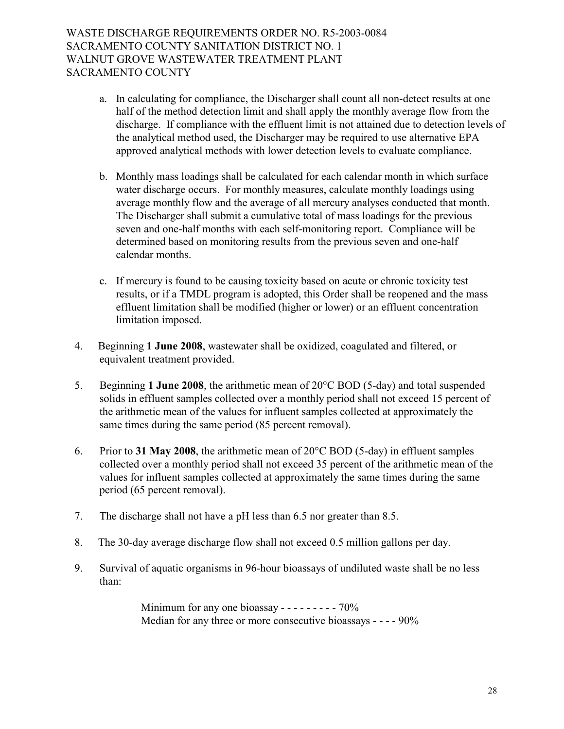- a. In calculating for compliance, the Discharger shall count all non-detect results at one half of the method detection limit and shall apply the monthly average flow from the discharge. If compliance with the effluent limit is not attained due to detection levels of the analytical method used, the Discharger may be required to use alternative EPA approved analytical methods with lower detection levels to evaluate compliance.
- b. Monthly mass loadings shall be calculated for each calendar month in which surface water discharge occurs. For monthly measures, calculate monthly loadings using average monthly flow and the average of all mercury analyses conducted that month. The Discharger shall submit a cumulative total of mass loadings for the previous seven and one-half months with each self-monitoring report. Compliance will be determined based on monitoring results from the previous seven and one-half calendar months.
- c. If mercury is found to be causing toxicity based on acute or chronic toxicity test results, or if a TMDL program is adopted, this Order shall be reopened and the mass effluent limitation shall be modified (higher or lower) or an effluent concentration limitation imposed.
- 4. Beginning **1 June 2008**, wastewater shall be oxidized, coagulated and filtered, or equivalent treatment provided.
- 5. Beginning **1 June 2008**, the arithmetic mean of 20°C BOD (5-day) and total suspended solids in effluent samples collected over a monthly period shall not exceed 15 percent of the arithmetic mean of the values for influent samples collected at approximately the same times during the same period (85 percent removal).
- 6. Prior to **31 May 2008**, the arithmetic mean of 20°C BOD (5-day) in effluent samples collected over a monthly period shall not exceed 35 percent of the arithmetic mean of the values for influent samples collected at approximately the same times during the same period (65 percent removal).
- 7. The discharge shall not have a pH less than 6.5 nor greater than 8.5.
- 8. The 30-day average discharge flow shall not exceed 0.5 million gallons per day.
- 9. Survival of aquatic organisms in 96-hour bioassays of undiluted waste shall be no less than:

Minimum for any one bioassay - - - - - - - - - 70% Median for any three or more consecutive bioassays - - - - 90%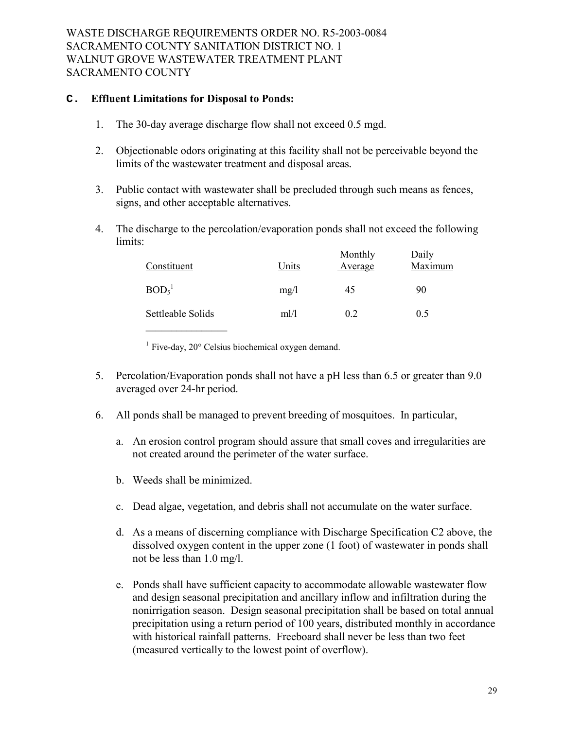#### **C. Effluent Limitations for Disposal to Ponds:**

- 1. The 30-day average discharge flow shall not exceed 0.5 mgd.
- 2. Objectionable odors originating at this facility shall not be perceivable beyond the limits of the wastewater treatment and disposal areas*.*
- 3. Public contact with wastewater shall be precluded through such means as fences, signs, and other acceptable alternatives.
- 4. The discharge to the percolation/evaporation ponds shall not exceed the following limits:

| Constituent                   | Units | Monthly<br>Average | Daily<br>Maximum |
|-------------------------------|-------|--------------------|------------------|
| BOD <sub>5</sub> <sup>1</sup> | mg/l  | 45                 | 90               |
| Settleable Solids             | ml/l  | 0.2                | 0.5              |

<sup>1</sup> Five-day,  $20^\circ$  Celsius biochemical oxygen demand.

- 5. Percolation/Evaporation ponds shall not have a pH less than 6.5 or greater than 9.0 averaged over 24-hr period.
- 6. All ponds shall be managed to prevent breeding of mosquitoes. In particular,
	- a. An erosion control program should assure that small coves and irregularities are not created around the perimeter of the water surface.
	- b. Weeds shall be minimized.
	- c. Dead algae, vegetation, and debris shall not accumulate on the water surface.
	- d. As a means of discerning compliance with Discharge Specification C2 above, the dissolved oxygen content in the upper zone (1 foot) of wastewater in ponds shall not be less than 1.0 mg/l.
	- e. Ponds shall have sufficient capacity to accommodate allowable wastewater flow and design seasonal precipitation and ancillary inflow and infiltration during the nonirrigation season. Design seasonal precipitation shall be based on total annual precipitation using a return period of 100 years, distributed monthly in accordance with historical rainfall patterns. Freeboard shall never be less than two feet (measured vertically to the lowest point of overflow).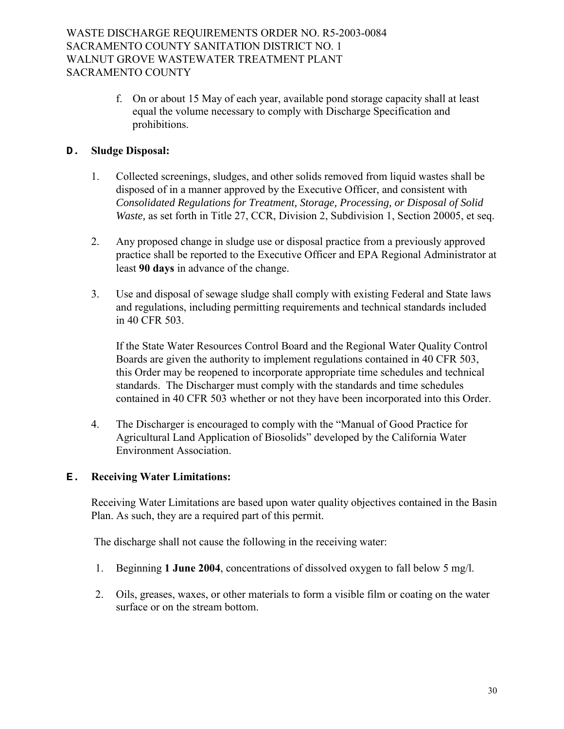f. On or about 15 May of each year, available pond storage capacity shall at least equal the volume necessary to comply with Discharge Specification and prohibitions.

# **D. Sludge Disposal:**

- 1. Collected screenings, sludges, and other solids removed from liquid wastes shall be disposed of in a manner approved by the Executive Officer, and consistent with *Consolidated Regulations for Treatment, Storage, Processing, or Disposal of Solid Waste*, as set forth in Title 27, CCR, Division 2, Subdivision 1, Section 20005, et seq.
- 2. Any proposed change in sludge use or disposal practice from a previously approved practice shall be reported to the Executive Officer and EPA Regional Administrator at least **90 days** in advance of the change.
- 3. Use and disposal of sewage sludge shall comply with existing Federal and State laws and regulations, including permitting requirements and technical standards included in 40 CFR 503.

If the State Water Resources Control Board and the Regional Water Quality Control Boards are given the authority to implement regulations contained in 40 CFR 503, this Order may be reopened to incorporate appropriate time schedules and technical standards. The Discharger must comply with the standards and time schedules contained in 40 CFR 503 whether or not they have been incorporated into this Order.

4. The Discharger is encouraged to comply with the "Manual of Good Practice for Agricultural Land Application of Biosolids" developed by the California Water Environment Association.

### **E. Receiving Water Limitations:**

Receiving Water Limitations are based upon water quality objectives contained in the Basin Plan. As such, they are a required part of this permit.

The discharge shall not cause the following in the receiving water:

- 1. Beginning **1 June 2004**, concentrations of dissolved oxygen to fall below 5 mg/l.
- 2. Oils, greases, waxes, or other materials to form a visible film or coating on the water surface or on the stream bottom.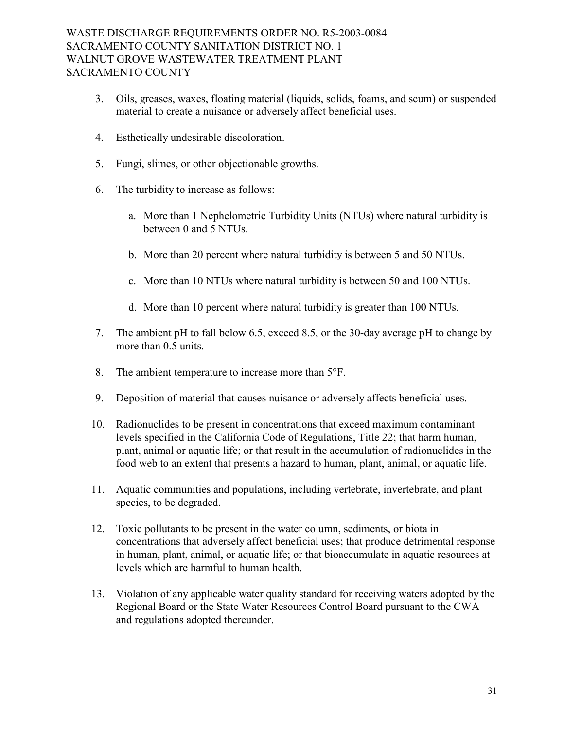- 3. Oils, greases, waxes, floating material (liquids, solids, foams, and scum) or suspended material to create a nuisance or adversely affect beneficial uses.
- 4. Esthetically undesirable discoloration.
- 5. Fungi, slimes, or other objectionable growths.
- 6. The turbidity to increase as follows:
	- a. More than 1 Nephelometric Turbidity Units (NTUs) where natural turbidity is between 0 and 5 NTUs.
	- b. More than 20 percent where natural turbidity is between 5 and 50 NTUs.
	- c. More than 10 NTUs where natural turbidity is between 50 and 100 NTUs.
	- d. More than 10 percent where natural turbidity is greater than 100 NTUs.
- 7. The ambient pH to fall below 6.5, exceed 8.5, or the 30-day average pH to change by more than 0.5 units.
- 8. The ambient temperature to increase more than 5°F.
- 9. Deposition of material that causes nuisance or adversely affects beneficial uses.
- 10. Radionuclides to be present in concentrations that exceed maximum contaminant levels specified in the California Code of Regulations, Title 22; that harm human, plant, animal or aquatic life; or that result in the accumulation of radionuclides in the food web to an extent that presents a hazard to human, plant, animal, or aquatic life.
- 11. Aquatic communities and populations, including vertebrate, invertebrate, and plant species, to be degraded.
- 12. Toxic pollutants to be present in the water column, sediments, or biota in concentrations that adversely affect beneficial uses; that produce detrimental response in human, plant, animal, or aquatic life; or that bioaccumulate in aquatic resources at levels which are harmful to human health.
- 13. Violation of any applicable water quality standard for receiving waters adopted by the Regional Board or the State Water Resources Control Board pursuant to the CWA and regulations adopted thereunder.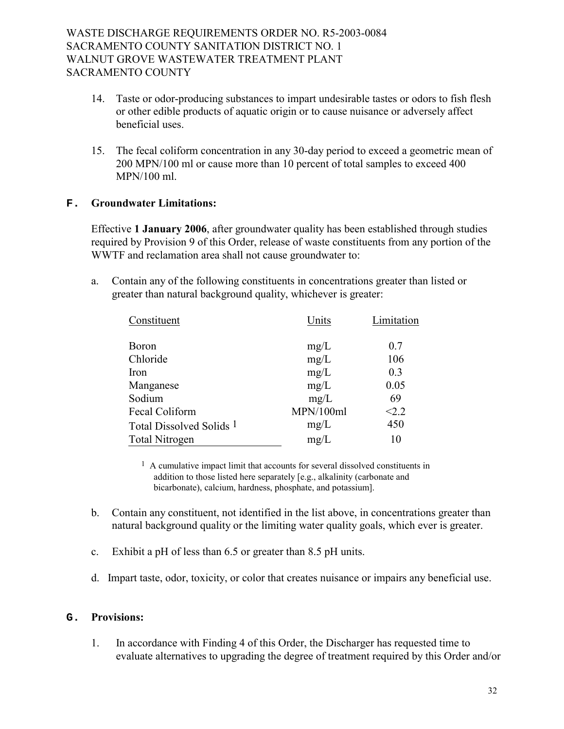- 14. Taste or odor-producing substances to impart undesirable tastes or odors to fish flesh or other edible products of aquatic origin or to cause nuisance or adversely affect beneficial uses.
- 15. The fecal coliform concentration in any 30-day period to exceed a geometric mean of 200 MPN/100 ml or cause more than 10 percent of total samples to exceed 400 MPN/100 ml.

### **F. Groundwater Limitations:**

Effective **1 January 2006**, after groundwater quality has been established through studies required by Provision 9 of this Order, release of waste constituents from any portion of the WWTF and reclamation area shall not cause groundwater to:

a. Contain any of the following constituents in concentrations greater than listed or greater than natural background quality, whichever is greater:

| Constituent                         | Units     | Limitation |  |
|-------------------------------------|-----------|------------|--|
| <b>Boron</b>                        | mg/L      | 0.7        |  |
| Chloride                            | mg/L      | 106        |  |
| Iron                                | mg/L      | 0.3        |  |
| Manganese                           | mg/L      | 0.05       |  |
| Sodium                              | mg/L      | 69         |  |
| Fecal Coliform                      | MPN/100ml | < 2.2      |  |
| Total Dissolved Solids <sup>1</sup> | mg/L      | 450        |  |
| <b>Total Nitrogen</b>               | mg/L      | 10         |  |

<sup>1</sup> A cumulative impact limit that accounts for several dissolved constituents in addition to those listed here separately [e.g., alkalinity (carbonate and bicarbonate), calcium, hardness, phosphate, and potassium].

- b. Contain any constituent, not identified in the list above, in concentrations greater than natural background quality or the limiting water quality goals, which ever is greater.
- c. Exhibit a pH of less than 6.5 or greater than 8.5 pH units.
- d. Impart taste, odor, toxicity, or color that creates nuisance or impairs any beneficial use.

#### **G. Provisions:**

1. In accordance with Finding 4 of this Order, the Discharger has requested time to evaluate alternatives to upgrading the degree of treatment required by this Order and/or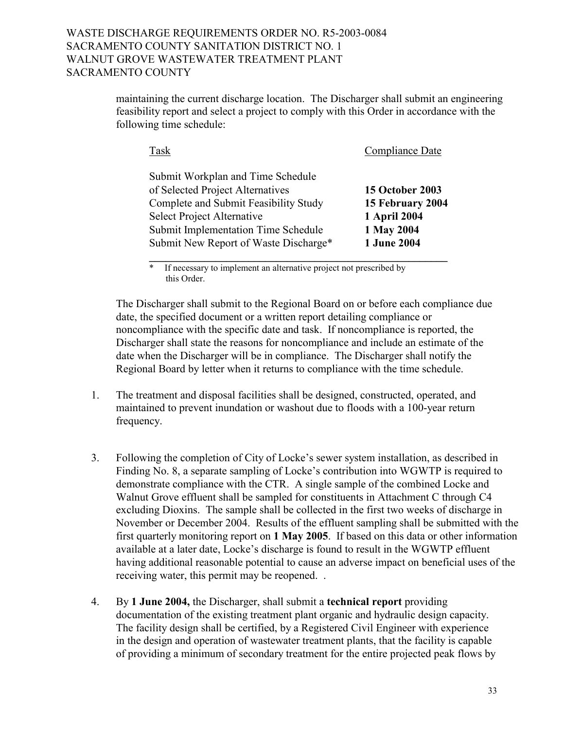maintaining the current discharge location. The Discharger shall submit an engineering feasibility report and select a project to comply with this Order in accordance with the following time schedule:

| Task                                  | Compliance Date        |
|---------------------------------------|------------------------|
| Submit Workplan and Time Schedule     |                        |
| of Selected Project Alternatives      | <b>15 October 2003</b> |
| Complete and Submit Feasibility Study | 15 February 2004       |
| <b>Select Project Alternative</b>     | 1 April 2004           |
| Submit Implementation Time Schedule   | 1 May 2004             |
| Submit New Report of Waste Discharge* | 1 June 2004            |
|                                       |                        |

If necessary to implement an alternative project not prescribed by this Order.

 The Discharger shall submit to the Regional Board on or before each compliance due date, the specified document or a written report detailing compliance or noncompliance with the specific date and task. If noncompliance is reported, the Discharger shall state the reasons for noncompliance and include an estimate of the date when the Discharger will be in compliance. The Discharger shall notify the Regional Board by letter when it returns to compliance with the time schedule.

- 1. The treatment and disposal facilities shall be designed, constructed, operated, and maintained to prevent inundation or washout due to floods with a 100-year return frequency.
- 3. Following the completion of City of Locke's sewer system installation, as described in Finding No. 8, a separate sampling of Locke's contribution into WGWTP is required to demonstrate compliance with the CTR. A single sample of the combined Locke and Walnut Grove effluent shall be sampled for constituents in Attachment C through C4 excluding Dioxins. The sample shall be collected in the first two weeks of discharge in November or December 2004. Results of the effluent sampling shall be submitted with the first quarterly monitoring report on **1 May 2005**. If based on this data or other information available at a later date, Locke's discharge is found to result in the WGWTP effluent having additional reasonable potential to cause an adverse impact on beneficial uses of the receiving water, this permit may be reopened. .
- 4. By **1 June 2004,** the Discharger, shall submit a **technical report** providing documentation of the existing treatment plant organic and hydraulic design capacity. The facility design shall be certified, by a Registered Civil Engineer with experience in the design and operation of wastewater treatment plants, that the facility is capable of providing a minimum of secondary treatment for the entire projected peak flows by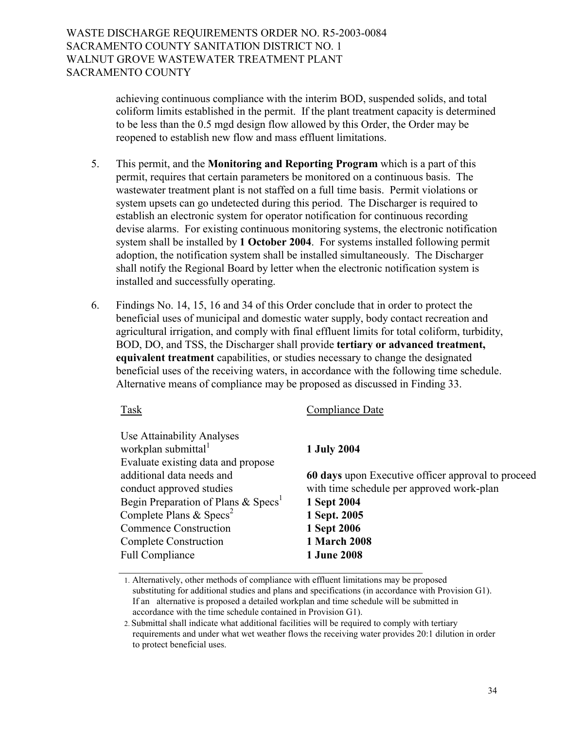achieving continuous compliance with the interim BOD, suspended solids, and total coliform limits established in the permit. If the plant treatment capacity is determined to be less than the 0.5 mgd design flow allowed by this Order, the Order may be reopened to establish new flow and mass effluent limitations.

- 5. This permit, and the **Monitoring and Reporting Program** which is a part of this permit, requires that certain parameters be monitored on a continuous basis. The wastewater treatment plant is not staffed on a full time basis. Permit violations or system upsets can go undetected during this period. The Discharger is required to establish an electronic system for operator notification for continuous recording devise alarms. For existing continuous monitoring systems, the electronic notification system shall be installed by **1 October 2004**. For systems installed following permit adoption, the notification system shall be installed simultaneously. The Discharger shall notify the Regional Board by letter when the electronic notification system is installed and successfully operating.
- 6. Findings No. 14, 15, 16 and 34 of this Order conclude that in order to protect the beneficial uses of municipal and domestic water supply, body contact recreation and agricultural irrigation, and comply with final effluent limits for total coliform, turbidity, BOD, DO, and TSS, the Discharger shall provide **tertiary or advanced treatment, equivalent treatment** capabilities, or studies necessary to change the designated beneficial uses of the receiving waters, in accordance with the following time schedule. Alternative means of compliance may be proposed as discussed in Finding 33.

Task Compliance Date

| workplan submittal <sup>1</sup>                 | <b>1 July 2004</b>                                 |
|-------------------------------------------------|----------------------------------------------------|
| Evaluate existing data and propose              |                                                    |
| additional data needs and                       | 60 days upon Executive officer approval to proceed |
| conduct approved studies                        | with time schedule per approved work-plan          |
| Begin Preparation of Plans & Specs <sup>1</sup> | 1 Sept 2004                                        |
| Complete Plans & $\text{Specs}^2$               | 1 Sept. 2005                                       |
| <b>Commence Construction</b>                    | 1 Sept 2006                                        |
| <b>Complete Construction</b>                    | <b>1 March 2008</b>                                |
| <b>Full Compliance</b>                          | <b>1 June 2008</b>                                 |

1. Alternatively, other methods of compliance with effluent limitations may be proposed substituting for additional studies and plans and specifications (in accordance with Provision G1). If an alternative is proposed a detailed workplan and time schedule will be submitted in accordance with the time schedule contained in Provision G1).

2. Submittal shall indicate what additional facilities will be required to comply with tertiary requirements and under what wet weather flows the receiving water provides 20:1 dilution in order to protect beneficial uses.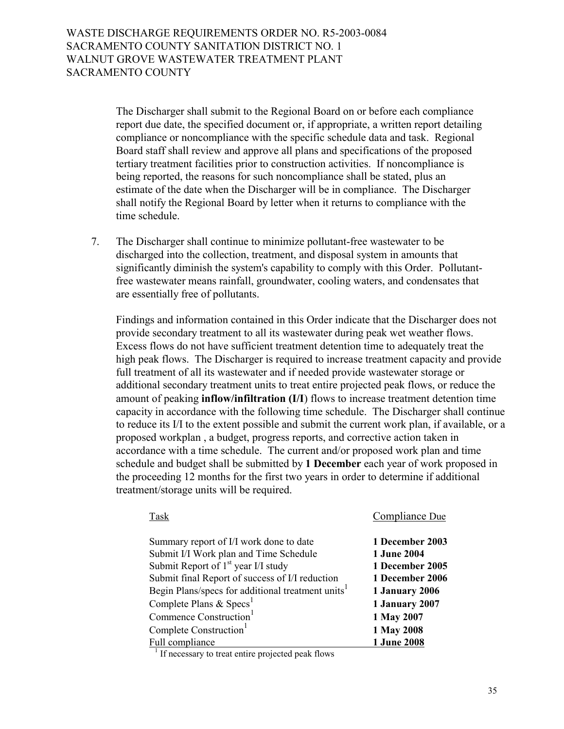The Discharger shall submit to the Regional Board on or before each compliance report due date, the specified document or, if appropriate, a written report detailing compliance or noncompliance with the specific schedule data and task. Regional Board staff shall review and approve all plans and specifications of the proposed tertiary treatment facilities prior to construction activities. If noncompliance is being reported, the reasons for such noncompliance shall be stated, plus an estimate of the date when the Discharger will be in compliance. The Discharger shall notify the Regional Board by letter when it returns to compliance with the time schedule.

7. The Discharger shall continue to minimize pollutant-free wastewater to be discharged into the collection, treatment, and disposal system in amounts that significantly diminish the system's capability to comply with this Order. Pollutantfree wastewater means rainfall, groundwater, cooling waters, and condensates that are essentially free of pollutants.

 Findings and information contained in this Order indicate that the Discharger does not provide secondary treatment to all its wastewater during peak wet weather flows. Excess flows do not have sufficient treatment detention time to adequately treat the high peak flows. The Discharger is required to increase treatment capacity and provide full treatment of all its wastewater and if needed provide wastewater storage or additional secondary treatment units to treat entire projected peak flows, or reduce the amount of peaking **inflow/infiltration (I/I**) flows to increase treatment detention time capacity in accordance with the following time schedule. The Discharger shall continue to reduce its I/I to the extent possible and submit the current work plan, if available, or a proposed workplan , a budget, progress reports, and corrective action taken in accordance with a time schedule. The current and/or proposed work plan and time schedule and budget shall be submitted by **1 December** each year of work proposed in the proceeding 12 months for the first two years in order to determine if additional treatment/storage units will be required.

| Summary report of I/I work done to date                        | 1 December 2003    |
|----------------------------------------------------------------|--------------------|
| Submit I/I Work plan and Time Schedule                         | <b>1 June 2004</b> |
| Submit Report of $1st$ year I/I study                          | 1 December 2005    |
| Submit final Report of success of I/I reduction                | 1 December 2006    |
| Begin Plans/specs for additional treatment units <sup>1</sup>  | 1 January 2006     |
| Complete Plans & $\text{Specs}^1$                              | 1 January 2007     |
| Commence Construction <sup>1</sup>                             | 1 May 2007         |
| Complete Construction <sup>1</sup>                             | 1 May 2008         |
| Full compliance                                                | 1 June 2008        |
| <sup>1</sup> If necessary to treat entire projected peak flows |                    |

TaskCompliance Due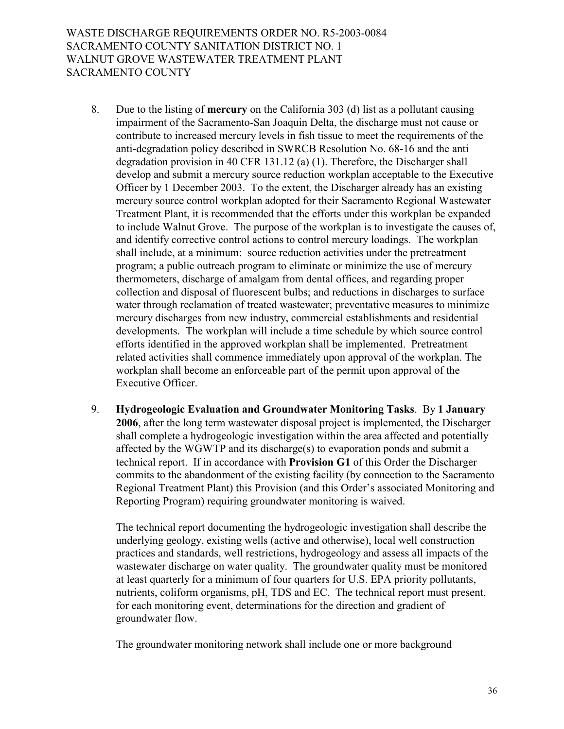- 8. Due to the listing of **mercury** on the California 303 (d) list as a pollutant causing impairment of the Sacramento-San Joaquin Delta, the discharge must not cause or contribute to increased mercury levels in fish tissue to meet the requirements of the anti-degradation policy described in SWRCB Resolution No. 68-16 and the anti degradation provision in 40 CFR 131.12 (a) (1). Therefore, the Discharger shall develop and submit a mercury source reduction workplan acceptable to the Executive Officer by 1 December 2003. To the extent, the Discharger already has an existing mercury source control workplan adopted for their Sacramento Regional Wastewater Treatment Plant, it is recommended that the efforts under this workplan be expanded to include Walnut Grove. The purpose of the workplan is to investigate the causes of, and identify corrective control actions to control mercury loadings. The workplan shall include, at a minimum: source reduction activities under the pretreatment program; a public outreach program to eliminate or minimize the use of mercury thermometers, discharge of amalgam from dental offices, and regarding proper collection and disposal of fluorescent bulbs; and reductions in discharges to surface water through reclamation of treated wastewater; preventative measures to minimize mercury discharges from new industry, commercial establishments and residential developments. The workplan will include a time schedule by which source control efforts identified in the approved workplan shall be implemented. Pretreatment related activities shall commence immediately upon approval of the workplan. The workplan shall become an enforceable part of the permit upon approval of the Executive Officer.
- 9. **Hydrogeologic Evaluation and Groundwater Monitoring Tasks**. By **1 January 2006**, after the long term wastewater disposal project is implemented, the Discharger shall complete a hydrogeologic investigation within the area affected and potentially affected by the WGWTP and its discharge(s) to evaporation ponds and submit a technical report. If in accordance with **Provision G1** of this Order the Discharger commits to the abandonment of the existing facility (by connection to the Sacramento Regional Treatment Plant) this Provision (and this Order's associated Monitoring and Reporting Program) requiring groundwater monitoring is waived.

 The technical report documenting the hydrogeologic investigation shall describe the underlying geology, existing wells (active and otherwise), local well construction practices and standards, well restrictions, hydrogeology and assess all impacts of the wastewater discharge on water quality. The groundwater quality must be monitored at least quarterly for a minimum of four quarters for U.S. EPA priority pollutants, nutrients, coliform organisms, pH, TDS and EC. The technical report must present, for each monitoring event, determinations for the direction and gradient of groundwater flow.

The groundwater monitoring network shall include one or more background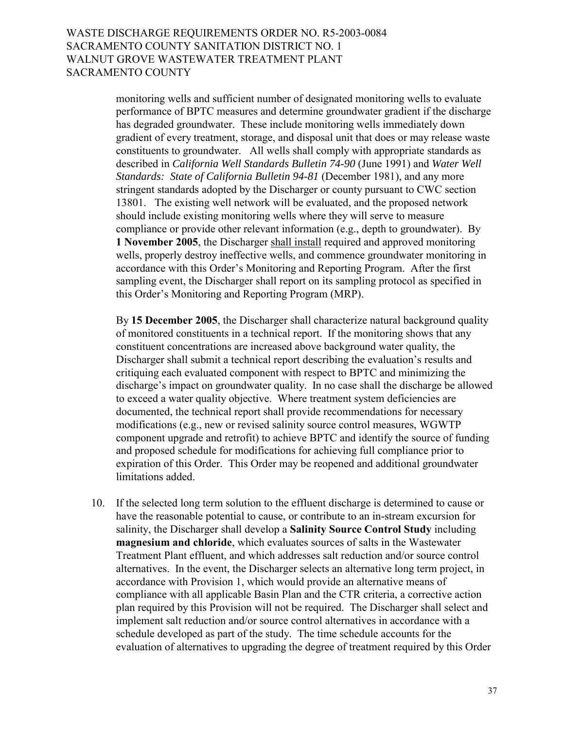monitoring wells and sufficient number of designated monitoring wells to evaluate performance of BPTC measures and determine groundwater gradient if the discharge has degraded groundwater. These include monitoring wells immediately down gradient of every treatment, storage, and disposal unit that does or may release waste constituents to groundwater. All wells shall comply with appropriate standards as described in *California Well Standards Bulletin 74-90* (June 1991) and *Water Well Standards: State of California Bulletin 94-81* (December 1981), and any more stringent standards adopted by the Discharger or county pursuant to CWC section 13801. The existing well network will be evaluated, and the proposed network should include existing monitoring wells where they will serve to measure compliance or provide other relevant information (e.g., depth to groundwater). By **1 November 2005**, the Discharger shall install required and approved monitoring wells, properly destroy ineffective wells, and commence groundwater monitoring in accordance with this Order's Monitoring and Reporting Program. After the first sampling event, the Discharger shall report on its sampling protocol as specified in this Order's Monitoring and Reporting Program (MRP).

By **15 December 2005**, the Discharger shall characterize natural background quality of monitored constituents in a technical report. If the monitoring shows that any constituent concentrations are increased above background water quality, the Discharger shall submit a technical report describing the evaluation's results and critiquing each evaluated component with respect to BPTC and minimizing the discharge's impact on groundwater quality. In no case shall the discharge be allowed to exceed a water quality objective. Where treatment system deficiencies are documented, the technical report shall provide recommendations for necessary modifications (e.g., new or revised salinity source control measures, WGWTP component upgrade and retrofit) to achieve BPTC and identify the source of funding and proposed schedule for modifications for achieving full compliance prior to expiration of this Order. This Order may be reopened and additional groundwater limitations added.

10. If the selected long term solution to the effluent discharge is determined to cause or have the reasonable potential to cause, or contribute to an in-stream excursion for salinity, the Discharger shall develop a **Salinity Source Control Study** including **magnesium and chloride**, which evaluates sources of salts in the Wastewater Treatment Plant effluent, and which addresses salt reduction and/or source control alternatives. In the event, the Discharger selects an alternative long term project, in accordance with Provision 1, which would provide an alternative means of compliance with all applicable Basin Plan and the CTR criteria, a corrective action plan required by this Provision will not be required. The Discharger shall select and implement salt reduction and/or source control alternatives in accordance with a schedule developed as part of the study. The time schedule accounts for the evaluation of alternatives to upgrading the degree of treatment required by this Order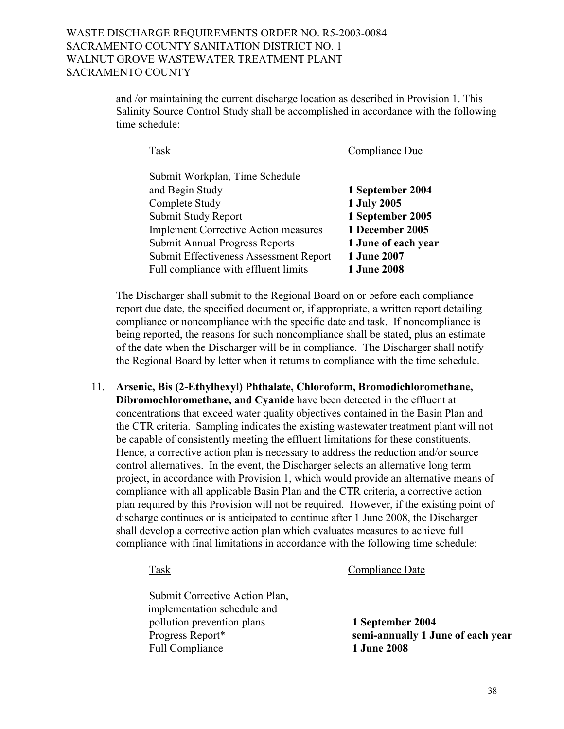# WASTE DISCHARGE REQUIREMENTS ORDER NO. R5-2003-0084 SACRAMENTO COUNTY SANITATION DISTRICT NO. 1 WALNUT GROVE WASTEWATER TREATMENT PLANT SACRAMENTO COUNTY

and /or maintaining the current discharge location as described in Provision 1. This Salinity Source Control Study shall be accomplished in accordance with the following time schedule:

| Submit Workplan, Time Schedule              |                     |
|---------------------------------------------|---------------------|
| and Begin Study                             | 1 September 2004    |
| Complete Study                              | 1 July 2005         |
| Submit Study Report                         | 1 September 2005    |
| <b>Implement Corrective Action measures</b> | 1 December 2005     |
| <b>Submit Annual Progress Reports</b>       | 1 June of each year |
| Submit Effectiveness Assessment Report      | <b>1 June 2007</b>  |
| Full compliance with effluent limits        | <b>1 June 2008</b>  |
|                                             |                     |

TaskCompliance Due

The Discharger shall submit to the Regional Board on or before each compliance report due date, the specified document or, if appropriate, a written report detailing compliance or noncompliance with the specific date and task. If noncompliance is being reported, the reasons for such noncompliance shall be stated, plus an estimate of the date when the Discharger will be in compliance. The Discharger shall notify the Regional Board by letter when it returns to compliance with the time schedule.

11. **Arsenic, Bis (2-Ethylhexyl) Phthalate, Chloroform, Bromodichloromethane, Dibromochloromethane, and Cyanide** have been detected in the effluent at concentrations that exceed water quality objectives contained in the Basin Plan and the CTR criteria. Sampling indicates the existing wastewater treatment plant will not be capable of consistently meeting the effluent limitations for these constituents. Hence, a corrective action plan is necessary to address the reduction and/or source control alternatives. In the event, the Discharger selects an alternative long term project, in accordance with Provision 1, which would provide an alternative means of compliance with all applicable Basin Plan and the CTR criteria, a corrective action plan required by this Provision will not be required. However, if the existing point of discharge continues or is anticipated to continue after 1 June 2008, the Discharger shall develop a corrective action plan which evaluates measures to achieve full compliance with final limitations in accordance with the following time schedule:

Task Compliance Date

Submit Corrective Action Plan, implementation schedule and pollution prevention plans **1 September 2004** Full Compliance 1 June 2008

Progress Report\* **semi-annually 1 June of each year**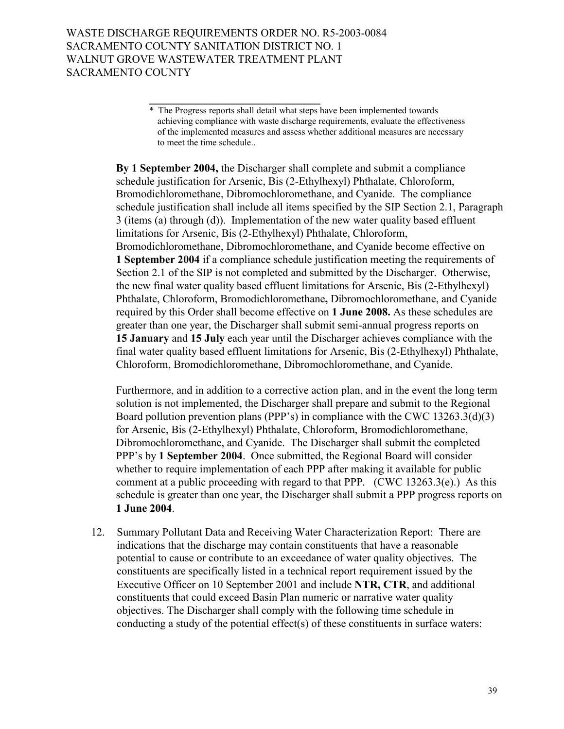**By 1 September 2004,** the Discharger shall complete and submit a compliance schedule justification for Arsenic, Bis (2-Ethylhexyl) Phthalate, Chloroform, Bromodichloromethane, Dibromochloromethane, and Cyanide. The compliance schedule justification shall include all items specified by the SIP Section 2.1, Paragraph 3 (items (a) through (d)). Implementation of the new water quality based effluent limitations for Arsenic, Bis (2-Ethylhexyl) Phthalate, Chloroform, Bromodichloromethane, Dibromochloromethane, and Cyanide become effective on **1 September 2004** if a compliance schedule justification meeting the requirements of Section 2.1 of the SIP is not completed and submitted by the Discharger. Otherwise, the new final water quality based effluent limitations for Arsenic, Bis (2-Ethylhexyl) Phthalate, Chloroform, Bromodichloromethane**,** Dibromochloromethane, and Cyanide required by this Order shall become effective on **1 June 2008.** As these schedules are greater than one year, the Discharger shall submit semi-annual progress reports on **15 January** and **15 July** each year until the Discharger achieves compliance with the final water quality based effluent limitations for Arsenic, Bis (2-Ethylhexyl) Phthalate, Chloroform, Bromodichloromethane, Dibromochloromethane, and Cyanide.

Furthermore, and in addition to a corrective action plan, and in the event the long term solution is not implemented, the Discharger shall prepare and submit to the Regional Board pollution prevention plans (PPP's) in compliance with the CWC  $13263.3(d)(3)$ for Arsenic, Bis (2-Ethylhexyl) Phthalate, Chloroform, Bromodichloromethane, Dibromochloromethane, and Cyanide. The Discharger shall submit the completed PPP's by 1 September 2004. Once submitted, the Regional Board will consider whether to require implementation of each PPP after making it available for public comment at a public proceeding with regard to that PPP*.* (CWC 13263.3(e).) As this schedule is greater than one year, the Discharger shall submit a PPP progress reports on **1 June 2004**.

12. Summary Pollutant Data and Receiving Water Characterization Report: There are indications that the discharge may contain constituents that have a reasonable potential to cause or contribute to an exceedance of water quality objectives. The constituents are specifically listed in a technical report requirement issued by the Executive Officer on 10 September 2001 and include **NTR, CTR**, and additional constituents that could exceed Basin Plan numeric or narrative water quality objectives. The Discharger shall comply with the following time schedule in conducting a study of the potential effect(s) of these constituents in surface waters:

 $\frac{1}{2}$  ,  $\frac{1}{2}$  ,  $\frac{1}{2}$  ,  $\frac{1}{2}$  ,  $\frac{1}{2}$  ,  $\frac{1}{2}$  ,  $\frac{1}{2}$  ,  $\frac{1}{2}$  ,  $\frac{1}{2}$  ,  $\frac{1}{2}$  ,  $\frac{1}{2}$  ,  $\frac{1}{2}$  ,  $\frac{1}{2}$  ,  $\frac{1}{2}$  ,  $\frac{1}{2}$  ,  $\frac{1}{2}$  ,  $\frac{1}{2}$  ,  $\frac{1}{2}$  ,  $\frac{1$ \* The Progress reports shall detail what steps have been implemented towards achieving compliance with waste discharge requirements, evaluate the effectiveness of the implemented measures and assess whether additional measures are necessary to meet the time schedule..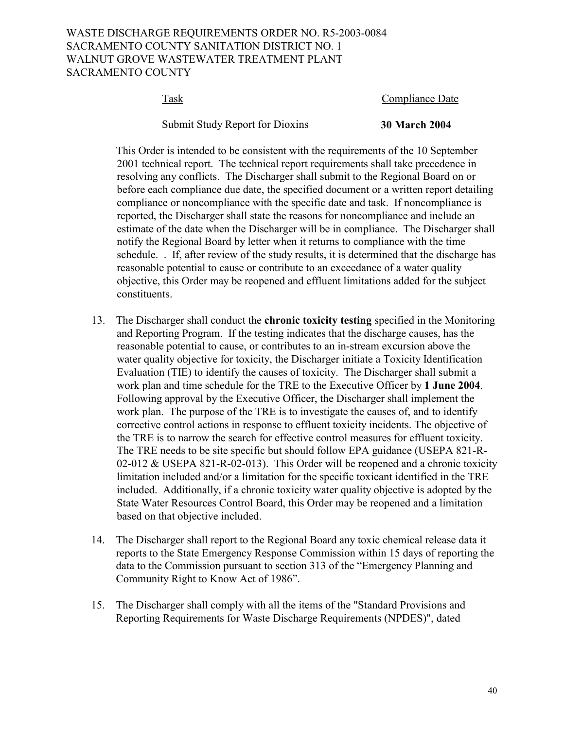# WASTE DISCHARGE REQUIREMENTS ORDER NO. R5-2003-0084 SACRAMENTO COUNTY SANITATION DISTRICT NO. 1 WALNUT GROVE WASTEWATER TREATMENT PLANT SACRAMENTO COUNTY

# Task Compliance Date

Submit Study Report for Dioxins **30 March 2004** 

 This Order is intended to be consistent with the requirements of the 10 September 2001 technical report. The technical report requirements shall take precedence in resolving any conflicts. The Discharger shall submit to the Regional Board on or before each compliance due date, the specified document or a written report detailing compliance or noncompliance with the specific date and task. If noncompliance is reported, the Discharger shall state the reasons for noncompliance and include an estimate of the date when the Discharger will be in compliance. The Discharger shall notify the Regional Board by letter when it returns to compliance with the time schedule. . If, after review of the study results, it is determined that the discharge has reasonable potential to cause or contribute to an exceedance of a water quality objective, this Order may be reopened and effluent limitations added for the subject constituents.

- 13. The Discharger shall conduct the **chronic toxicity testing** specified in the Monitoring and Reporting Program. If the testing indicates that the discharge causes, has the reasonable potential to cause, or contributes to an in-stream excursion above the water quality objective for toxicity, the Discharger initiate a Toxicity Identification Evaluation (TIE) to identify the causes of toxicity. The Discharger shall submit a work plan and time schedule for the TRE to the Executive Officer by **1 June 2004**. Following approval by the Executive Officer, the Discharger shall implement the work plan. The purpose of the TRE is to investigate the causes of, and to identify corrective control actions in response to effluent toxicity incidents. The objective of the TRE is to narrow the search for effective control measures for effluent toxicity. The TRE needs to be site specific but should follow EPA guidance (USEPA 821-R-02-012 & USEPA 821-R-02-013). This Order will be reopened and a chronic toxicity limitation included and/or a limitation for the specific toxicant identified in the TRE included. Additionally, if a chronic toxicity water quality objective is adopted by the State Water Resources Control Board, this Order may be reopened and a limitation based on that objective included.
- 14. The Discharger shall report to the Regional Board any toxic chemical release data it reports to the State Emergency Response Commission within 15 days of reporting the data to the Commission pursuant to section 313 of the "Emergency Planning and Community Right to Know Act of 1986".
- 15. The Discharger shall comply with all the items of the "Standard Provisions and Reporting Requirements for Waste Discharge Requirements (NPDES)", dated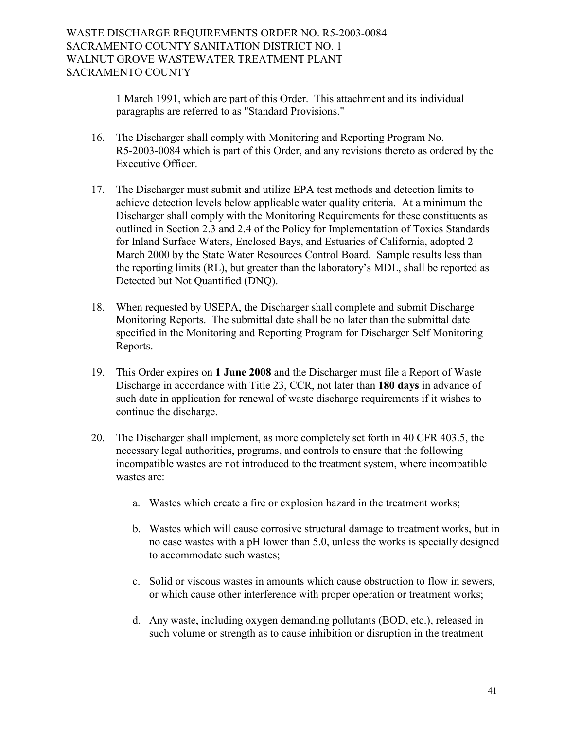1 March 1991, which are part of this Order. This attachment and its individual paragraphs are referred to as "Standard Provisions."

- 16. The Discharger shall comply with Monitoring and Reporting Program No. R5-2003-0084 which is part of this Order, and any revisions thereto as ordered by the Executive Officer.
- 17. The Discharger must submit and utilize EPA test methods and detection limits to achieve detection levels below applicable water quality criteria. At a minimum the Discharger shall comply with the Monitoring Requirements for these constituents as outlined in Section 2.3 and 2.4 of the Policy for Implementation of Toxics Standards for Inland Surface Waters, Enclosed Bays, and Estuaries of California, adopted 2 March 2000 by the State Water Resources Control Board. Sample results less than the reporting limits (RL), but greater than the laboratory's MDL, shall be reported as Detected but Not Quantified (DNQ).
- 18. When requested by USEPA, the Discharger shall complete and submit Discharge Monitoring Reports. The submittal date shall be no later than the submittal date specified in the Monitoring and Reporting Program for Discharger Self Monitoring Reports.
- 19. This Order expires on **1 June 2008** and the Discharger must file a Report of Waste Discharge in accordance with Title 23, CCR, not later than **180 days** in advance of such date in application for renewal of waste discharge requirements if it wishes to continue the discharge.
- 20. The Discharger shall implement, as more completely set forth in 40 CFR 403.5, the necessary legal authorities, programs, and controls to ensure that the following incompatible wastes are not introduced to the treatment system, where incompatible wastes are:
	- a. Wastes which create a fire or explosion hazard in the treatment works;
	- b. Wastes which will cause corrosive structural damage to treatment works, but in no case wastes with a pH lower than 5.0, unless the works is specially designed to accommodate such wastes;
	- c. Solid or viscous wastes in amounts which cause obstruction to flow in sewers, or which cause other interference with proper operation or treatment works;
	- d. Any waste, including oxygen demanding pollutants (BOD, etc.), released in such volume or strength as to cause inhibition or disruption in the treatment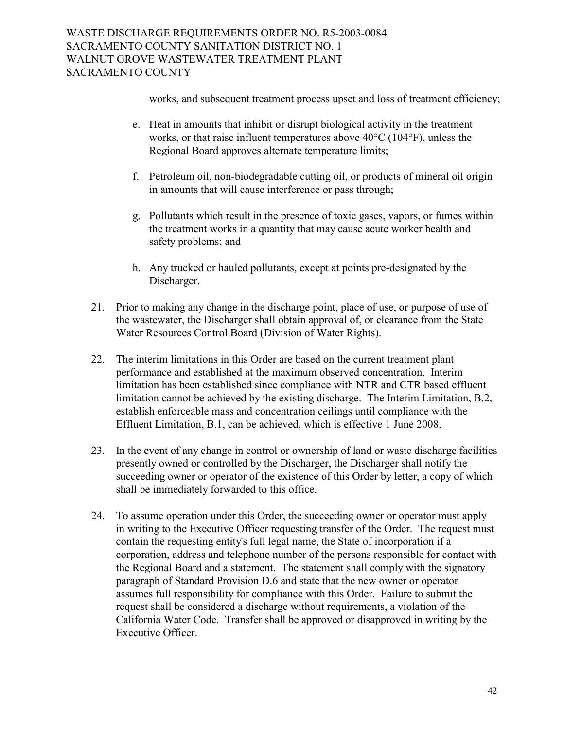works, and subsequent treatment process upset and loss of treatment efficiency;

- e. Heat in amounts that inhibit or disrupt biological activity in the treatment works, or that raise influent temperatures above 40°C (104°F), unless the Regional Board approves alternate temperature limits;
- f. Petroleum oil, non-biodegradable cutting oil, or products of mineral oil origin in amounts that will cause interference or pass through;
- g. Pollutants which result in the presence of toxic gases, vapors, or fumes within the treatment works in a quantity that may cause acute worker health and safety problems; and
- h. Any trucked or hauled pollutants, except at points pre-designated by the Discharger.
- 21. Prior to making any change in the discharge point, place of use, or purpose of use of the wastewater, the Discharger shall obtain approval of, or clearance from the State Water Resources Control Board (Division of Water Rights).
- 22. The interim limitations in this Order are based on the current treatment plant performance and established at the maximum observed concentration. Interim limitation has been established since compliance with NTR and CTR based effluent limitation cannot be achieved by the existing discharge. The Interim Limitation, B.2, establish enforceable mass and concentration ceilings until compliance with the Effluent Limitation, B.1, can be achieved, which is effective 1 June 2008.
- 23. In the event of any change in control or ownership of land or waste discharge facilities presently owned or controlled by the Discharger, the Discharger shall notify the succeeding owner or operator of the existence of this Order by letter, a copy of which shall be immediately forwarded to this office.
- 24. To assume operation under this Order, the succeeding owner or operator must apply in writing to the Executive Officer requesting transfer of the Order. The request must contain the requesting entity's full legal name, the State of incorporation if a corporation, address and telephone number of the persons responsible for contact with the Regional Board and a statement. The statement shall comply with the signatory paragraph of Standard Provision D.6 and state that the new owner or operator assumes full responsibility for compliance with this Order. Failure to submit the request shall be considered a discharge without requirements, a violation of the California Water Code. Transfer shall be approved or disapproved in writing by the Executive Officer.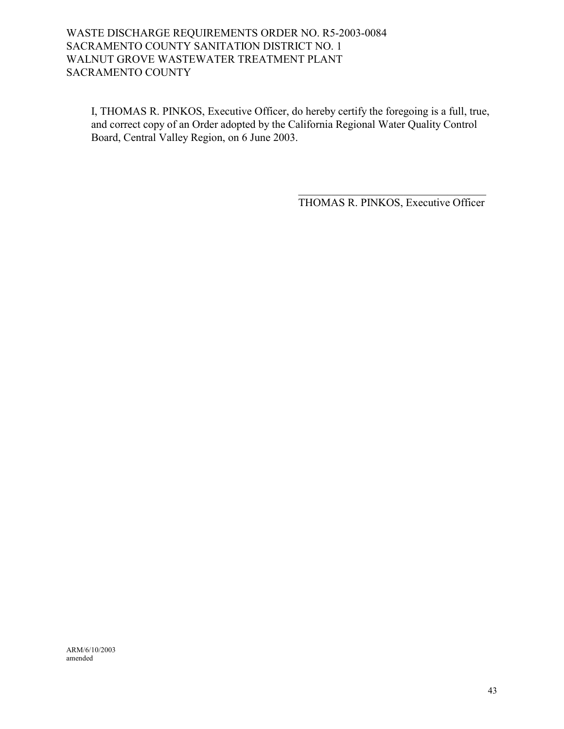# WASTE DISCHARGE REQUIREMENTS ORDER NO. R5-2003-0084 SACRAMENTO COUNTY SANITATION DISTRICT NO. 1 WALNUT GROVE WASTEWATER TREATMENT PLANT SACRAMENTO COUNTY

I, THOMAS R. PINKOS, Executive Officer, do hereby certify the foregoing is a full, true, and correct copy of an Order adopted by the California Regional Water Quality Control Board, Central Valley Region, on 6 June 2003.

> $\mathcal{L}_\text{max}$  , and the set of the set of the set of the set of the set of the set of the set of the set of the set of the set of the set of the set of the set of the set of the set of the set of the set of the set of the THOMAS R. PINKOS, Executive Officer

ARM/6/10/2003 amended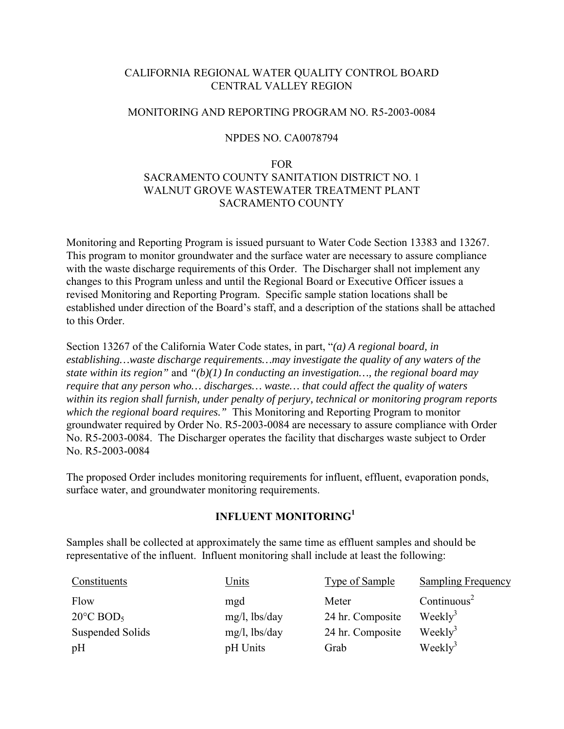# CALIFORNIA REGIONAL WATER QUALITY CONTROL BOARD CENTRAL VALLEY REGION

### MONITORING AND REPORTING PROGRAM NO. R5-2003-0084

### NPDES NO. CA0078794

#### FOR

# SACRAMENTO COUNTY SANITATION DISTRICT NO. 1 WALNUT GROVE WASTEWATER TREATMENT PLANT SACRAMENTO COUNTY

Monitoring and Reporting Program is issued pursuant to Water Code Section 13383 and 13267. This program to monitor groundwater and the surface water are necessary to assure compliance with the waste discharge requirements of this Order. The Discharger shall not implement any changes to this Program unless and until the Regional Board or Executive Officer issues a revised Monitoring and Reporting Program. Specific sample station locations shall be established under direction of the Board's staff, and a description of the stations shall be attached to this Order.

Section 13267 of the California Water Code states, in part, *"(a) A regional board, in establishing…waste discharge requirements…may investigate the quality of any waters of the state within its region"* and *"(b)(1) In conducting an investigation…, the regional board may require that any person who… discharges… waste… that could affect the quality of waters within its region shall furnish, under penalty of perjury, technical or monitoring program reports which the regional board requires."* This Monitoring and Reporting Program to monitor groundwater required by Order No. R5-2003-0084 are necessary to assure compliance with Order No. R5-2003-0084. The Discharger operates the facility that discharges waste subject to Order No. R5-2003-0084

The proposed Order includes monitoring requirements for influent, effluent, evaporation ponds, surface water, and groundwater monitoring requirements.

# **INFLUENT MONITORING1**

Samples shall be collected at approximately the same time as effluent samples and should be representative of the influent. Influent monitoring shall include at least the following:

| Constituents                    | <u>Units</u>     | <b>Type of Sample</b> | <b>Sampling Frequency</b> |
|---------------------------------|------------------|-----------------------|---------------------------|
| Flow                            | mgd              | Meter                 | Continuous <sup>2</sup>   |
| $20^{\circ}$ C BOD <sub>5</sub> | $mg/l$ , lbs/day | 24 hr. Composite      | Weekly <sup>3</sup>       |
| Suspended Solids                | $mg/l$ , lbs/day | 24 hr. Composite      | $\text{Weakly}^3$         |
| pH                              | pH Units         | Grab                  | $\text{Weakly}^3$         |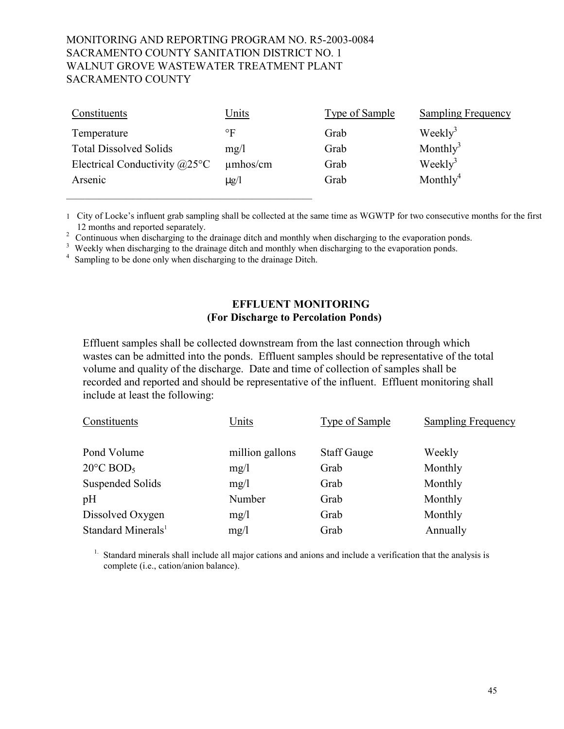| Constituents                           | <u>Units</u>  | Type of Sample | <b>Sampling Frequency</b> |
|----------------------------------------|---------------|----------------|---------------------------|
| Temperature                            | °F            | Grab           | Weekly <sup>3</sup>       |
| <b>Total Dissolved Solids</b>          | mg/l          | Grab           | Monthly <sup>3</sup>      |
| Electrical Conductivity $@25^{\circ}C$ | $\mu$ mhos/cm | Grab           | $\text{Weakly}^3$         |
| Arsenic                                | $\mu$ g/l     | Grab           | Monthly <sup>4</sup>      |
|                                        |               |                |                           |

1 City of Lockeís influent grab sampling shall be collected at the same time as WGWTP for two consecutive months for the first

12 months and reported separately.<br><sup>2</sup> Continuous when discharging to the drainage ditch and monthly when discharging to the evaporation ponds.

<sup>3</sup> Weekly when discharging to the drainage ditch and monthly when discharging to the evaporation ponds.

<sup>4</sup> Sampling to be done only when discharging to the drainage Ditch.

# **EFFLUENT MONITORING (For Discharge to Percolation Ponds)**

Effluent samples shall be collected downstream from the last connection through which wastes can be admitted into the ponds. Effluent samples should be representative of the total volume and quality of the discharge. Date and time of collection of samples shall be recorded and reported and should be representative of the influent. Effluent monitoring shall include at least the following:

| Constituents                    | Units           | <b>Type of Sample</b> | <b>Sampling Frequency</b> |
|---------------------------------|-----------------|-----------------------|---------------------------|
| Pond Volume                     | million gallons | <b>Staff Gauge</b>    | Weekly                    |
| $20^{\circ}$ C BOD <sub>5</sub> | mg/1            | Grab                  | Monthly                   |
| Suspended Solids                | mg/1            | Grab                  | Monthly                   |
| pH                              | Number          | Grab                  | Monthly                   |
| Dissolved Oxygen                | mg/1            | Grab                  | Monthly                   |
| Standard Minerals <sup>1</sup>  | mg/l            | Grab                  | Annually                  |

<sup>1.</sup> Standard minerals shall include all major cations and anions and include a verification that the analysis is complete (i.e., cation/anion balance).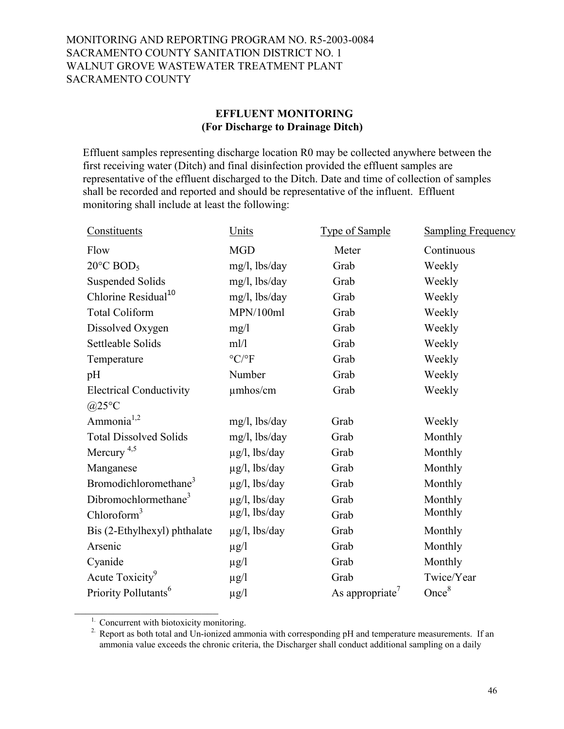# **EFFLUENT MONITORING (For Discharge to Drainage Ditch)**

Effluent samples representing discharge location R0 may be collected anywhere between the first receiving water (Ditch) and final disinfection provided the effluent samples are representative of the effluent discharged to the Ditch. Date and time of collection of samples shall be recorded and reported and should be representative of the influent. Effluent monitoring shall include at least the following:

| Constituents                      | Units                 | <b>Type of Sample</b>       | <b>Sampling Frequency</b> |
|-----------------------------------|-----------------------|-----------------------------|---------------------------|
| Flow                              | <b>MGD</b>            | Meter                       | Continuous                |
| $20^{\circ}$ C BOD <sub>5</sub>   | mg/l, lbs/day         | Grab                        | Weekly                    |
| <b>Suspended Solids</b>           | mg/l, lbs/day         | Grab                        | Weekly                    |
| Chlorine Residual <sup>10</sup>   | mg/l, lbs/day         | Grab                        | Weekly                    |
| <b>Total Coliform</b>             | MPN/100ml             | Grab                        | Weekly                    |
| Dissolved Oxygen                  | mg/1                  | Grab                        | Weekly                    |
| Settleable Solids                 | ml/l                  | Grab                        | Weekly                    |
| Temperature                       | $^{\circ}C/^{\circ}F$ | Grab                        | Weekly                    |
| pH                                | Number                | Grab                        | Weekly                    |
| <b>Electrical Conductivity</b>    | $\mu$ mhos/cm         | Grab                        | Weekly                    |
| @25°C                             |                       |                             |                           |
| Ammonia <sup>1,2</sup>            | $mg/l$ , lbs/day      | Grab                        | Weekly                    |
| <b>Total Dissolved Solids</b>     | $mg/l$ , lbs/day      | Grab                        | Monthly                   |
| Mercury $4,5$                     | $\mu$ g/l, lbs/day    | Grab                        | Monthly                   |
| Manganese                         | $\mu$ g/l, lbs/day    | Grab                        | Monthly                   |
| Bromodichloromethane <sup>3</sup> | $\mu$ g/l, lbs/day    | Grab                        | Monthly                   |
| Dibromochlormethane <sup>3</sup>  | $\mu$ g/l, lbs/day    | Grab                        | Monthly                   |
| Chloroform <sup>3</sup>           | $\mu$ g/l, lbs/day    | Grab                        | Monthly                   |
| Bis (2-Ethylhexyl) phthalate      | $\mu$ g/l, lbs/day    | Grab                        | Monthly                   |
| Arsenic                           | $\mu$ g/l             | Grab                        | Monthly                   |
| Cyanide                           | $\mu$ g/l             | Grab                        | Monthly                   |
| Acute Toxicity <sup>9</sup>       | $\mu$ g/l             | Grab                        | Twice/Year                |
| Priority Pollutants <sup>6</sup>  | $\mu$ g/l             | As appropriate <sup>'</sup> | Once <sup>8</sup>         |
|                                   |                       |                             |                           |

<sup>&</sup>lt;sup>1.</sup> Concurrent with biotoxicity monitoring.

 $\frac{1}{2}$  ,  $\frac{1}{2}$  ,  $\frac{1}{2}$  ,  $\frac{1}{2}$  ,  $\frac{1}{2}$  ,  $\frac{1}{2}$  ,  $\frac{1}{2}$  ,  $\frac{1}{2}$  ,  $\frac{1}{2}$  ,  $\frac{1}{2}$  ,  $\frac{1}{2}$  ,  $\frac{1}{2}$  ,  $\frac{1}{2}$  ,  $\frac{1}{2}$  ,  $\frac{1}{2}$  ,  $\frac{1}{2}$  ,  $\frac{1}{2}$  ,  $\frac{1}{2}$  ,  $\frac{1$ 

<sup>2</sup>. Report as both total and Un-ionized ammonia with corresponding pH and temperature measurements. If an ammonia value exceeds the chronic criteria, the Discharger shall conduct additional sampling on a daily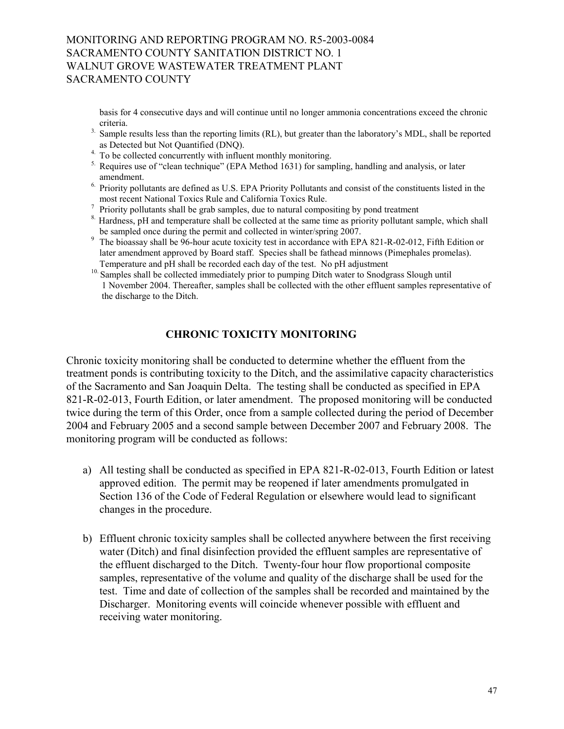basis for 4 consecutive days and will continue until no longer ammonia concentrations exceed the chronic

- <sup>3.</sup> Sample results less than the reporting limits (RL), but greater than the laboratory's MDL, shall be reported <sup>3</sup>
- as Detected but Not Quantified (DNQ). 4. To be collected concurrently with influent monthly monitoring.
- $<sup>5</sup>$  Requires use of "clean technique" (EPA Method 1631) for sampling, handling and analysis, or later</sup>
- amendment.<br><sup>6.</sup> Priority pollutants are defined as U.S. EPA Priority Pollutants and consist of the constituents listed in the most recent National Toxics Rule and California Toxics Rule.<br><sup>7</sup> Priority pollutants shall be grab samples, due to natural compositing by pond treatment<br><sup>8</sup> Hardness, pH and temperature shall be collected at the same time
- 
- be sampled once during the permit and collected in winter/spring 2007.<br><sup>9</sup> The bioassay shall be 96-hour acute toxicity test in accordance with EPA 821-R-02-012, Fifth Edition or
- later amendment approved by Board staff. Species shall be fathead minnows (Pimephales promelas). Temperature and pH shall be recorded each day of the test. No pH adjustment
- <sup>10.</sup> Samples shall be collected immediately prior to pumping Ditch water to Snodgrass Slough until 1 November 2004. Thereafter, samples shall be collected with the other effluent samples representative of the discharge to the Ditch.

# **CHRONIC TOXICITY MONITORING**

Chronic toxicity monitoring shall be conducted to determine whether the effluent from the treatment ponds is contributing toxicity to the Ditch, and the assimilative capacity characteristics of the Sacramento and San Joaquin Delta. The testing shall be conducted as specified in EPA 821-R-02-013, Fourth Edition, or later amendment. The proposed monitoring will be conducted twice during the term of this Order, once from a sample collected during the period of December 2004 and February 2005 and a second sample between December 2007 and February 2008. The monitoring program will be conducted as follows:

- a) All testing shall be conducted as specified in EPA 821-R-02-013, Fourth Edition or latest approved edition. The permit may be reopened if later amendments promulgated in Section 136 of the Code of Federal Regulation or elsewhere would lead to significant changes in the procedure.
- b) Effluent chronic toxicity samples shall be collected anywhere between the first receiving water (Ditch) and final disinfection provided the effluent samples are representative of the effluent discharged to the Ditch. Twenty-four hour flow proportional composite samples, representative of the volume and quality of the discharge shall be used for the test. Time and date of collection of the samples shall be recorded and maintained by the Discharger. Monitoring events will coincide whenever possible with effluent and receiving water monitoring.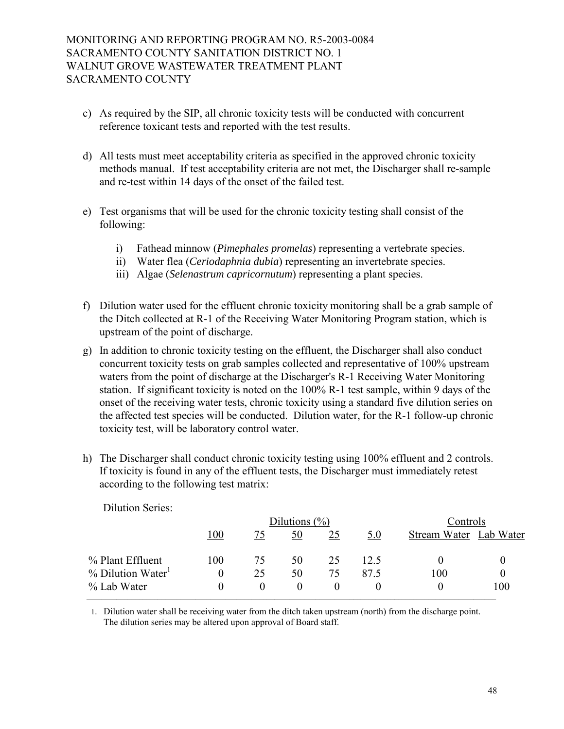- c) As required by the SIP, all chronic toxicity tests will be conducted with concurrent reference toxicant tests and reported with the test results.
- d) All tests must meet acceptability criteria as specified in the approved chronic toxicity methods manual. If test acceptability criteria are not met, the Discharger shall re-sample and re-test within 14 days of the onset of the failed test.
- e) Test organisms that will be used for the chronic toxicity testing shall consist of the following:
	- i) Fathead minnow (*Pimephales promelas*) representing a vertebrate species.
	- ii) Water flea (*Ceriodaphnia dubia*) representing an invertebrate species.
	- iii) Algae (*Selenastrum capricornutum*) representing a plant species.
- f) Dilution water used for the effluent chronic toxicity monitoring shall be a grab sample of the Ditch collected at R-1 of the Receiving Water Monitoring Program station, which is upstream of the point of discharge.
- g) In addition to chronic toxicity testing on the effluent, the Discharger shall also conduct concurrent toxicity tests on grab samples collected and representative of 100% upstream waters from the point of discharge at the Discharger's R-1 Receiving Water Monitoring station. If significant toxicity is noted on the 100% R-1 test sample, within 9 days of the onset of the receiving water tests, chronic toxicity using a standard five dilution series on the affected test species will be conducted. Dilution water, for the R-1 follow-up chronic toxicity test, will be laboratory control water.
- h) The Discharger shall conduct chronic toxicity testing using 100% effluent and 2 controls. If toxicity is found in any of the effluent tests, the Discharger must immediately retest according to the following test matrix:

|                               |     |          | Dilutions $(\%)$ |    |      | Controls               |     |
|-------------------------------|-----|----------|------------------|----|------|------------------------|-----|
|                               | 100 |          | 50               | 25 | 5.0  | Stream Water Lab Water |     |
| % Plant Effluent              | 100 | 75       | 50               | 25 | 12.5 |                        |     |
| % Dilution Water <sup>1</sup> |     | 25       | 50               | 75 | 87.5 | 100                    |     |
| % Lab Water                   | 0   | $\theta$ | $\theta$         |    |      |                        | 100 |

Dilution Series:

1. Dilution water shall be receiving water from the ditch taken upstream (north) from the discharge point. The dilution series may be altered upon approval of Board staff.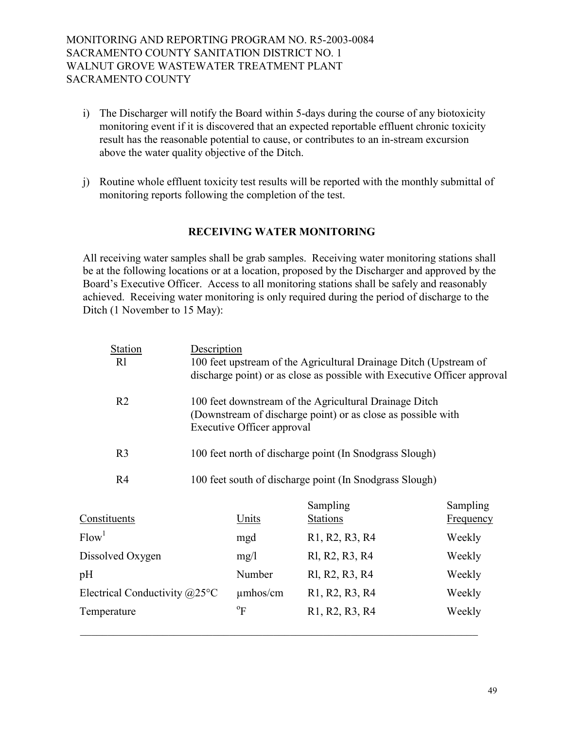- i) The Discharger will notify the Board within 5-days during the course of any biotoxicity monitoring event if it is discovered that an expected reportable effluent chronic toxicity result has the reasonable potential to cause, or contributes to an in-stream excursion above the water quality objective of the Ditch.
- j) Routine whole effluent toxicity test results will be reported with the monthly submittal of monitoring reports following the completion of the test.

# **RECEIVING WATER MONITORING**

All receiving water samples shall be grab samples. Receiving water monitoring stations shall be at the following locations or at a location, proposed by the Discharger and approved by the Board's Executive Officer. Access to all monitoring stations shall be safely and reasonably achieved. Receiving water monitoring is only required during the period of discharge to the Ditch (1 November to 15 May):

| <b>Station</b><br>Description<br>R1     |                                                                                                                                                             | 100 feet upstream of the Agricultural Drainage Ditch (Upstream of        |                  |
|-----------------------------------------|-------------------------------------------------------------------------------------------------------------------------------------------------------------|--------------------------------------------------------------------------|------------------|
|                                         |                                                                                                                                                             | discharge point) or as close as possible with Executive Officer approval |                  |
| R <sub>2</sub>                          | 100 feet downstream of the Agricultural Drainage Ditch<br>(Downstream of discharge point) or as close as possible with<br><b>Executive Officer approval</b> |                                                                          |                  |
| R <sub>3</sub>                          |                                                                                                                                                             | 100 feet north of discharge point (In Snodgrass Slough)                  |                  |
| R <sub>4</sub>                          |                                                                                                                                                             | 100 feet south of discharge point (In Snodgrass Slough)                  |                  |
|                                         |                                                                                                                                                             | Sampling                                                                 | Sampling         |
| Constituents                            | <u>Units</u>                                                                                                                                                | <b>Stations</b>                                                          | <b>Frequency</b> |
| Flow <sup>1</sup>                       | mgd                                                                                                                                                         | R <sub>1</sub> , R <sub>2</sub> , R <sub>3</sub> , R <sub>4</sub>        | Weekly           |
| Dissolved Oxygen                        | mg/1                                                                                                                                                        | RI, R2, R3, R4                                                           | Weekly           |
| pH                                      | Number                                                                                                                                                      | RI, R2, R3, R4                                                           | Weekly           |
| Electrical Conductivity $@25^{\circ}$ C | $\mu$ mhos/cm                                                                                                                                               | R <sub>1</sub> , R <sub>2</sub> , R <sub>3</sub> , R <sub>4</sub>        | Weekly           |
| Temperature                             | $\mathrm{P}^{\mathrm{o}}$                                                                                                                                   | R <sub>1</sub> , R <sub>2</sub> , R <sub>3</sub> , R <sub>4</sub>        | Weekly           |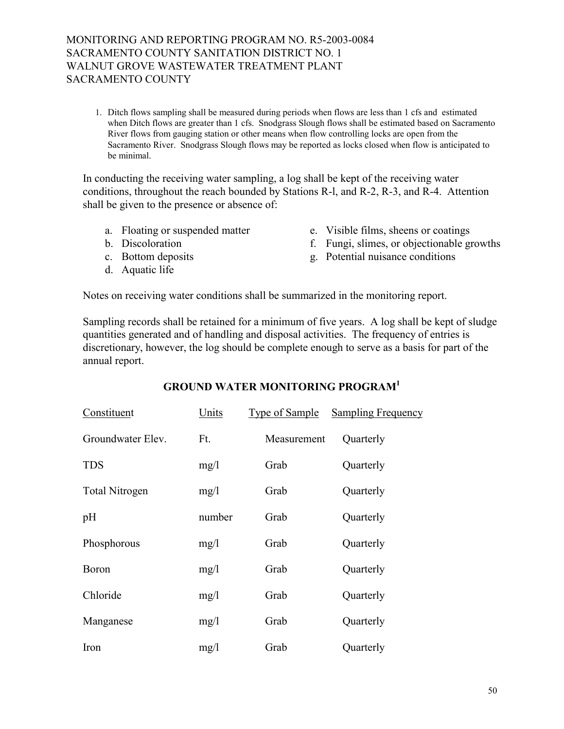1. Ditch flows sampling shall be measured during periods when flows are less than 1 cfs and estimated when Ditch flows are greater than 1 cfs. Snodgrass Slough flows shall be estimated based on Sacramento River flows from gauging station or other means when flow controlling locks are open from the Sacramento River. Snodgrass Slough flows may be reported as locks closed when flow is anticipated to be minimal.

In conducting the receiving water sampling, a log shall be kept of the receiving water conditions, throughout the reach bounded by Stations R-l, and R-2, R-3, and R-4. Attention shall be given to the presence or absence of:

- 
- 
- 
- d. Aquatic life
- a. Floating or suspended matter e. Visible films, sheens or coatings
- b. Discoloration f. Fungi, slimes, or objectionable growths
- c. Bottom deposits g. Potential nuisance conditions

Notes on receiving water conditions shall be summarized in the monitoring report.

Sampling records shall be retained for a minimum of five years. A log shall be kept of sludge quantities generated and of handling and disposal activities. The frequency of entries is discretionary, however, the log should be complete enough to serve as a basis for part of the annual report.

| Constituent           | Units  | Type of Sample | <b>Sampling Frequency</b> |
|-----------------------|--------|----------------|---------------------------|
| Groundwater Elev.     | Ft.    | Measurement    | Quarterly                 |
| <b>TDS</b>            | mg/1   | Grab           | Quarterly                 |
| <b>Total Nitrogen</b> | mg/1   | Grab           | Quarterly                 |
| pH                    | number | Grab           | Quarterly                 |
| Phosphorous           | mg/1   | Grab           | Quarterly                 |
| <b>Boron</b>          | mg/1   | Grab           | Quarterly                 |
| Chloride              | mg/1   | Grab           | Quarterly                 |
| Manganese             | mg/1   | Grab           | Quarterly                 |
| Iron                  | mg/1   | Grab           | Quarterly                 |

# **GROUND WATER MONITORING PROGRAM1**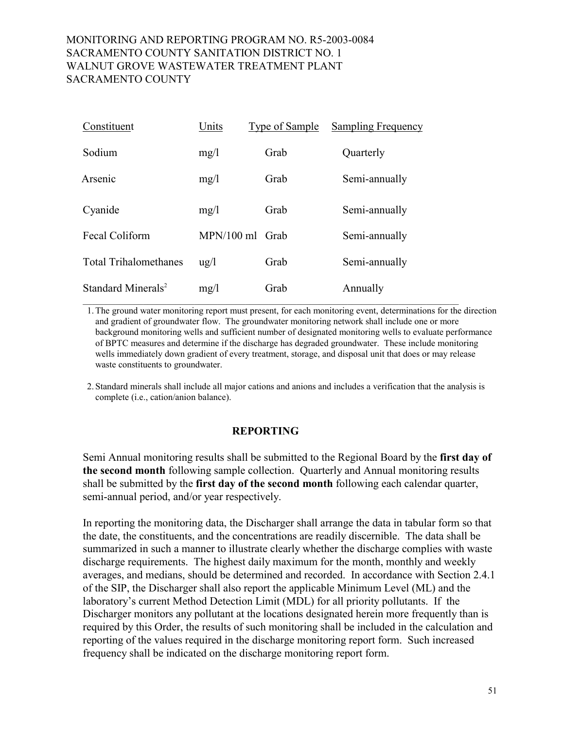| Constituent                    | Units           | <b>Type of Sample</b> | <b>Sampling Frequency</b> |
|--------------------------------|-----------------|-----------------------|---------------------------|
| Sodium                         | mg/1            | Grab                  | Quarterly                 |
| Arsenic                        | mg/1            | Grab                  | Semi-annually             |
| Cyanide                        | mg/l            | Grab                  | Semi-annually             |
| Fecal Coliform                 | MPN/100 ml Grab |                       | Semi-annually             |
| <b>Total Trihalomethanes</b>   | $\frac{u g}{l}$ | Grab                  | Semi-annually             |
| Standard Minerals <sup>2</sup> | mg/l            | Grab                  | Annually                  |

1. The ground water monitoring report must present, for each monitoring event, determinations for the direction and gradient of groundwater flow. The groundwater monitoring network shall include one or more background monitoring wells and sufficient number of designated monitoring wells to evaluate performance of BPTC measures and determine if the discharge has degraded groundwater. These include monitoring wells immediately down gradient of every treatment, storage, and disposal unit that does or may release waste constituents to groundwater.

2. Standard minerals shall include all major cations and anions and includes a verification that the analysis is complete (i.e., cation/anion balance).

# **REPORTING**

Semi Annual monitoring results shall be submitted to the Regional Board by the **first day of the second month** following sample collection. Quarterly and Annual monitoring results shall be submitted by the **first day of the second month** following each calendar quarter, semi-annual period, and/or year respectively.

In reporting the monitoring data, the Discharger shall arrange the data in tabular form so that the date, the constituents, and the concentrations are readily discernible. The data shall be summarized in such a manner to illustrate clearly whether the discharge complies with waste discharge requirements. The highest daily maximum for the month, monthly and weekly averages, and medians, should be determined and recorded. In accordance with Section 2.4.1 of the SIP, the Discharger shall also report the applicable Minimum Level (ML) and the laboratory's current Method Detection Limit (MDL) for all priority pollutants. If the Discharger monitors any pollutant at the locations designated herein more frequently than is required by this Order, the results of such monitoring shall be included in the calculation and reporting of the values required in the discharge monitoring report form. Such increased frequency shall be indicated on the discharge monitoring report form.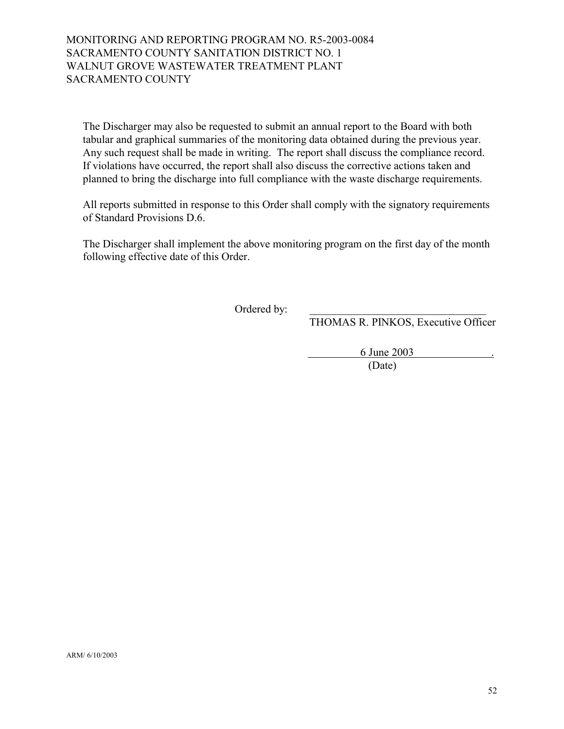The Discharger may also be requested to submit an annual report to the Board with both tabular and graphical summaries of the monitoring data obtained during the previous year. Any such request shall be made in writing. The report shall discuss the compliance record. If violations have occurred, the report shall also discuss the corrective actions taken and planned to bring the discharge into full compliance with the waste discharge requirements.

All reports submitted in response to this Order shall comply with the signatory requirements of Standard Provisions D.6.

The Discharger shall implement the above monitoring program on the first day of the month following effective date of this Order.

Ordered by:

THOMAS R. PINKOS, Executive Officer

6 June 2003 .

(Date)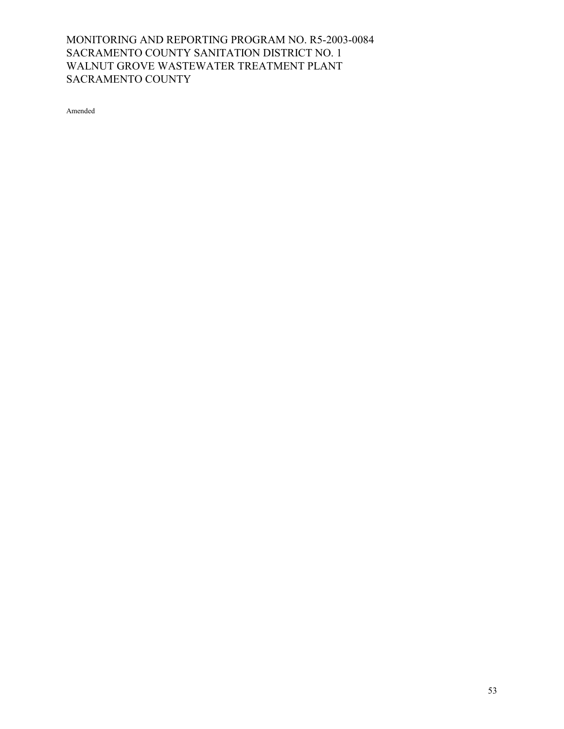Amended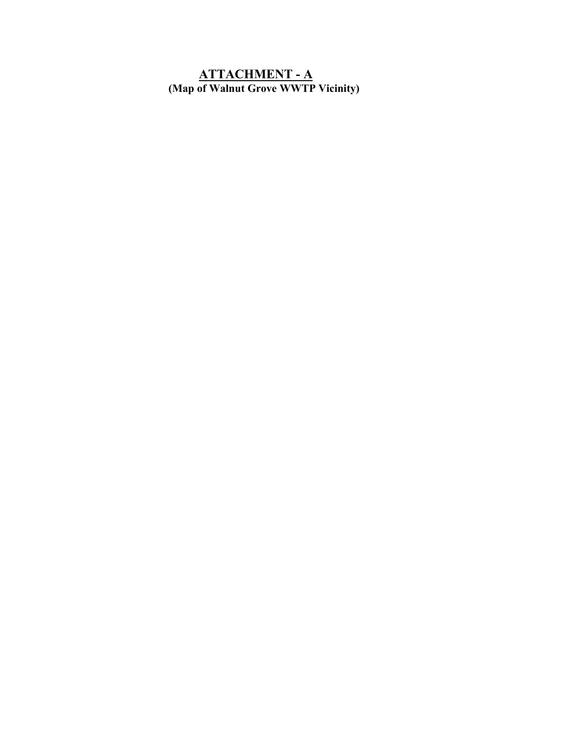# **ATTACHMENT - A (Map of Walnut Grove WWTP Vicinity)**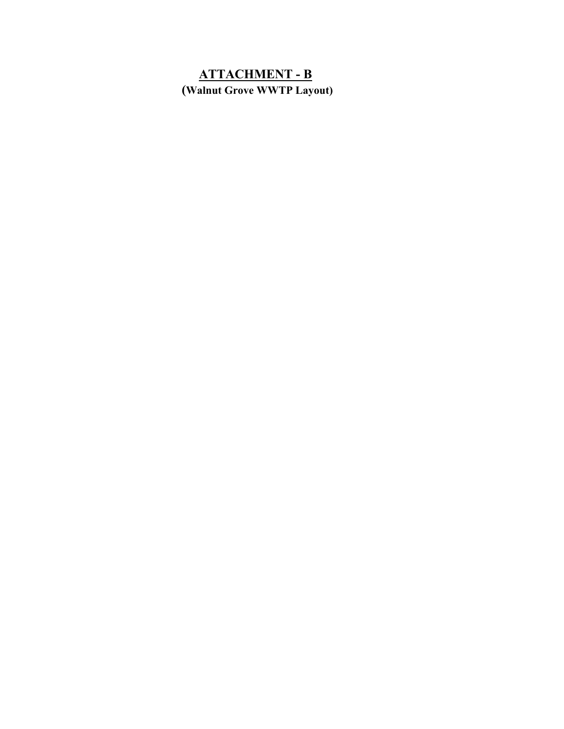# **ATTACHMENT - B (Walnut Grove WWTP Layout)**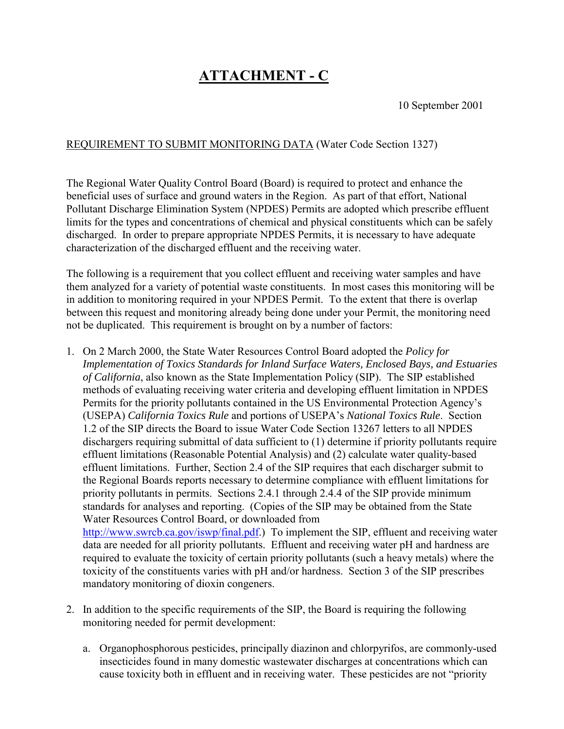# **ATTACHMENT - C**

10 September 2001

# REQUIREMENT TO SUBMIT MONITORING DATA (Water Code Section 1327)

The Regional Water Quality Control Board (Board) is required to protect and enhance the beneficial uses of surface and ground waters in the Region. As part of that effort, National Pollutant Discharge Elimination System (NPDES) Permits are adopted which prescribe effluent limits for the types and concentrations of chemical and physical constituents which can be safely discharged. In order to prepare appropriate NPDES Permits, it is necessary to have adequate characterization of the discharged effluent and the receiving water.

The following is a requirement that you collect effluent and receiving water samples and have them analyzed for a variety of potential waste constituents. In most cases this monitoring will be in addition to monitoring required in your NPDES Permit. To the extent that there is overlap between this request and monitoring already being done under your Permit, the monitoring need not be duplicated. This requirement is brought on by a number of factors:

- 1. On 2 March 2000, the State Water Resources Control Board adopted the *Policy for Implementation of Toxics Standards for Inland Surface Waters, Enclosed Bays, and Estuaries of California*, also known as the State Implementation Policy (SIP). The SIP established methods of evaluating receiving water criteria and developing effluent limitation in NPDES Permits for the priority pollutants contained in the US Environmental Protection Agency's (USEPA) *California Toxics Rule* and portions of USEPAís *National Toxics Rule*. Section 1.2 of the SIP directs the Board to issue Water Code Section 13267 letters to all NPDES dischargers requiring submittal of data sufficient to (1) determine if priority pollutants require effluent limitations (Reasonable Potential Analysis) and (2) calculate water quality-based effluent limitations. Further, Section 2.4 of the SIP requires that each discharger submit to the Regional Boards reports necessary to determine compliance with effluent limitations for priority pollutants in permits. Sections 2.4.1 through 2.4.4 of the SIP provide minimum standards for analyses and reporting. (Copies of the SIP may be obtained from the State Water Resources Control Board, or downloaded from http://www.swrcb.ca.gov/iswp/final.pdf.) To implement the SIP, effluent and receiving water data are needed for all priority pollutants. Effluent and receiving water pH and hardness are required to evaluate the toxicity of certain priority pollutants (such a heavy metals) where the toxicity of the constituents varies with pH and/or hardness. Section 3 of the SIP prescribes mandatory monitoring of dioxin congeners.
- 2. In addition to the specific requirements of the SIP, the Board is requiring the following monitoring needed for permit development:
	- a. Organophosphorous pesticides, principally diazinon and chlorpyrifos, are commonly-used insecticides found in many domestic wastewater discharges at concentrations which can cause toxicity both in effluent and in receiving water. These pesticides are not "priority"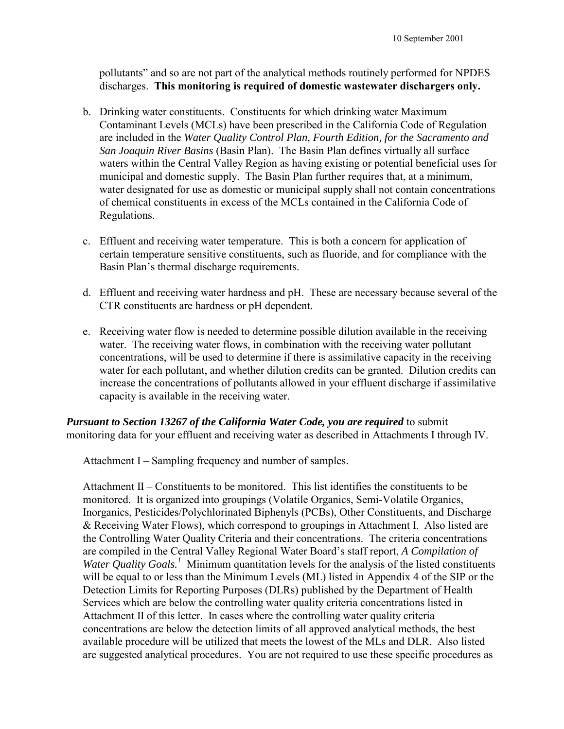pollutantsî and so are not part of the analytical methods routinely performed for NPDES discharges. **This monitoring is required of domestic wastewater dischargers only.**

- b. Drinking water constituents. Constituents for which drinking water Maximum Contaminant Levels (MCLs) have been prescribed in the California Code of Regulation are included in the *Water Quality Control Plan, Fourth Edition, for the Sacramento and San Joaquin River Basins* (Basin Plan). The Basin Plan defines virtually all surface waters within the Central Valley Region as having existing or potential beneficial uses for municipal and domestic supply. The Basin Plan further requires that, at a minimum, water designated for use as domestic or municipal supply shall not contain concentrations of chemical constituents in excess of the MCLs contained in the California Code of Regulations.
- c. Effluent and receiving water temperature. This is both a concern for application of certain temperature sensitive constituents, such as fluoride, and for compliance with the Basin Plan's thermal discharge requirements.
- d. Effluent and receiving water hardness and pH. These are necessary because several of the CTR constituents are hardness or pH dependent.
- e. Receiving water flow is needed to determine possible dilution available in the receiving water. The receiving water flows, in combination with the receiving water pollutant concentrations, will be used to determine if there is assimilative capacity in the receiving water for each pollutant, and whether dilution credits can be granted. Dilution credits can increase the concentrations of pollutants allowed in your effluent discharge if assimilative capacity is available in the receiving water.

*Pursuant to Section 13267 of the California Water Code, you are required* to submit monitoring data for your effluent and receiving water as described in Attachments I through IV.

Attachment I – Sampling frequency and number of samples.

Attachment  $II$  – Constituents to be monitored. This list identifies the constituents to be monitored. It is organized into groupings (Volatile Organics, Semi-Volatile Organics, Inorganics, Pesticides/Polychlorinated Biphenyls (PCBs), Other Constituents, and Discharge & Receiving Water Flows), which correspond to groupings in Attachment I. Also listed are the Controlling Water Quality Criteria and their concentrations. The criteria concentrations are compiled in the Central Valley Regional Water Board's staff report, *A Compilation of* Water Quality Goals.<sup>1</sup> Minimum quantitation levels for the analysis of the listed constituents will be equal to or less than the Minimum Levels (ML) listed in Appendix 4 of the SIP or the Detection Limits for Reporting Purposes (DLRs) published by the Department of Health Services which are below the controlling water quality criteria concentrations listed in Attachment II of this letter. In cases where the controlling water quality criteria concentrations are below the detection limits of all approved analytical methods, the best available procedure will be utilized that meets the lowest of the MLs and DLR. Also listed are suggested analytical procedures. You are not required to use these specific procedures as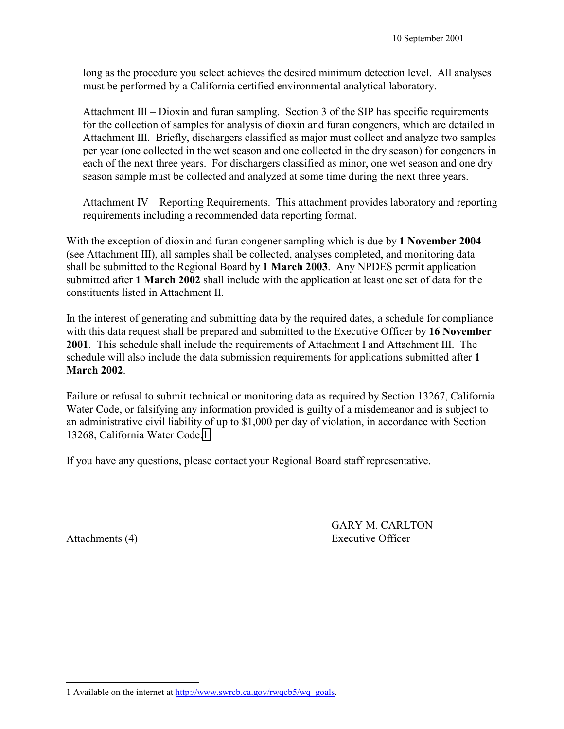long as the procedure you select achieves the desired minimum detection level. All analyses must be performed by a California certified environmental analytical laboratory.

Attachment III – Dioxin and furan sampling. Section 3 of the SIP has specific requirements for the collection of samples for analysis of dioxin and furan congeners, which are detailed in Attachment III. Briefly, dischargers classified as major must collect and analyze two samples per year (one collected in the wet season and one collected in the dry season) for congeners in each of the next three years. For dischargers classified as minor, one wet season and one dry season sample must be collected and analyzed at some time during the next three years.

Attachment IV  $-$  Reporting Requirements. This attachment provides laboratory and reporting requirements including a recommended data reporting format.

With the exception of dioxin and furan congener sampling which is due by **1 November 2004**  (see Attachment III), all samples shall be collected, analyses completed, and monitoring data shall be submitted to the Regional Board by **1 March 2003**. Any NPDES permit application submitted after **1 March 2002** shall include with the application at least one set of data for the constituents listed in Attachment II.

In the interest of generating and submitting data by the required dates, a schedule for compliance with this data request shall be prepared and submitted to the Executive Officer by **16 November**  2001. This schedule shall include the requirements of Attachment I and Attachment III. The schedule will also include the data submission requirements for applications submitted after **1 March 2002**.

Failure or refusal to submit technical or monitoring data as required by Section 13267, California Water Code, or falsifying any information provided is guilty of a misdemeanor and is subject to an administrative civil liability of up to \$1,000 per day of violation, in accordance with Section 13268, California Water Code.1

If you have any questions, please contact your Regional Board staff representative.

GARY M. CARLTON Attachments (4) Executive Officer

 $\overline{a}$ 1 Available on the internet at http://www.swrcb.ca.gov/rwqcb5/wq\_goals.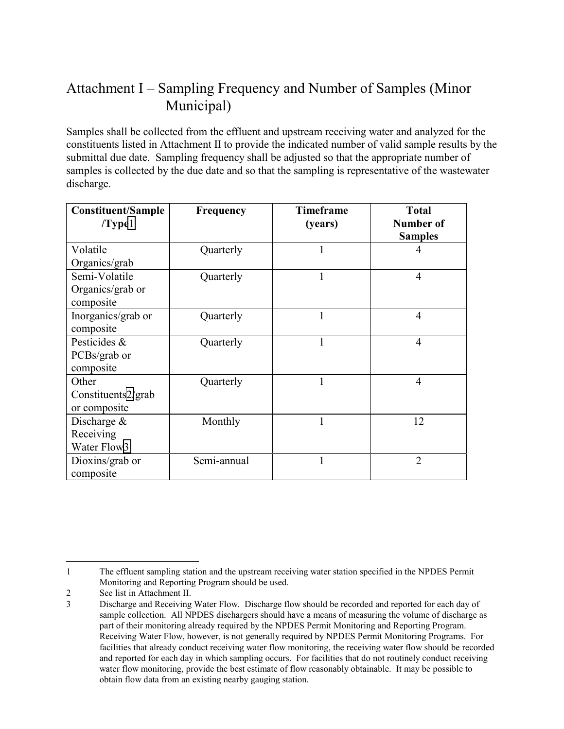# Attachment I – Sampling Frequency and Number of Samples (Minor Municipal)

Samples shall be collected from the effluent and upstream receiving water and analyzed for the constituents listed in Attachment II to provide the indicated number of valid sample results by the submittal due date. Sampling frequency shall be adjusted so that the appropriate number of samples is collected by the due date and so that the sampling is representative of the wastewater discharge.

| <b>Constituent/Sample</b><br>$/T$ ype $1$ | <b>Frequency</b> | <b>Timeframe</b><br>(years) | <b>Total</b><br>Number of |
|-------------------------------------------|------------------|-----------------------------|---------------------------|
|                                           |                  |                             | <b>Samples</b>            |
| Volatile                                  | Quarterly        | 1                           | 4                         |
| Organics/grab                             |                  |                             |                           |
| Semi-Volatile                             | Quarterly        | 1                           | 4                         |
| Organics/grab or                          |                  |                             |                           |
| composite                                 |                  |                             |                           |
| Inorganics/grab or                        | Quarterly        | $\mathbf{1}$                | $\overline{4}$            |
| composite                                 |                  |                             |                           |
| Pesticides &                              | Quarterly        | 1                           | 4                         |
| PCBs/grab or                              |                  |                             |                           |
| composite                                 |                  |                             |                           |
| Other                                     | Quarterly        | 1                           | 4                         |
| Constituents2/grab                        |                  |                             |                           |
| or composite                              |                  |                             |                           |
| Discharge $\&$                            | Monthly          | 1                           | 12                        |
| Receiving                                 |                  |                             |                           |
| Water Flow3                               |                  |                             |                           |
| Dioxins/grab or                           | Semi-annual      | 1                           | $\overline{2}$            |
| composite                                 |                  |                             |                           |

 $\overline{a}$ 1 The effluent sampling station and the upstream receiving water station specified in the NPDES Permit Monitoring and Reporting Program should be used.

<sup>2</sup> See list in Attachment II.

<sup>3</sup>Discharge and Receiving Water Flow. Discharge flow should be recorded and reported for each day of sample collection. All NPDES dischargers should have a means of measuring the volume of discharge as part of their monitoring already required by the NPDES Permit Monitoring and Reporting Program. Receiving Water Flow, however, is not generally required by NPDES Permit Monitoring Programs. For facilities that already conduct receiving water flow monitoring, the receiving water flow should be recorded and reported for each day in which sampling occurs. For facilities that do not routinely conduct receiving water flow monitoring, provide the best estimate of flow reasonably obtainable. It may be possible to obtain flow data from an existing nearby gauging station.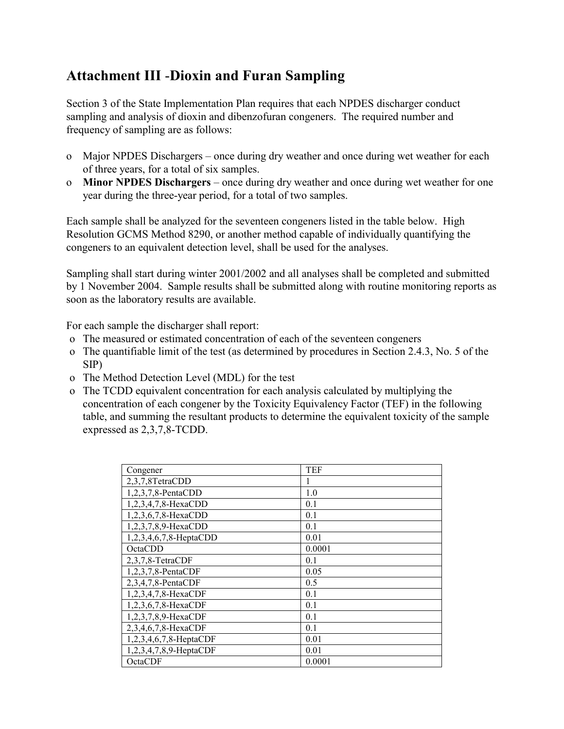# **Attachment III** -**Dioxin and Furan Sampling**

Section 3 of the State Implementation Plan requires that each NPDES discharger conduct sampling and analysis of dioxin and dibenzofuran congeners. The required number and frequency of sampling are as follows:

- o Major NPDES Dischargers once during dry weather and once during wet weather for each of three years, for a total of six samples.
- o **Minor NPDES Dischargers** once during dry weather and once during wet weather for one year during the three-year period, for a total of two samples.

Each sample shall be analyzed for the seventeen congeners listed in the table below. High Resolution GCMS Method 8290, or another method capable of individually quantifying the congeners to an equivalent detection level, shall be used for the analyses.

Sampling shall start during winter 2001/2002 and all analyses shall be completed and submitted by 1 November 2004. Sample results shall be submitted along with routine monitoring reports as soon as the laboratory results are available.

For each sample the discharger shall report:

- o The measured or estimated concentration of each of the seventeen congeners
- o The quantifiable limit of the test (as determined by procedures in Section 2.4.3, No. 5 of the SIP)
- o The Method Detection Level (MDL) for the test
- o The TCDD equivalent concentration for each analysis calculated by multiplying the concentration of each congener by the Toxicity Equivalency Factor (TEF) in the following table, and summing the resultant products to determine the equivalent toxicity of the sample expressed as 2,3,7,8-TCDD.

| Congener               | <b>TEF</b> |
|------------------------|------------|
| 2,3,7,8TetraCDD        | 1          |
| 1,2,3,7,8-PentaCDD     | 1.0        |
| 1,2,3,4,7,8-HexaCDD    | 0.1        |
| 1,2,3,6,7,8-HexaCDD    | 0.1        |
| 1,2,3,7,8,9-HexaCDD    | 0.1        |
| 1,2,3,4,6,7,8-HeptaCDD | 0.01       |
| OctaCDD                | 0.0001     |
| 2,3,7,8-TetraCDF       | 0.1        |
| 1,2,3,7,8-PentaCDF     | 0.05       |
| 2,3,4,7,8-PentaCDF     | 0.5        |
| 1,2,3,4,7,8-HexaCDF    | 0.1        |
| 1,2,3,6,7,8-HexaCDF    | 0.1        |
| 1,2,3,7,8,9-HexaCDF    | 0.1        |
| 2,3,4,6,7,8-HexaCDF    | 0.1        |
| 1,2,3,4,6,7,8-HeptaCDF | 0.01       |
| 1,2,3,4,7,8,9-HeptaCDF | 0.01       |
| OctaCDF                | 0.0001     |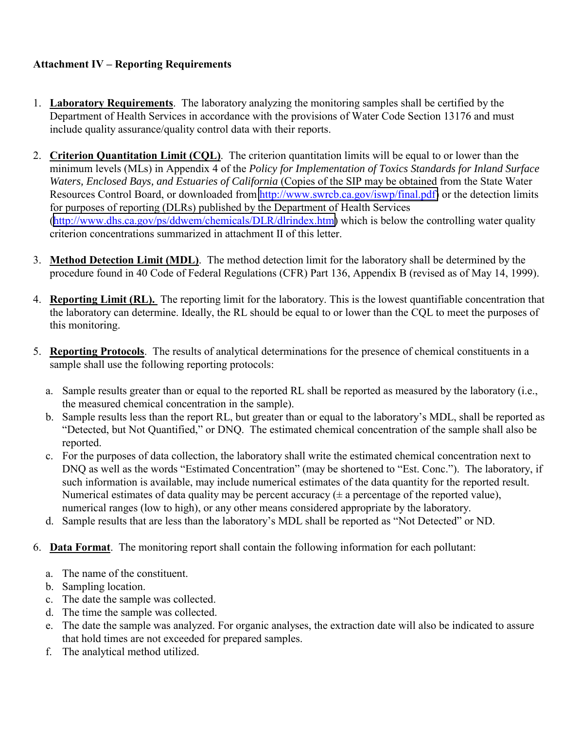# **Attachment IV – Reporting Requirements**

- 1. **Laboratory Requirements**. The laboratory analyzing the monitoring samples shall be certified by the Department of Health Services in accordance with the provisions of Water Code Section 13176 and must include quality assurance/quality control data with their reports.
- 2. **Criterion Quantitation Limit (CQL)**. The criterion quantitation limits will be equal to or lower than the minimum levels (MLs) in Appendix 4 of the *Policy for Implementation of Toxics Standards for Inland Surface Waters, Enclosed Bays, and Estuaries of California* (Copies of the SIP may be obtained from the State Water Resources Control Board, or downloaded from [http://www.swrcb.ca.gov/iswp/final.pdf\)](http://www.swrcb.ca.gov/iswp/final.pdf) or the detection limits for purposes of reporting (DLRs) published by the Department of Health Services ([http://www.dhs.ca.gov/ps/ddwem/chemicals/DLR/dlrindex.htm\)](http://www.dhs.ca.gov/ps/ddwem/chemicals/DLR/dlrindex.htm) which is below the controlling water quality criterion concentrations summarized in attachment II of this letter.
- 3. **Method Detection Limit (MDL)**. The method detection limit for the laboratory shall be determined by the procedure found in 40 Code of Federal Regulations (CFR) Part 136, Appendix B (revised as of May 14, 1999).
- 4. **Reporting Limit (RL).** The reporting limit for the laboratory. This is the lowest quantifiable concentration that the laboratory can determine. Ideally, the RL should be equal to or lower than the CQL to meet the purposes of this monitoring.
- 5. **Reporting Protocols**. The results of analytical determinations for the presence of chemical constituents in a sample shall use the following reporting protocols:
	- a. Sample results greater than or equal to the reported RL shall be reported as measured by the laboratory (i.e., the measured chemical concentration in the sample).
	- b. Sample results less than the report RL, but greater than or equal to the laboratory's MDL, shall be reported as ìDetected, but Not Quantified,î or DNQ. The estimated chemical concentration of the sample shall also be reported.
	- c. For the purposes of data collection, the laboratory shall write the estimated chemical concentration next to DNQ as well as the words "Estimated Concentration" (may be shortened to "Est. Conc."). The laboratory, if such information is available, may include numerical estimates of the data quantity for the reported result. Numerical estimates of data quality may be percent accuracy  $(\pm a$  percentage of the reported value), numerical ranges (low to high), or any other means considered appropriate by the laboratory.
	- d. Sample results that are less than the laboratory's MDL shall be reported as "Not Detected" or ND.
- 6. **Data Format**. The monitoring report shall contain the following information for each pollutant:
	- a. The name of the constituent.
	- b. Sampling location.
	- c. The date the sample was collected.
	- d. The time the sample was collected.
	- e. The date the sample was analyzed. For organic analyses, the extraction date will also be indicated to assure that hold times are not exceeded for prepared samples.
	- f. The analytical method utilized.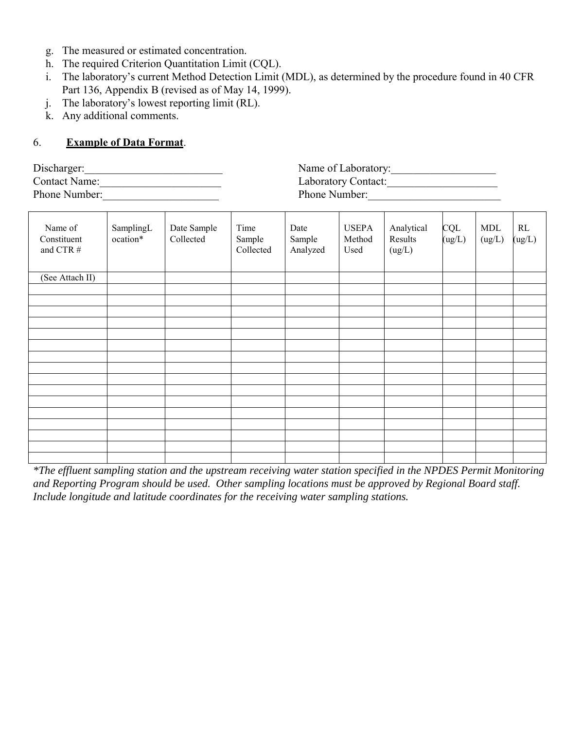- g. The measured or estimated concentration.
- h. The required Criterion Quantitation Limit (CQL).
- i. The laboratory's current Method Detection Limit (MDL), as determined by the procedure found in 40 CFR Part 136, Appendix B (revised as of May 14, 1999).
- j. The laboratory's lowest reporting limit (RL).
- k. Any additional comments.

# 6. **Example of Data Format**.

| Discharger:          |  |
|----------------------|--|
| <b>Contact Name:</b> |  |
| Phone Number:        |  |

| Discharger:          | Name of Laboratory: |
|----------------------|---------------------|
| <b>Contact Name:</b> | Laboratory Contact: |
| Phone Number:        | Phone Number:       |

| Name of<br>Constituent<br>and CTR # | SamplingL<br>ocation* | Date Sample<br>Collected | Time<br>Sample<br>Collected | Date<br>Sample<br>Analyzed | <b>USEPA</b><br>Method<br>Used | Analytical<br>Results<br>(ug/L) | <b>CQL</b><br>(ug/L) | <b>MDL</b><br>(ug/L) | RL<br>(ug/L) |
|-------------------------------------|-----------------------|--------------------------|-----------------------------|----------------------------|--------------------------------|---------------------------------|----------------------|----------------------|--------------|
| (See Attach II)                     |                       |                          |                             |                            |                                |                                 |                      |                      |              |
|                                     |                       |                          |                             |                            |                                |                                 |                      |                      |              |
|                                     |                       |                          |                             |                            |                                |                                 |                      |                      |              |
|                                     |                       |                          |                             |                            |                                |                                 |                      |                      |              |
|                                     |                       |                          |                             |                            |                                |                                 |                      |                      |              |
|                                     |                       |                          |                             |                            |                                |                                 |                      |                      |              |
|                                     |                       |                          |                             |                            |                                |                                 |                      |                      |              |
|                                     |                       |                          |                             |                            |                                |                                 |                      |                      |              |
|                                     |                       |                          |                             |                            |                                |                                 |                      |                      |              |
|                                     |                       |                          |                             |                            |                                |                                 |                      |                      |              |
|                                     |                       |                          |                             |                            |                                |                                 |                      |                      |              |
|                                     |                       |                          |                             |                            |                                |                                 |                      |                      |              |
|                                     |                       |                          |                             |                            |                                |                                 |                      |                      |              |
|                                     |                       |                          |                             |                            |                                |                                 |                      |                      |              |
|                                     |                       |                          |                             |                            |                                |                                 |                      |                      |              |
|                                     |                       |                          |                             |                            |                                |                                 |                      |                      |              |
|                                     |                       |                          |                             |                            |                                |                                 |                      |                      |              |

*\*The effluent sampling station and the upstream receiving water station specified in the NPDES Permit Monitoring and Reporting Program should be used. Other sampling locations must be approved by Regional Board staff. Include longitude and latitude coordinates for the receiving water sampling stations.*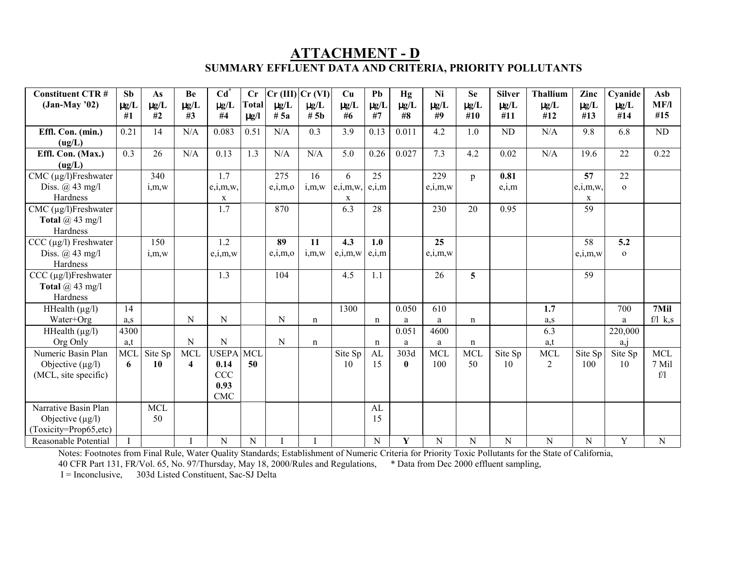# **ATTACHMENT - D SUMMARY EFFLUENT DATA AND CRITERIA, PRIORITY POLLUTANTS**

| <b>Constituent CTR#</b>      | Sb        | As                           | Be                     | $Cd^{\dagger}$  | Cr           | $Cr$ (III)             | Cr (VI)                | Cu                 | Pb          | Hg              | Ni                           | <b>Se</b>   | <b>Silver</b>    | <b>Thallium</b>  | Zinc             | Cyanide      | Asb          |
|------------------------------|-----------|------------------------------|------------------------|-----------------|--------------|------------------------|------------------------|--------------------|-------------|-----------------|------------------------------|-------------|------------------|------------------|------------------|--------------|--------------|
| $(Jan-May'02)$               | $\mu$ g/L | $\mu\text{g}/\text{L}$<br>#2 | $\mu\text{g}/\text{L}$ | $\mu g/L$<br>#4 | <b>Total</b> | $\mu\text{g}/\text{L}$ | $\mu\text{g}/\text{L}$ | $\mu g/L$<br>#6    | $\mu g/L$   | $\mu g/L$<br>#8 | $\mu\text{g}/\text{L}$<br>#9 | $\mu g/L$   | $\mu g/L$<br>#11 | $\mu g/L$<br>#12 | $\mu g/L$<br>#13 | $\mu$ g/L    | MF/l<br>#15  |
|                              | #1        |                              | #3                     |                 | $\mu$ g/l    | # 5a                   | # 5 <sub>b</sub>       |                    | #7          |                 |                              | #10         |                  |                  |                  | #14          |              |
| Effl. Con. (min.)            | 0.21      | 14                           | N/A                    | 0.083           | 0.51         | N/A                    | 0.3                    | 3.9                | 0.13        | 0.011           | 4.2                          | 1.0         | <b>ND</b>        | N/A              | 9.8              | 6.8          | ND           |
| (ug/L)                       |           |                              |                        |                 |              |                        |                        |                    |             |                 |                              |             |                  |                  |                  |              |              |
| Effl. Con. (Max.)            | 0.3       | 26                           | N/A                    | 0.13            | 1.3          | N/A                    | N/A                    | 5.0                | 0.26        | 0.027           | 7.3                          | 4.2         | 0.02             | N/A              | 19.6             | 22           | 0.22         |
| (ug/L)                       |           |                              |                        |                 |              |                        |                        |                    |             |                 |                              |             |                  |                  |                  |              |              |
| $CMC$ ( $\mu$ g/l)Freshwater |           | 340                          |                        | 1.7             |              | 275                    | 16                     | 6                  | 25          |                 | 229                          | p           | 0.81             |                  | 57               | 22           |              |
| Diss. $\omega$ 43 mg/l       |           | i, m, w                      |                        | e,i,m,w,        |              | e,i,m,o                | i,m,w                  | $e,i,m,w,$ $e,i,m$ |             |                 | e,i,m,w                      |             | e,i,m            |                  | e,i,m,w          | $\mathbf{O}$ |              |
| Hardness                     |           |                              |                        | $\mathbf x$     |              |                        |                        | X                  |             |                 |                              |             |                  |                  | X                |              |              |
| $CMC$ ( $\mu$ g/l)Freshwater |           |                              |                        | 1.7             |              | 870                    |                        | 6.3                | 28          |                 | 230                          | 20          | 0.95             |                  | 59               |              |              |
| Total $(a)$ 43 mg/l          |           |                              |                        |                 |              |                        |                        |                    |             |                 |                              |             |                  |                  |                  |              |              |
| Hardness                     |           |                              |                        |                 |              |                        |                        |                    |             |                 |                              |             |                  |                  |                  |              |              |
| $CCC (\mu g/l)$ Freshwater   |           | 150                          |                        | 1.2             |              | 89                     | 11                     | 4.3                | 1.0         |                 | 25                           |             |                  |                  | 58               | 5.2          |              |
| Diss. $\omega$ 43 mg/l       |           | i.m.w                        |                        | e,i,m,w         |              | e,i,m,o                | i,m,w                  | e,i,m,w            | e,i,m       |                 | $e_i, m, w$                  |             |                  |                  | e,i,m,w          | $\Omega$     |              |
| Hardness                     |           |                              |                        |                 |              |                        |                        |                    |             |                 |                              |             |                  |                  |                  |              |              |
| $CCC (µg/l)$ Freshwater      |           |                              |                        | 1.3             |              | 104                    |                        | 4.5                | 1.1         |                 | 26                           | 5           |                  |                  | 59               |              |              |
| Total $(a)$ 43 mg/l          |           |                              |                        |                 |              |                        |                        |                    |             |                 |                              |             |                  |                  |                  |              |              |
| Hardness                     |           |                              |                        |                 |              |                        |                        |                    |             |                 |                              |             |                  |                  |                  |              |              |
| HHealth $(\mu g/l)$          | 14        |                              |                        |                 |              |                        |                        | 1300               |             | 0.050           | 610                          |             |                  | 1.7              |                  | 700          | 7Mil         |
| Water+Org                    | a.s       |                              | N                      | N               |              | $\mathbf N$            | n                      |                    | $\mathbf n$ | a               | a                            | $\mathbf n$ |                  | a,s              |                  | a            | $f/l \, k,s$ |
| HHealth $(\mu g/l)$          | 4300      |                              |                        |                 |              |                        |                        |                    |             | 0.051           | 4600                         |             |                  | 6.3              |                  | 220,000      |              |
| Org Only                     | a,t       |                              | ${\bf N}$              | ${\bf N}$       |              | $\mathbf N$            | n                      |                    | $\mathbf n$ | a               | a                            | $\mathbf n$ |                  | a,t              |                  | a, j         |              |
| Numeric Basin Plan           | MCI       | Site Sp                      | <b>MCL</b>             | <b>USEPA</b>    | <b>MCL</b>   |                        |                        | Site Sp            | AL          | 303d            | <b>MCL</b>                   | <b>MCL</b>  | Site Sp          | <b>MCL</b>       | Site Sp          | Site Sp      | <b>MCL</b>   |
| Objective $(\mu g/l)$        | 6         | 10                           | 4                      | 0.14            | 50           |                        |                        | 10                 | 15          | $\bf{0}$        | 100                          | 50          | 10               | $\overline{2}$   | 100              | 10           | 7 Mil        |
| (MCL, site specific)         |           |                              |                        | <b>CCC</b>      |              |                        |                        |                    |             |                 |                              |             |                  |                  |                  |              | f/1          |
|                              |           |                              |                        | 0.93            |              |                        |                        |                    |             |                 |                              |             |                  |                  |                  |              |              |
|                              |           |                              |                        | <b>CMC</b>      |              |                        |                        |                    |             |                 |                              |             |                  |                  |                  |              |              |
| Narrative Basin Plan         |           | <b>MCL</b>                   |                        |                 |              |                        |                        |                    | AL          |                 |                              |             |                  |                  |                  |              |              |
| Objective $(\mu g/l)$        |           | 50                           |                        |                 |              |                        |                        |                    | 15          |                 |                              |             |                  |                  |                  |              |              |
| (Toxicity=Prop65,etc)        |           |                              |                        |                 |              |                        |                        |                    |             |                 |                              |             |                  |                  |                  |              |              |
| Reasonable Potential         |           |                              |                        | ${\bf N}$       | ${\bf N}$    |                        |                        |                    | ${\bf N}$   | $\mathbf Y$     | $\mathbf N$                  | N           | N                | ${\bf N}$        | ${\bf N}$        | $\mathbf Y$  | N            |

Notes: Footnotes from Final Rule, Water Quality Standards; Establishment of Numeric Criteria for Priority Toxic Pollutants for the State of California,

40 CFR Part 131, FR/Vol. 65, No. 97/Thursday, May 18, 2000/Rules and Regulations, \* Data from Dec 2000 effluent sampling,

I = Inconclusive, 303d Listed Constituent, Sac-SJ Delta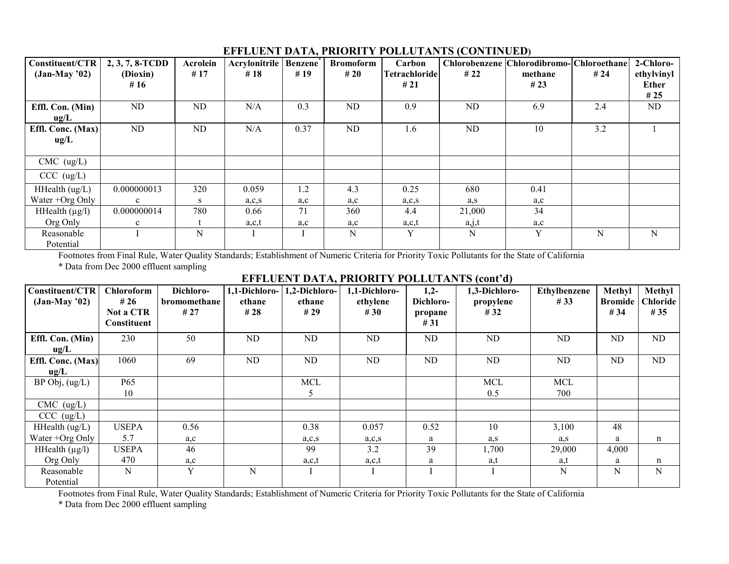# **EFFLUENT DATA, PRIORITY POLLUTANTS (CONTINUED)**

| Constituent/CTR<br>$(Jan-May'02)$ | 2, 3, 7, 8-TCDD    | Acrolein<br>#17 | Acrylonitrile   Benzene <sup>*</sup><br># $18$ | #19  | <b>Bromoform</b><br>#20 | Carbon<br><b>Tetrachloride</b> | <b>Chlorobenzene</b> | Chlorodibromo- Chloroethane<br>methane | #24         | 2-Chloro-                         |
|-----------------------------------|--------------------|-----------------|------------------------------------------------|------|-------------------------|--------------------------------|----------------------|----------------------------------------|-------------|-----------------------------------|
|                                   | (Dioxin)<br># $16$ |                 |                                                |      |                         | #21                            | #22                  | #23                                    |             | ethylvinyl<br><b>Ether</b><br>#25 |
| Effl. Con. (Min)<br>ug/L          | ND                 | ND              | N/A                                            | 0.3  | ND                      | 0.9                            | ND                   | 6.9                                    | 2.4         | ND                                |
| Effl. Conc. (Max)<br>ug/L         | ND                 | ND              | N/A                                            | 0.37 | ND                      | 1.6                            | ND                   | 10 <sup>1</sup>                        | 3.2         |                                   |
| $CMC$ (ug/L)                      |                    |                 |                                                |      |                         |                                |                      |                                        |             |                                   |
| CCC (ug/L)                        |                    |                 |                                                |      |                         |                                |                      |                                        |             |                                   |
| HHealth (ug/L)                    | 0.000000013        | 320             | 0.059                                          | 1.2  | 4.3                     | 0.25                           | 680                  | 0.41                                   |             |                                   |
| Water +Org Only                   | $\mathbf{c}$       | S.              | a, c, s                                        | a,c  | a, c                    | a, c, s                        | a,s                  | a, c                                   |             |                                   |
| HHealth $(\mu g/l)$               | 0.000000014        | 780             | 0.66                                           | 71   | 360                     | 4.4                            | 21,000               | 34                                     |             |                                   |
| Org Only                          | $\mathbf{c}$       |                 | a,c,t                                          | a,c  | a,c                     | a,c,t                          | a,j,t                | a,c                                    |             |                                   |
| Reasonable<br>Potential           |                    | N               |                                                |      | N                       | Y                              | N                    | Y                                      | $\mathbf N$ | N                                 |

Footnotes from Final Rule, Water Quality Standards; Establishment of Numeric Criteria for Priority Toxic Pollutants for the State of California \* Data from Dec 2000 effluent sampling

# EFFLUENT DATA, PRIORITY POLLUTANTS (cont'd)

| Constituent/CTR<br>$(Jan-May'02)$ | <b>Chloroform</b><br># 26       | Dichloro-<br>bromomethane | 1,1-Dichloro-<br>ethane | 1,2-Dichloro-<br>ethane | 1,1-Dichloro-<br>ethylene | $1,2-$<br>Dichloro- | 1,3-Dichloro-<br>propylene | <b>Ethylbenzene</b><br>#33 | Methyl<br><b>Bromide</b> | Methyl<br><b>Chloride</b> |
|-----------------------------------|---------------------------------|---------------------------|-------------------------|-------------------------|---------------------------|---------------------|----------------------------|----------------------------|--------------------------|---------------------------|
|                                   | Not a CTR<br><b>Constituent</b> | #27                       | #28                     | #29                     | #30                       | propane<br>#31      | #32                        |                            | #34                      | #35                       |
| Effl. Con. (Min)                  | 230                             | 50                        | ND.                     | ND                      | ND                        | ND.                 | ND                         | ND                         | ND                       | ND                        |
| ug/L                              |                                 |                           |                         |                         |                           |                     |                            |                            |                          |                           |
| Effl. Conc. (Max)                 | 1060                            | 69                        | ND                      | ND                      | ND                        | ND                  | ND                         | ND                         | ND                       | ND                        |
| ug/L                              |                                 |                           |                         |                         |                           |                     |                            |                            |                          |                           |
| $BP$ Obj, $(ug/L)$                | P65                             |                           |                         | MCL                     |                           |                     | <b>MCL</b>                 | <b>MCL</b>                 |                          |                           |
|                                   | 10                              |                           |                         | 5                       |                           |                     | 0.5                        | 700                        |                          |                           |
| $CMC$ (ug/L)                      |                                 |                           |                         |                         |                           |                     |                            |                            |                          |                           |
| CCC (ug/L)                        |                                 |                           |                         |                         |                           |                     |                            |                            |                          |                           |
| HHealth $(ug/L)$                  | <b>USEPA</b>                    | 0.56                      |                         | 0.38                    | 0.057                     | 0.52                | 10                         | 3,100                      | 48                       |                           |
| Water +Org Only                   | 5.7                             | a, c                      |                         | a, c, s                 | a, c, s                   | a                   | a, s                       | a,s                        | a                        | n                         |
| HHealth $(\mu g/l)$               | <b>USEPA</b>                    | 46                        |                         | 99                      | 3.2                       | 39                  | 1,700                      | 29,000                     | 4,000                    |                           |
| Org Only                          | 470                             | a,c                       |                         | a,c,t                   | a,c,t                     | a                   | a,t                        | a,t                        | a                        | n                         |
| Reasonable                        | N                               | Y                         | $\mathbf N$             |                         |                           |                     |                            | N                          | $\mathbf N$              | N                         |
| Potential                         |                                 |                           |                         |                         |                           |                     |                            |                            |                          |                           |

Footnotes from Final Rule, Water Quality Standards; Establishment of Numeric Criteria for Priority Toxic Pollutants for the State of California

\* Data from Dec 2000 effluent sampling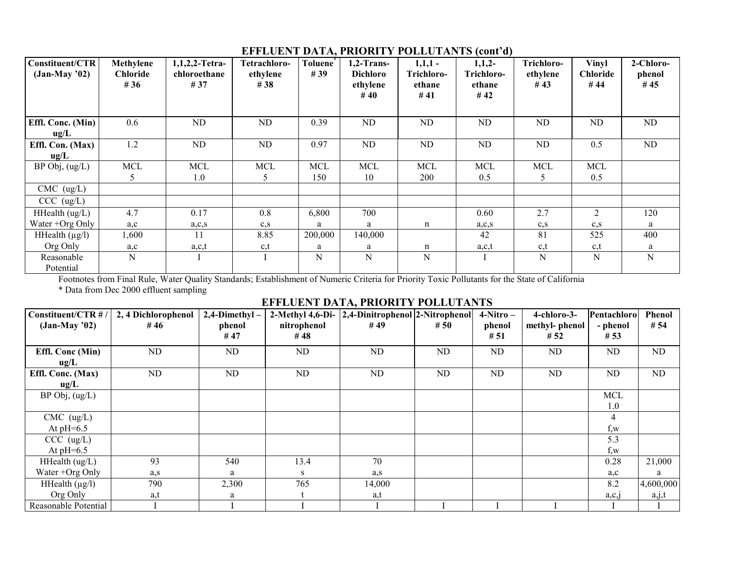| Constituent/CTR<br>$(Jan-May' 02)$ | Methylene<br><b>Chloride</b><br># $36$ | 1,1,2,2-Tetra-<br>chloroethane<br># 37 | Tetrachloro-<br>ethylene<br># 38 | <b>Toluene</b><br>#39 | $1,2$ -Trans-<br><b>Dichloro</b><br>ethylene<br>#40 | $1,1,1-$<br>Trichloro-<br>ethane<br>#41 | $1,1,2-$<br>Trichloro-<br>ethane<br>#42 | Trichloro-<br>ethylene<br>#43 | <b>Vinyl</b><br>Chloride<br>#44 | 2-Chloro-<br>phenol<br>#45 |
|------------------------------------|----------------------------------------|----------------------------------------|----------------------------------|-----------------------|-----------------------------------------------------|-----------------------------------------|-----------------------------------------|-------------------------------|---------------------------------|----------------------------|
| Effl. Conc. (Min)<br>ug/L          | 0.6                                    | ND                                     | ND                               | 0.39                  | ND                                                  | ND                                      | ND.                                     | ND                            | ND                              | ND                         |
| Effl. Con. (Max)<br>ug/L           | 1.2                                    | ND                                     | ND                               | 0.97                  | ND                                                  | ND                                      | ND                                      | ND                            | 0.5                             | ND                         |
| BP Obj, (ug/L)                     | $\rm MCL$                              | <b>MCL</b>                             | <b>MCL</b>                       | <b>MCL</b>            | <b>MCL</b>                                          | <b>MCL</b>                              | <b>MCL</b>                              | <b>MCL</b>                    | <b>MCL</b>                      |                            |
|                                    | 5                                      | 1.0                                    |                                  | 150                   | 10                                                  | 200                                     | 0.5                                     | $\mathcal{L}$                 | 0.5                             |                            |
| $CMC$ (ug/L)                       |                                        |                                        |                                  |                       |                                                     |                                         |                                         |                               |                                 |                            |
| CCC (ug/L)                         |                                        |                                        |                                  |                       |                                                     |                                         |                                         |                               |                                 |                            |
| HHealth (ug/L)                     | 4.7                                    | 0.17                                   | 0.8                              | 6,800                 | 700                                                 |                                         | 0.60                                    | 2.7                           | 2                               | 120                        |
| Water +Org Only                    | a, c                                   | a, c, s                                | $c_{s}$                          | a                     | a                                                   | n                                       | a, c, s                                 | $c_{\rm S}$                   | $c_{,S}$                        | a                          |
| HHealth $(\mu g/l)$                | 1,600                                  | 11                                     | 8.85                             | 200,000               | 140,000                                             |                                         | 42                                      | 81                            | 525                             | 400                        |
| Org Only                           | a,c                                    | a,c,t                                  | c, t                             | a                     | a                                                   | n                                       | a,c,t                                   | c, t                          | c, t                            | a                          |
| Reasonable<br>Potential            | N                                      |                                        |                                  | N                     | $\mathbf N$                                         | ${\bf N}$                               |                                         | $\mathbf N$                   | $\mathbf N$                     | $\mathbf N$                |

### **EFFLUENT DATA, PRIORITY POLLUTANTS (cont'd)**

Footnotes from Final Rule, Water Quality Standards; Establishment of Numeric Criteria for Priority Toxic Pollutants for the State of California \* Data from Dec 2000 effluent sampling

# **EFFLUENT DATA, PRIORITY POLLUTANTS**

| Constituent/CTR #/   | 2, 4 Dichlorophenol | $2,4$ -Dimethyl- |             | 2-Methyl 4,6-Di- 2,4-Dinitrophenol 2-Nitrophenol |      | $4-Nitro-$ | 4-chloro-3-   | Pentachloro | Phenol    |
|----------------------|---------------------|------------------|-------------|--------------------------------------------------|------|------------|---------------|-------------|-----------|
| $(Jan-May'02)$       | # 46                | phenol           | nitrophenol | #49                                              | # 50 | phenol     | methyl-phenol | - phenol    | # 54      |
|                      |                     | #47              | #48         |                                                  |      | #51        | #52           | #53         |           |
| Effl. Conc (Min)     | ND                  | ND               | ND          | ND                                               | ND   | ND         | ND            | ND          | ND        |
| ug/L                 |                     |                  |             |                                                  |      |            |               |             |           |
| Effl. Conc. (Max)    | <b>ND</b>           | ND.              | ND          | ND.                                              | ND   | ND         | ND            | ND          | ND        |
| ug/L                 |                     |                  |             |                                                  |      |            |               |             |           |
| $BP$ Obj, $(ug/L)$   |                     |                  |             |                                                  |      |            |               | <b>MCL</b>  |           |
|                      |                     |                  |             |                                                  |      |            |               | 1.0         |           |
| $CMC$ (ug/L)         |                     |                  |             |                                                  |      |            |               | 4           |           |
| At $pH=6.5$          |                     |                  |             |                                                  |      |            |               | f,w         |           |
| CCC (ug/L)           |                     |                  |             |                                                  |      |            |               | 5.3         |           |
| At $pH=6.5$          |                     |                  |             |                                                  |      |            |               | $f_{,W}$    |           |
| HHealth (ug/L)       | 93                  | 540              | 13.4        | 70                                               |      |            |               | 0.28        | 21,000    |
| Water +Org Only      | a,s                 | a                | S.          | a,s                                              |      |            |               | a,c         | a         |
| HHealth $(\mu g/l)$  | 790                 | 2,300            | 765         | 14,000                                           |      |            |               | 8.2         | 4,600,000 |
| Org Only             | a,t                 | a                |             | a,t                                              |      |            |               | a, c, 1     | a, j, t   |
| Reasonable Potential |                     |                  |             |                                                  |      |            |               |             |           |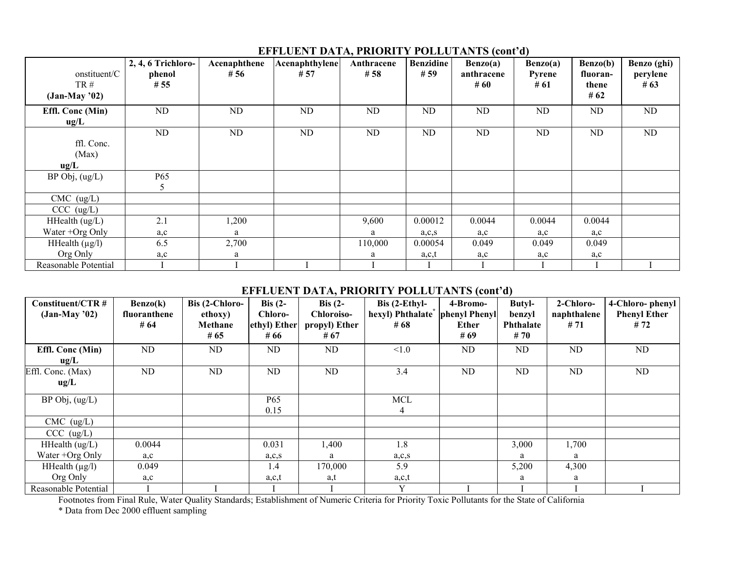|                          | 2, 4, 6 Trichloro- | Acenaphthene | Acenaphthylene<br># 57 | Anthracene<br># 58 | <b>Benzidine</b><br>#59 | Benzo(a)          | Benzo(a)       | Benzo(b)          | Benzo (ghi)        |
|--------------------------|--------------------|--------------|------------------------|--------------------|-------------------------|-------------------|----------------|-------------------|--------------------|
| onstituent/C<br>TR#      | phenol<br># 55     | # 56         |                        |                    |                         | anthracene<br>#60 | Pyrene<br># 61 | fluoran-<br>thene | perylene<br># $63$ |
| $(Jan-May'02)$           |                    |              |                        |                    |                         |                   |                | # $62$            |                    |
| Effl. Conc (Min)<br>ug/L | ND                 | ND           | ND                     | ND                 | ND                      | ND                | ND             | ND                | ND                 |
|                          | ND                 | ND           | ND                     | ND                 | ND                      | ND                | ND             | ND                | ND                 |
| ffl. Conc.               |                    |              |                        |                    |                         |                   |                |                   |                    |
| (Max)                    |                    |              |                        |                    |                         |                   |                |                   |                    |
| ug/L                     |                    |              |                        |                    |                         |                   |                |                   |                    |
| $BP$ Obj, $(ug/L)$       | P65                |              |                        |                    |                         |                   |                |                   |                    |
|                          | 5                  |              |                        |                    |                         |                   |                |                   |                    |
| $CMC$ (ug/L)             |                    |              |                        |                    |                         |                   |                |                   |                    |
| CCC (ug/L)               |                    |              |                        |                    |                         |                   |                |                   |                    |
| HHealth $(ug/L)$         | 2.1                | 1,200        |                        | 9,600              | 0.00012                 | 0.0044            | 0.0044         | 0.0044            |                    |
| Water +Org Only          | a,c                | a            |                        | a                  | a, c, s                 | a, c              | a, c           | a,c               |                    |
| HHealth $(\mu g/l)$      | 6.5                | 2,700        |                        | 110,000            | 0.00054                 | 0.049             | 0.049          | 0.049             |                    |
| Org Only                 | a,c                | a            |                        |                    | a,c,t                   | a,c               | a,c            | a,c               |                    |
| Reasonable Potential     |                    |              |                        |                    |                         |                   |                |                   |                    |

# **EFFLUENT DATA, PRIORITY POLLUTANTS (contíd)**

# **EFFLUENT DATA, PRIORITY POLLUTANTS (cont'd)**

| Constituent/CTR #    | Benzo(k)     | Bis (2-Chloro- | Bis $(2-$    | Bis $(2 -$        | $ Bis$ (2-Ethyl-              | 4-Bromo-      | <b>Butyl-</b>    | 2-Chloro-   | 4-Chloro-phenyl     |
|----------------------|--------------|----------------|--------------|-------------------|-------------------------------|---------------|------------------|-------------|---------------------|
| $(Jan-May'02)$       | fluoranthene | ethoxy)        | Chloro-      | <b>Chloroiso-</b> | hexyl) Phthalate <sup>*</sup> | phenyl Phenyl | benzyl           | naphthalene | <b>Phenyl Ether</b> |
|                      | # $64$       | Methane        | ethyl) Ether | propyl) Ether     | # 68                          | <b>Ether</b>  | <b>Phthalate</b> | #71         | #72                 |
|                      |              | # $65$         | # 66         | # 67              |                               | #69           | # 70             |             |                     |
| Effl. Conc (Min)     | ND.          | ND             | ND           | ND.               | < 1.0                         | ND            | ND               | ND          | ND                  |
| $u\mathbf{g}/L$      |              |                |              |                   |                               |               |                  |             |                     |
| Effl. Conc. (Max)    | ND           | ND             | ND           | ND                | 3.4                           | ND            | ND               | ND          | ND                  |
| ug/L                 |              |                |              |                   |                               |               |                  |             |                     |
| $BP$ Obj, $(ug/L)$   |              |                | P65          |                   | <b>MCL</b>                    |               |                  |             |                     |
|                      |              |                | 0.15         |                   | 4                             |               |                  |             |                     |
| $CMC$ (ug/L)         |              |                |              |                   |                               |               |                  |             |                     |
| CCC (ug/L)           |              |                |              |                   |                               |               |                  |             |                     |
| HHealth $(ug/L)$     | 0.0044       |                | 0.031        | 1,400             | 1.8                           |               | 3,000            | 1,700       |                     |
| Water +Org Only      | a, c         |                | a, c, s      | a                 | a, c, s                       |               | a                | a           |                     |
| HHealth $(\mu g/l)$  | 0.049        |                | 1.4          | 170,000           | 5.9                           |               | 5,200            | 4,300       |                     |
| Org Only             | a,c          |                | a,c,t        | a,t               | a,c,t                         |               | a                | a           |                     |
| Reasonable Potential |              |                |              |                   | v                             |               |                  |             |                     |

Footnotes from Final Rule, Water Quality Standards; Establishment of Numeric Criteria for Priority Toxic Pollutants for the State of California \* Data from Dec 2000 effluent sampling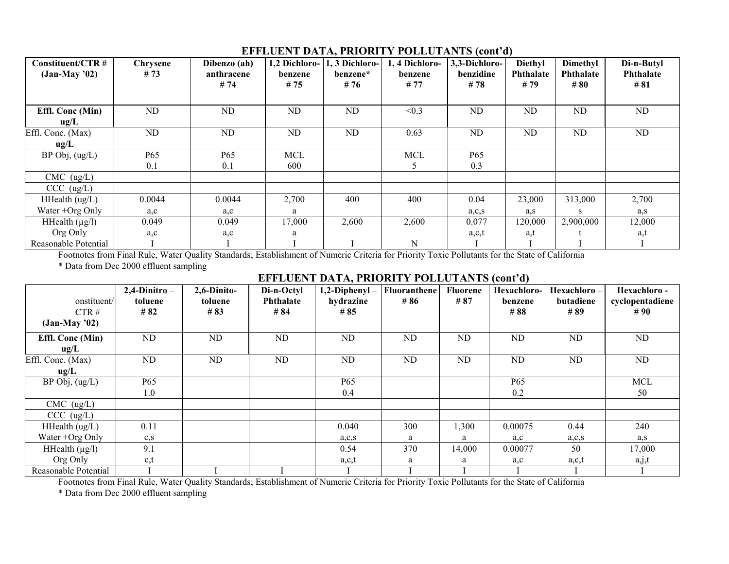| $Construct/CTR$ #<br>$(Jan-May'02)$               | <b>Chrysene</b><br>#73 | Dibenzo (ah)<br>anthracene<br>#74 | 1,2 Dichloro-<br>benzene<br>#75 | 1, 3 Dichloro-<br>benzene*<br>#76 | 1, 4 Dichloro-<br>benzene<br>#77 | 3,3-Dichloro-<br>benzidine<br>#78 | Diethyl<br><b>Phthalate</b><br># 79 | Dimethyl<br><b>Phthalate</b><br># 80 | Di-n-Butyl<br>Phthalate<br># 81 |
|---------------------------------------------------|------------------------|-----------------------------------|---------------------------------|-----------------------------------|----------------------------------|-----------------------------------|-------------------------------------|--------------------------------------|---------------------------------|
| Effl. Conc (Min)<br>ug/L                          | ND                     | ND                                | ND                              | ND                                | < 0.3                            | ND                                | ND                                  | ND                                   | ND                              |
| Effl. Conc. (Max)<br>ug/L                         | ND                     | ND                                | ND                              | ND                                | 0.63                             | ND                                | ND                                  | ND                                   | ND                              |
| $BP$ Obj, $(ug/L)$                                | P65<br>0.1             | P <sub>65</sub><br>0.1            | <b>MCL</b><br>600               |                                   | <b>MCL</b>                       | <b>P65</b><br>0.3                 |                                     |                                      |                                 |
| $CMC$ (ug/L)                                      |                        |                                   |                                 |                                   |                                  |                                   |                                     |                                      |                                 |
| CCC (ug/L)<br>HHealth $(ug/L)$<br>Water +Org Only | 0.0044<br>a, c         | 0.0044<br>a,c                     | 2,700<br>a                      | 400                               | 400                              | 0.04<br>a, c, s                   | 23,000<br>a,s                       | 313,000<br>S                         | 2,700<br>a,s                    |
| HHealth $(\mu g/l)$<br>Org Only                   | 0.049<br>a,c           | 0.049<br>a,c                      | 17,000<br>a                     | 2,600                             | 2,600                            | 0.077<br>a,c,t                    | 120,000<br>a,t                      | 2,900,000                            | 12,000<br>a,t                   |
| Reasonable Potential                              |                        |                                   |                                 |                                   | ${\bf N}$                        |                                   |                                     |                                      |                                 |

### **EFFLUENT DATA, PRIORITY POLLUTANTS (contíd)**

Footnotes from Final Rule, Water Quality Standards; Establishment of Numeric Criteria for Priority Toxic Pollutants for the State of California \* Data from Dec 2000 effluent sampling

# **EFFLUENT DATA, PRIORITY POLLUTANTS (contíd)**

|                      | $2,4$ -Dinitro – | 2,6-Dinito- | Di-n-Octyl | $1,2$ -Diphenyl – | Fluoranthene | <b>Fluorene</b> | Hexachloro-     | Hexachloro- | Hexachloro-     |
|----------------------|------------------|-------------|------------|-------------------|--------------|-----------------|-----------------|-------------|-----------------|
| onstituent/          | toluene          | toluene     | Phthalate  | hydrazine         | #86          | # 87            | benzene         | butadiene   | cyclopentadiene |
| CTR#                 | # 82             | #83         | # 84       | #85               |              |                 | #88             | #89         | #90             |
| $(Jan-May'02)$       |                  |             |            |                   |              |                 |                 |             |                 |
| Effl. Conc (Min)     | ND               | ND          | ND         | ND                | ND           | ND              | ND              | ND          | ND              |
| ug/L                 |                  |             |            |                   |              |                 |                 |             |                 |
| Effl. Conc. (Max)    | ND               | ND          | ND         | ND                | ND           | ND              | ND              | ND          | ND              |
| ug/L                 |                  |             |            |                   |              |                 |                 |             |                 |
| $BP$ Obj, $(ug/L)$   | <b>P65</b>       |             |            | P <sub>65</sub>   |              |                 | P <sub>65</sub> |             | <b>MCL</b>      |
|                      | 1.0              |             |            | 0.4               |              |                 | 0.2             |             | 50              |
| $CMC$ (ug/L)         |                  |             |            |                   |              |                 |                 |             |                 |
| CCC (ug/L)           |                  |             |            |                   |              |                 |                 |             |                 |
| HHealth $(ug/L)$     | 0.11             |             |            | 0.040             | 300          | 1,300           | 0.00075         | 0.44        | 240             |
| Water +Org Only      | $c_{,S}$         |             |            | a, c, s           | a            | a               | a, c            | a, c, s     | a,s             |
| HHealth $(\mu g/l)$  | 9.1              |             |            | 0.54              | 370          | 14,000          | 0.00077         | 50          | 17,000          |
| Org Only             | c, t             |             |            | a,c,t             | a            | a               | a,c             | a,c,t       | a,j,t           |
| Reasonable Potential |                  |             |            |                   |              |                 |                 |             |                 |

Footnotes from Final Rule, Water Quality Standards; Establishment of Numeric Criteria for Priority Toxic Pollutants for the State of California

\* Data from Dec 2000 effluent sampling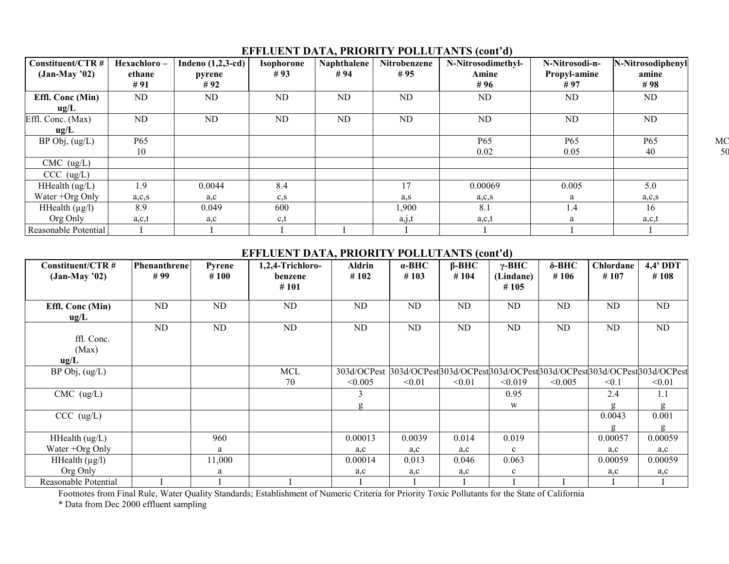# **EFFLUENT DATA, PRIORITY POLLUTANTS (cont'd)**

| Constituent/CTR #    | Hexachloro- | Indeno (1,2,3-cd) | <b>Isophorone</b> | Naphthalene | Nitrobenzene | N-Nitrosodimethyl- | N-Nitrosodi-n-  | N-Nitrosodiphenyl |
|----------------------|-------------|-------------------|-------------------|-------------|--------------|--------------------|-----------------|-------------------|
| $(Jan-May'02)$       | ethane      | pyrene            | #93               | #94         | #95          | Amine              | Propyl-amine    | amine             |
|                      | #91         | #92               |                   |             |              | #96                | #97             | #98               |
| Effl. Conc (Min)     | ND          | ND                | ND                | ND          | <b>ND</b>    | ND                 | <b>ND</b>       | ND.               |
| $u\mathfrak{g}/L$    |             |                   |                   |             |              |                    |                 |                   |
| Effl. Conc. (Max)    | ND.         | ND.               | ND.               | <b>ND</b>   | ND.          | ND                 | ND              | ND.               |
| ug/L                 |             |                   |                   |             |              |                    |                 |                   |
| $BP$ Obj, $(ug/L)$   | P65         |                   |                   |             |              | P65                | P <sub>65</sub> | P65               |
|                      | 10          |                   |                   |             |              | 0.02               | 0.05            | 40                |
| $CMC$ (ug/L)         |             |                   |                   |             |              |                    |                 |                   |
| CCC (ug/L)           |             |                   |                   |             |              |                    |                 |                   |
| HHealth $(ug/L)$     | 1.9         | 0.0044            | 8.4               |             | 17           | 0.00069            | 0.005           | 5.0               |
| Water +Org Only      | a, c, s     | a,c               | $c_{\rm S}$       |             | a.s          | a, c, s            | a               | a, c, s           |
| HHealth $(\mu g/l)$  | 8.9         | 0.049             | 600               |             | 1,900        | 8.1                | 1.4             | 16                |
| Org Only             | a,c,t       | a,c               | c,t               |             | a, j, t      | a,c,t              | a               | a,c,t             |
| Reasonable Potential |             |                   |                   |             |              |                    |                 |                   |

# **EFFLUENT DATA, PRIORITY POLLUTANTS (cont'd)**

| Constituent/CTR #<br>$(Jan-May'02)$ | Phenanthrene<br>#99 | Pyrene<br>#100 | 1,2,4-Trichloro-<br>benzene | Aldrin<br>#102                                                                 | $\alpha$ -BHC<br>#103 | $\beta$ -BHC<br>#104 | $\gamma$ -BHC<br>(Lindane) | $\delta$ -BHC<br>#106 | Chlordane<br>#107 | 4,4' DDT<br>#108 |
|-------------------------------------|---------------------|----------------|-----------------------------|--------------------------------------------------------------------------------|-----------------------|----------------------|----------------------------|-----------------------|-------------------|------------------|
|                                     |                     |                | #101                        |                                                                                |                       |                      | #105                       |                       |                   |                  |
| Effl. Conc (Min)<br>ug/L            | ND                  | ND             | ND                          | ND                                                                             | ND                    | ND                   | ND.                        | <b>ND</b>             | ND                | ND               |
| ffl. Conc.<br>(Max)<br>ug/L         | ND                  | ND             | ND                          | ND                                                                             | ND                    | ND                   | ND.                        | ND                    | ND                | ND               |
| $BP$ Obj, $(ug/L)$                  |                     |                | <b>MCL</b>                  | 303d/OCPest 303d/OCPest303d/OCPest303d/OCPest303d/OCPest303d/OCPest303d/OCPest |                       |                      |                            |                       |                   |                  |
|                                     |                     |                | 70                          | < 0.005                                                                        | < 0.01                | < 0.01               | < 0.019                    | < 0.005               | < 0.1             | < 0.01           |
| $CMC$ (ug/L)                        |                     |                |                             | 3                                                                              |                       |                      | 0.95                       |                       | 2.4               | 1.1              |
|                                     |                     |                |                             | g                                                                              |                       |                      | W                          |                       | g                 | g                |
| CCC (ug/L)                          |                     |                |                             |                                                                                |                       |                      |                            |                       | 0.0043            | 0.001            |
|                                     |                     |                |                             |                                                                                |                       |                      |                            |                       | g                 | g                |
| HHealth (ug/L)                      |                     | 960            |                             | 0.00013                                                                        | 0.0039                | 0.014                | 0.019                      |                       | 0.00057           | 0.00059          |
| Water +Org Only                     |                     | a              |                             | a,c                                                                            | a,c                   | a,c                  | $\mathbf{c}$               |                       | a,c               | a,c              |
| HHealth $(\mu g/l)$                 |                     | 11,000         |                             | 0.00014                                                                        | 0.013                 | 0.046                | 0.063                      |                       | 0.00059           | 0.00059          |
| Org Only                            |                     | a              |                             | a,c                                                                            | a,c                   | a,c                  | $\mathbf{c}$               |                       | a,c               | a,c              |
| Reasonable Potential                |                     |                |                             |                                                                                |                       |                      |                            |                       |                   |                  |

Footnotes from Final Rule, Water Quality Standards; Establishment of Numeric Criteria for Priority Toxic Pollutants for the State of California

\* Data from Dec 2000 effluent sampling

M C 50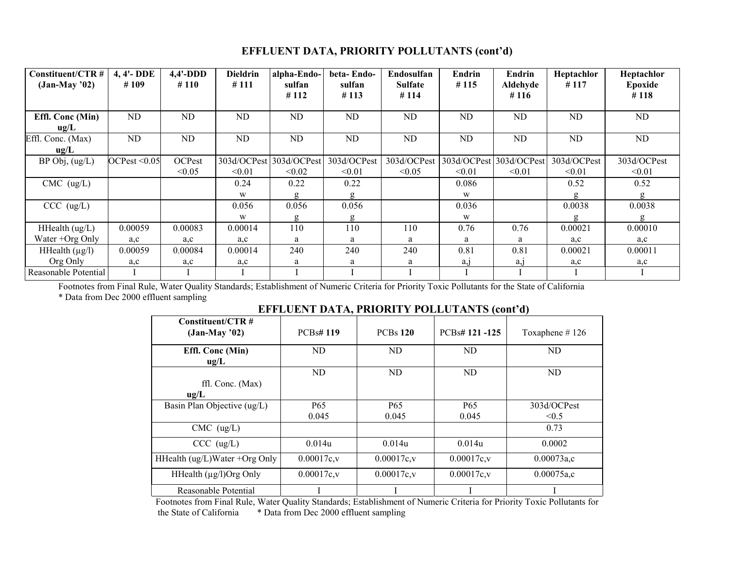# **EFFLUENT DATA, PRIORITY POLLUTANTS (cont'd)**

| Constituent/CTR #<br>$(Jan-May'02)$ | 4, 4'-DDE<br>#109 | $4,4'$ -DDD<br>#110 | <b>Dieldrin</b><br>#111 | alpha-Endo-<br>sulfan<br>#112 | beta-Endo-<br>sulfan<br>#113 | Endosulfan<br><b>Sulfate</b><br>#114 | Endrin<br>#115          | Endrin<br>Aldehyde<br>#116 | Heptachlor<br>#117 | Heptachlor<br>Epoxide<br>#118 |
|-------------------------------------|-------------------|---------------------|-------------------------|-------------------------------|------------------------------|--------------------------------------|-------------------------|----------------------------|--------------------|-------------------------------|
| Effl. Conc (Min)                    | <b>ND</b>         | ND                  | ND                      | ND                            | ND                           | ND.                                  | ND                      | ND                         | ND                 | ND.                           |
| ug/L                                |                   |                     |                         |                               |                              |                                      |                         |                            |                    |                               |
| Effl. Conc. (Max)                   | <b>ND</b>         | ND                  | ND                      | ND                            | ND                           | ND.                                  | ND                      | ND                         | ND                 | ND                            |
| ug/L                                |                   |                     |                         |                               |                              |                                      |                         |                            |                    |                               |
| $BP$ Obj, $(ug/L)$                  | OCPest < 0.05     | OCPest              | 303d/OCPest             | 303d/OCPest                   | 303d/OCPest                  | 303d/OCPest                          | 303d/OCPest 303d/OCPest |                            | 303d/OCPest        | 303d/OCPest                   |
|                                     |                   | < 0.05              | < 0.01                  | < 0.02                        | < 0.01                       | < 0.05                               | < 0.01                  | < 0.01                     | < 0.01             | < 0.01                        |
| $CMC$ (ug/L)                        |                   |                     | 0.24                    | 0.22                          | 0.22                         |                                      | 0.086                   |                            | 0.52               | 0.52                          |
|                                     |                   |                     | W                       | g                             | g                            |                                      | W                       |                            |                    | g                             |
| CCC (ug/L)                          |                   |                     | 0.056                   | 0.056                         | 0.056                        |                                      | 0.036                   |                            | 0.0038             | 0.0038                        |
|                                     |                   |                     | W                       | g                             | g                            |                                      | W                       |                            |                    | g                             |
| HHealth (ug/L)                      | 0.00059           | 0.00083             | 0.00014                 | 110                           | 110                          | 110                                  | 0.76                    | 0.76                       | 0.00021            | 0.00010                       |
| Water $+{\rm Org}$ Only             | $a_{\rm c}$       | a,c                 | a,c                     | a                             | a                            | a                                    | a                       | a                          | $a_{\rm c}$        | a,c                           |
| HHealth $(\mu g/l)$                 | 0.00059           | 0.00084             | 0.00014                 | 240                           | 240                          | 240                                  | 0.81                    | 0.81                       | 0.00021            | 0.00011                       |
| Org Only                            | a,c               | a,c                 | a,c                     | a                             | a                            | a                                    | $a_{1}$                 | a,                         | a,c                | a,c                           |
| Reasonable Potential                |                   |                     |                         |                               |                              |                                      |                         |                            |                    |                               |

Footnotes from Final Rule, Water Quality Standards; Establishment of Numeric Criteria for Priority Toxic Pollutants for the State of California \* Data from Dec 2000 effluent sampling

# **EFFLUENT DATA, PRIORITY POLLUTANTS (cont'd)**

| Constituent/CTR #<br>$(Jan-May'02)$     | <b>PCBs#119</b> | <b>PCBs 120</b> | PCB <sub>s</sub> #121-125 | Toxaphene $#126$ |  |
|-----------------------------------------|-----------------|-----------------|---------------------------|------------------|--|
| Effl. Conc (Min)<br>ug/L                | ND              | ND              | ND                        | ND               |  |
|                                         | ND              | ND              | ND                        | ND               |  |
| ffl. Conc. (Max)                        |                 |                 |                           |                  |  |
| ug/L                                    |                 |                 |                           |                  |  |
| Basin Plan Objective (ug/L)             | P <sub>65</sub> | P <sub>65</sub> | P <sub>65</sub>           | 303d/OCPest      |  |
|                                         | 0.045           | 0.045           | 0.045                     | < 0.5            |  |
| $CMC$ (ug/L)                            |                 |                 |                           | 0.73             |  |
| CCC (ug/L)                              | 0.014u          | 0.014u          | 0.014u                    | 0.0002           |  |
| HHealth $\frac{u g}{L}$ Water +Org Only | $0.00017c$ , v  | $0.00017c$ , v  | 0.00017c.v                | 0.00073a.c       |  |
| HHealth $(\mu g/l)$ Org Only            | $0.00017c$ , v  | $0.00017c$ , v  | $0.00017c$ , v            | $0.00075a$ ,c    |  |
| Reasonable Potential                    |                 |                 |                           |                  |  |

Footnotes from Final Rule, Water Quality Standards; Establishment of Numeric Criteria for Priority Toxic Pollutants for \* Data from Dec 2000 effluent sampling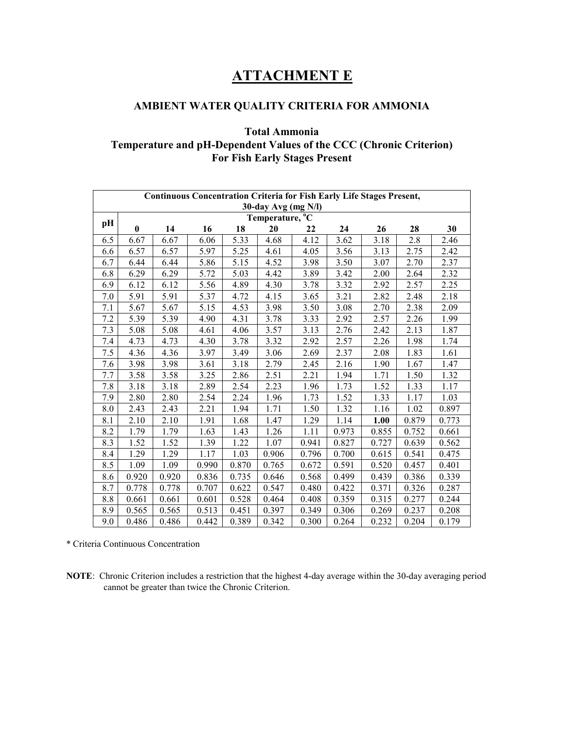# **ATTACHMENT E**

# **AMBIENT WATER QUALITY CRITERIA FOR AMMONIA**

# **Total Ammonia Temperature and pH-Dependent Values of the CCC (Chronic Criterion) For Fish Early Stages Present**

| <b>Continuous Concentration Criteria for Fish Early Life Stages Present,</b> |              |       |       |       |       |       |       |       |       |       |
|------------------------------------------------------------------------------|--------------|-------|-------|-------|-------|-------|-------|-------|-------|-------|
| $30$ -day Avg (mg N/l)<br>Temperature, <sup>o</sup> C                        |              |       |       |       |       |       |       |       |       |       |
| pН                                                                           | $\mathbf{0}$ | 14    | 16    | 18    | 20    | 22    | 24    | 26    | 28    | 30    |
| 6.5                                                                          | 6.67         | 6.67  | 6.06  | 5.33  | 4.68  | 4.12  | 3.62  | 3.18  | 2.8   | 2.46  |
| 6.6                                                                          | 6.57         | 6.57  | 5.97  | 5.25  | 4.61  | 4.05  | 3.56  | 3.13  | 2.75  | 2.42  |
| 6.7                                                                          | 6.44         | 6.44  | 5.86  | 5.15  | 4.52  | 3.98  | 3.50  | 3.07  | 2.70  | 2.37  |
| 6.8                                                                          | 6.29         | 6.29  | 5.72  | 5.03  | 4.42  | 3.89  | 3.42  | 2.00  | 2.64  | 2.32  |
| 6.9                                                                          | 6.12         | 6.12  | 5.56  | 4.89  | 4.30  | 3.78  | 3.32  | 2.92  | 2.57  | 2.25  |
| 7.0                                                                          | 5.91         | 5.91  | 5.37  | 4.72  | 4.15  | 3.65  | 3.21  | 2.82  | 2.48  | 2.18  |
| 7.1                                                                          | 5.67         | 5.67  | 5.15  | 4.53  | 3.98  | 3.50  | 3.08  | 2.70  | 2.38  | 2.09  |
| 7.2                                                                          | 5.39         | 5.39  | 4.90  | 4.31  | 3.78  | 3.33  | 2.92  | 2.57  | 2.26  | 1.99  |
| 7.3                                                                          | 5.08         | 5.08  | 4.61  | 4.06  | 3.57  | 3.13  | 2.76  | 2.42  | 2.13  | 1.87  |
| 7.4                                                                          | 4.73         | 4.73  | 4.30  | 3.78  | 3.32  | 2.92  | 2.57  | 2.26  | 1.98  | 1.74  |
| 7.5                                                                          | 4.36         | 4.36  | 3.97  | 3.49  | 3.06  | 2.69  | 2.37  | 2.08  | 1.83  | 1.61  |
| 7.6                                                                          | 3.98         | 3.98  | 3.61  | 3.18  | 2.79  | 2.45  | 2.16  | 1.90  | 1.67  | 1.47  |
| 7.7                                                                          | 3.58         | 3.58  | 3.25  | 2.86  | 2.51  | 2.21  | 1.94  | 1.71  | 1.50  | 1.32  |
| 7.8                                                                          | 3.18         | 3.18  | 2.89  | 2.54  | 2.23  | 1.96  | 1.73  | 1.52  | 1.33  | 1.17  |
| 7.9                                                                          | 2.80         | 2.80  | 2.54  | 2.24  | 1.96  | 1.73  | 1.52  | 1.33  | 1.17  | 1.03  |
| 8.0                                                                          | 2.43         | 2.43  | 2.21  | 1.94  | 1.71  | 1.50  | 1.32  | 1.16  | 1.02  | 0.897 |
| 8.1                                                                          | 2.10         | 2.10  | 1.91  | 1.68  | 1.47  | 1.29  | 1.14  | 1.00  | 0.879 | 0.773 |
| 8.2                                                                          | 1.79         | 1.79  | 1.63  | 1.43  | 1.26  | 1.11  | 0.973 | 0.855 | 0.752 | 0.661 |
| 8.3                                                                          | 1.52         | 1.52  | 1.39  | 1.22  | 1.07  | 0.941 | 0.827 | 0.727 | 0.639 | 0.562 |
| 8.4                                                                          | 1.29         | 1.29  | 1.17  | 1.03  | 0.906 | 0.796 | 0.700 | 0.615 | 0.541 | 0.475 |
| 8.5                                                                          | 1.09         | 1.09  | 0.990 | 0.870 | 0.765 | 0.672 | 0.591 | 0.520 | 0.457 | 0.401 |
| 8.6                                                                          | 0.920        | 0.920 | 0.836 | 0.735 | 0.646 | 0.568 | 0.499 | 0.439 | 0.386 | 0.339 |
| 8.7                                                                          | 0.778        | 0.778 | 0.707 | 0.622 | 0.547 | 0.480 | 0.422 | 0.371 | 0.326 | 0.287 |
| 8.8                                                                          | 0.661        | 0.661 | 0.601 | 0.528 | 0.464 | 0.408 | 0.359 | 0.315 | 0.277 | 0.244 |
| 8.9                                                                          | 0.565        | 0.565 | 0.513 | 0.451 | 0.397 | 0.349 | 0.306 | 0.269 | 0.237 | 0.208 |
| 9.0                                                                          | 0.486        | 0.486 | 0.442 | 0.389 | 0.342 | 0.300 | 0.264 | 0.232 | 0.204 | 0.179 |

\* Criteria Continuous Concentration

**NOTE**: Chronic Criterion includes a restriction that the highest 4-day average within the 30-day averaging period cannot be greater than twice the Chronic Criterion.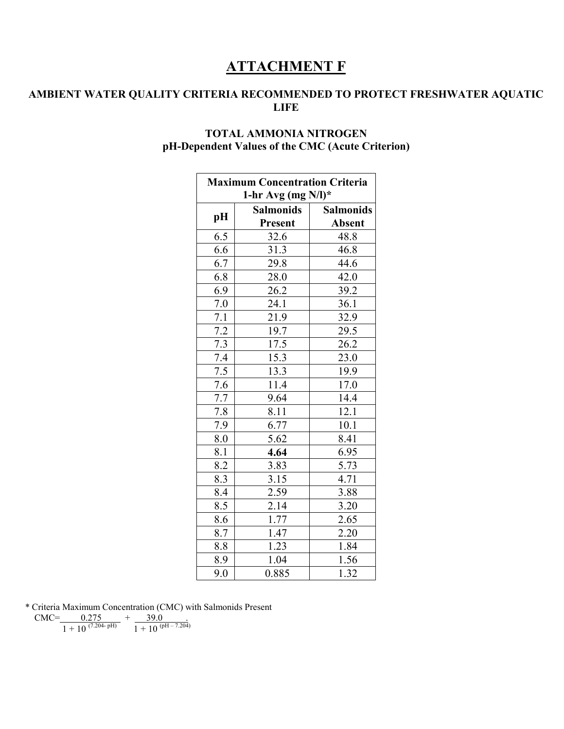# **ATTACHMENT F**

# **AMBIENT WATER QUALITY CRITERIA RECOMMENDED TO PROTECT FRESHWATER AQUATIC LIFE**

# **TOTAL AMMONIA NITROGEN pH-Dependent Values of the CMC (Acute Criterion)**

Ē

| <b>Maximum Concentration Criteria</b> |                  |                  |  |  |  |  |  |  |
|---------------------------------------|------------------|------------------|--|--|--|--|--|--|
| 1-hr Avg (mg $N/l$ )*                 |                  |                  |  |  |  |  |  |  |
|                                       | <b>Salmonids</b> | <b>Salmonids</b> |  |  |  |  |  |  |
| pH                                    | <b>Present</b>   | <b>Absent</b>    |  |  |  |  |  |  |
| 6.5                                   | 32.6             | 48.8             |  |  |  |  |  |  |
| 6.6                                   | 31.3             | 46.8             |  |  |  |  |  |  |
| 6.7                                   | 29.8             | 44.6             |  |  |  |  |  |  |
| 6.8                                   | 28.0             | 42.0             |  |  |  |  |  |  |
| 6.9                                   | 26.2             | 39.2             |  |  |  |  |  |  |
| $7.0\,$                               | 24.1             | 36.1             |  |  |  |  |  |  |
| 7.1                                   | 21.9             | 32.9             |  |  |  |  |  |  |
| $\overline{7.2}$                      | 19.7             | 29.5             |  |  |  |  |  |  |
| 7.3                                   | 17.5             | 26.2             |  |  |  |  |  |  |
| 7.4                                   | 15.3             | 23.0             |  |  |  |  |  |  |
| 7.5                                   | 13.3             | 19.9             |  |  |  |  |  |  |
| 7.6                                   | 11.4             | 17.0             |  |  |  |  |  |  |
| 7.7                                   | 9.64             | 14.4             |  |  |  |  |  |  |
| 7.8                                   | 8.11             | 12.1             |  |  |  |  |  |  |
| 7.9                                   | 6.77             | 10.1             |  |  |  |  |  |  |
| 8.0                                   | 5.62             | 8.41             |  |  |  |  |  |  |
| 8.1                                   | 4.64             | 6.95             |  |  |  |  |  |  |
| $\overline{8.2}$                      | 3.83             | 5.73             |  |  |  |  |  |  |
| 8.3                                   | 3.15             | 4.71             |  |  |  |  |  |  |
| 8.4                                   | 2.59             | 3.88             |  |  |  |  |  |  |
| 8.5                                   | 2.14             | 3.20             |  |  |  |  |  |  |
| 8.6                                   | 1.77             | 2.65             |  |  |  |  |  |  |
| 8.7                                   | 1.47             | 2.20             |  |  |  |  |  |  |
| 8.8                                   | 1.23             | 1.84             |  |  |  |  |  |  |
| 8.9                                   | 1.04             | 1.56             |  |  |  |  |  |  |
| 9.0                                   | 0.885            | 1.32             |  |  |  |  |  |  |

\* Criteria Maximum Concentration (CMC) with Salmonids Present

 $CMC =$  0.275  $+$  39.0 .

 $1 + 10^{(7.204-pH)}$   $1 + 10^{(pH - 7.204)}$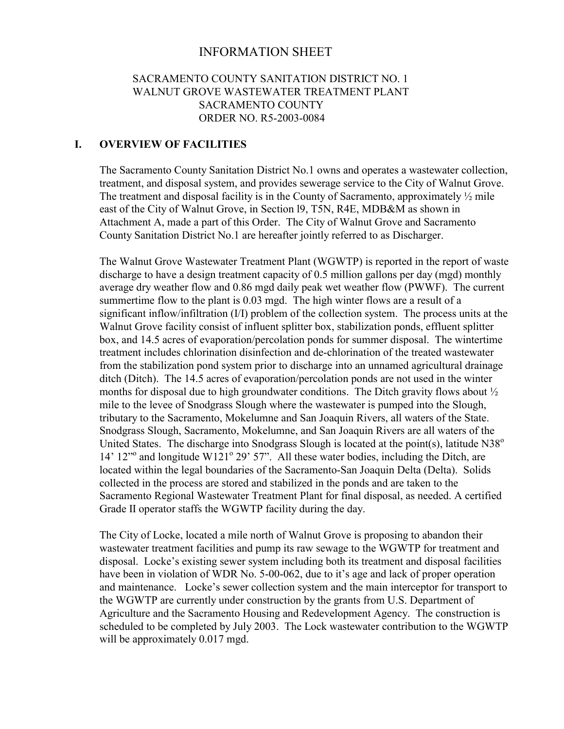# INFORMATION SHEET

# SACRAMENTO COUNTY SANITATION DISTRICT NO. 1 WALNUT GROVE WASTEWATER TREATMENT PLANT SACRAMENTO COUNTY ORDER NO. R5-2003-0084

# **I. OVERVIEW OF FACILITIES**

The Sacramento County Sanitation District No.1 owns and operates a wastewater collection, treatment, and disposal system, and provides sewerage service to the City of Walnut Grove. The treatment and disposal facility is in the County of Sacramento, approximately  $\frac{1}{2}$  mile east of the City of Walnut Grove, in Section l9, T5N, R4E, MDB&M as shown in Attachment A, made a part of this Order. The City of Walnut Grove and Sacramento County Sanitation District No.1 are hereafter jointly referred to as Discharger.

The Walnut Grove Wastewater Treatment Plant (WGWTP) is reported in the report of waste discharge to have a design treatment capacity of 0.5 million gallons per day (mgd) monthly average dry weather flow and 0.86 mgd daily peak wet weather flow (PWWF). The current summertime flow to the plant is 0.03 mgd. The high winter flows are a result of a significant inflow/infiltration (I/I) problem of the collection system. The process units at the Walnut Grove facility consist of influent splitter box, stabilization ponds, effluent splitter box, and 14.5 acres of evaporation/percolation ponds for summer disposal. The wintertime treatment includes chlorination disinfection and de-chlorination of the treated wastewater from the stabilization pond system prior to discharge into an unnamed agricultural drainage ditch (Ditch). The 14.5 acres of evaporation/percolation ponds are not used in the winter months for disposal due to high groundwater conditions. The Ditch gravity flows about  $\frac{1}{2}$ mile to the levee of Snodgrass Slough where the wastewater is pumped into the Slough, tributary to the Sacramento, Mokelumne and San Joaquin Rivers, all waters of the State. Snodgrass Slough, Sacramento, Mokelumne, and San Joaquin Rivers are all waters of the United States. The discharge into Snodgrass Slough is located at the point(s), latitude  $N38^\circ$ 14' 12<sup>no</sup> and longitude W121<sup>o</sup> 29' 57". All these water bodies, including the Ditch, are located within the legal boundaries of the Sacramento-San Joaquin Delta (Delta). Solids collected in the process are stored and stabilized in the ponds and are taken to the Sacramento Regional Wastewater Treatment Plant for final disposal, as needed. A certified Grade II operator staffs the WGWTP facility during the day.

The City of Locke, located a mile north of Walnut Grove is proposing to abandon their wastewater treatment facilities and pump its raw sewage to the WGWTP for treatment and disposal. Locke's existing sewer system including both its treatment and disposal facilities have been in violation of WDR No. 5-00-062, due to it's age and lack of proper operation and maintenance. Locke's sewer collection system and the main interceptor for transport to the WGWTP are currently under construction by the grants from U.S. Department of Agriculture and the Sacramento Housing and Redevelopment Agency. The construction is scheduled to be completed by July 2003. The Lock wastewater contribution to the WGWTP will be approximately 0.017 mgd.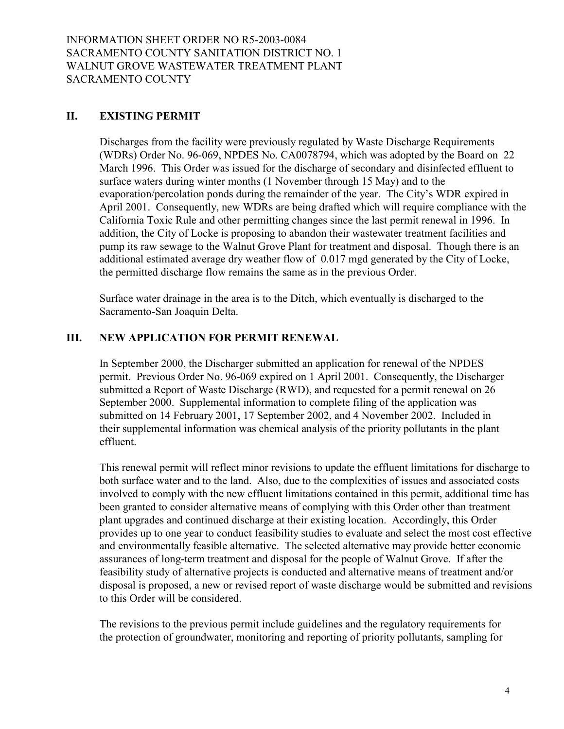## **II. EXISTING PERMIT**

Discharges from the facility were previously regulated by Waste Discharge Requirements (WDRs) Order No. 96-069, NPDES No. CA0078794, which was adopted by the Board on 22 March 1996. This Order was issued for the discharge of secondary and disinfected effluent to surface waters during winter months (1 November through 15 May) and to the evaporation/percolation ponds during the remainder of the year. The City's WDR expired in April 2001. Consequently, new WDRs are being drafted which will require compliance with the California Toxic Rule and other permitting changes since the last permit renewal in 1996. In addition, the City of Locke is proposing to abandon their wastewater treatment facilities and pump its raw sewage to the Walnut Grove Plant for treatment and disposal. Though there is an additional estimated average dry weather flow of 0.017 mgd generated by the City of Locke, the permitted discharge flow remains the same as in the previous Order.

Surface water drainage in the area is to the Ditch, which eventually is discharged to the Sacramento-San Joaquin Delta.

## **III. NEW APPLICATION FOR PERMIT RENEWAL**

In September 2000, the Discharger submitted an application for renewal of the NPDES permit. Previous Order No. 96-069 expired on 1 April 2001. Consequently, the Discharger submitted a Report of Waste Discharge (RWD), and requested for a permit renewal on 26 September 2000. Supplemental information to complete filing of the application was submitted on 14 February 2001, 17 September 2002, and 4 November 2002. Included in their supplemental information was chemical analysis of the priority pollutants in the plant effluent.

This renewal permit will reflect minor revisions to update the effluent limitations for discharge to both surface water and to the land. Also, due to the complexities of issues and associated costs involved to comply with the new effluent limitations contained in this permit, additional time has been granted to consider alternative means of complying with this Order other than treatment plant upgrades and continued discharge at their existing location. Accordingly, this Order provides up to one year to conduct feasibility studies to evaluate and select the most cost effective and environmentally feasible alternative. The selected alternative may provide better economic assurances of long-term treatment and disposal for the people of Walnut Grove. If after the feasibility study of alternative projects is conducted and alternative means of treatment and/or disposal is proposed, a new or revised report of waste discharge would be submitted and revisions to this Order will be considered.

The revisions to the previous permit include guidelines and the regulatory requirements for the protection of groundwater, monitoring and reporting of priority pollutants, sampling for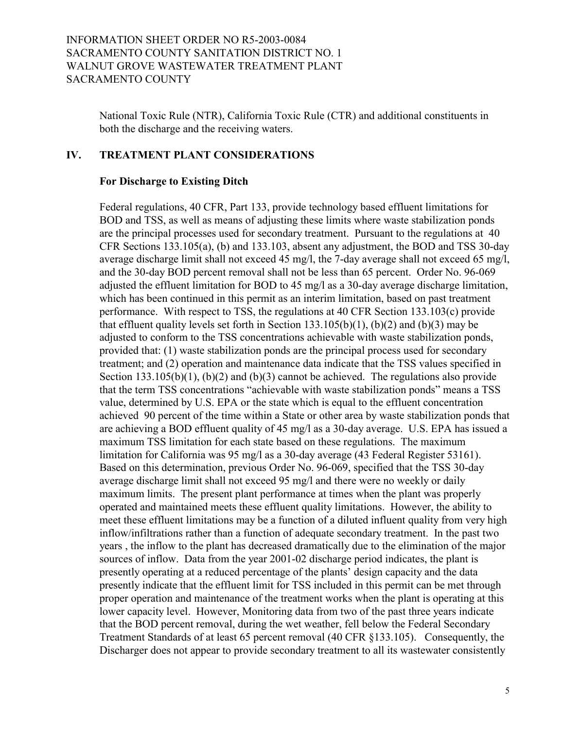National Toxic Rule (NTR), California Toxic Rule (CTR) and additional constituents in both the discharge and the receiving waters.

## **IV. TREATMENT PLANT CONSIDERATIONS**

## **For Discharge to Existing Ditch**

Federal regulations, 40 CFR, Part 133, provide technology based effluent limitations for BOD and TSS, as well as means of adjusting these limits where waste stabilization ponds are the principal processes used for secondary treatment. Pursuant to the regulations at 40 CFR Sections 133.105(a), (b) and 133.103, absent any adjustment, the BOD and TSS 30-day average discharge limit shall not exceed 45 mg/l, the 7-day average shall not exceed 65 mg/l, and the 30-day BOD percent removal shall not be less than 65 percent. Order No. 96-069 adjusted the effluent limitation for BOD to 45 mg/l as a 30-day average discharge limitation, which has been continued in this permit as an interim limitation, based on past treatment performance. With respect to TSS, the regulations at 40 CFR Section 133.103(c) provide that effluent quality levels set forth in Section  $133.105(b)(1)$ ,  $(b)(2)$  and  $(b)(3)$  may be adjusted to conform to the TSS concentrations achievable with waste stabilization ponds, provided that: (1) waste stabilization ponds are the principal process used for secondary treatment; and (2) operation and maintenance data indicate that the TSS values specified in Section 133.105(b)(1), (b)(2) and (b)(3) cannot be achieved. The regulations also provide that the term TSS concentrations "achievable with waste stabilization ponds" means a TSS value, determined by U.S. EPA or the state which is equal to the effluent concentration achieved 90 percent of the time within a State or other area by waste stabilization ponds that are achieving a BOD effluent quality of 45 mg/l as a 30-day average. U.S. EPA has issued a maximum TSS limitation for each state based on these regulations. The maximum limitation for California was 95 mg/l as a 30-day average (43 Federal Register 53161). Based on this determination, previous Order No. 96-069, specified that the TSS 30-day average discharge limit shall not exceed 95 mg/l and there were no weekly or daily maximum limits. The present plant performance at times when the plant was properly operated and maintained meets these effluent quality limitations. However, the ability to meet these effluent limitations may be a function of a diluted influent quality from very high inflow/infiltrations rather than a function of adequate secondary treatment. In the past two years , the inflow to the plant has decreased dramatically due to the elimination of the major sources of inflow. Data from the year 2001-02 discharge period indicates, the plant is presently operating at a reduced percentage of the plants' design capacity and the data presently indicate that the effluent limit for TSS included in this permit can be met through proper operation and maintenance of the treatment works when the plant is operating at this lower capacity level. However, Monitoring data from two of the past three years indicate that the BOD percent removal, during the wet weather, fell below the Federal Secondary Treatment Standards of at least 65 percent removal (40 CFR ß133.105). Consequently, the Discharger does not appear to provide secondary treatment to all its wastewater consistently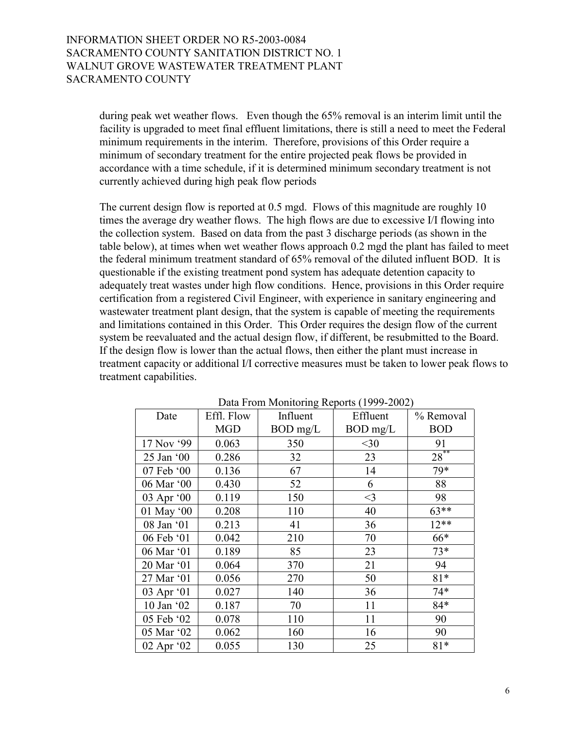during peak wet weather flows. Even though the 65% removal is an interim limit until the facility is upgraded to meet final effluent limitations, there is still a need to meet the Federal minimum requirements in the interim. Therefore, provisions of this Order require a minimum of secondary treatment for the entire projected peak flows be provided in accordance with a time schedule, if it is determined minimum secondary treatment is not currently achieved during high peak flow periods

The current design flow is reported at 0.5 mgd. Flows of this magnitude are roughly 10 times the average dry weather flows. The high flows are due to excessive I/I flowing into the collection system. Based on data from the past 3 discharge periods (as shown in the table below), at times when wet weather flows approach 0.2 mgd the plant has failed to meet the federal minimum treatment standard of 65% removal of the diluted influent BOD. It is questionable if the existing treatment pond system has adequate detention capacity to adequately treat wastes under high flow conditions. Hence, provisions in this Order require certification from a registered Civil Engineer, with experience in sanitary engineering and wastewater treatment plant design, that the system is capable of meeting the requirements and limitations contained in this Order. This Order requires the design flow of the current system be reevaluated and the actual design flow, if different, be resubmitted to the Board. If the design flow is lower than the actual flows, then either the plant must increase in treatment capacity or additional I/I corrective measures must be taken to lower peak flows to treatment capabilities.

| Date       | Effl. Flow | Influent   | Effluent | % Removal  |
|------------|------------|------------|----------|------------|
|            | <b>MGD</b> | $BOD$ mg/L | BOD mg/L | <b>BOD</b> |
| 17 Nov '99 | 0.063      | 350        | $<$ 30   | 91         |
| 25 Jan '00 | 0.286      | 32         | 23       | $28***$    |
| 07 Feb '00 | 0.136      | 67         | 14       | 79*        |
| 06 Mar '00 | 0.430      | 52         | 6        | 88         |
| 03 Apr '00 | 0.119      | 150        | $<$ 3    | 98         |
| 01 May '00 | 0.208      | 110        | 40       | $63**$     |
| 08 Jan '01 | 0.213      | 41         | 36       | $12**$     |
| 06 Feb '01 | 0.042      | 210        | 70       | 66*        |
| 06 Mar '01 | 0.189      | 85         | 23       | $73*$      |
| 20 Mar '01 | 0.064      | 370        | 21       | 94         |
| 27 Mar '01 | 0.056      | 270        | 50       | $81*$      |
| 03 Apr '01 | 0.027      | 140        | 36       | $74*$      |
| 10 Jan '02 | 0.187      | 70         | 11       | 84*        |
| 05 Feb '02 | 0.078      | 110        | 11       | 90         |
| 05 Mar '02 | 0.062      | 160        | 16       | 90         |
| 02 Apr '02 | 0.055      | 130        | 25       | $81*$      |

Data From Monitoring Reports (1999-2002)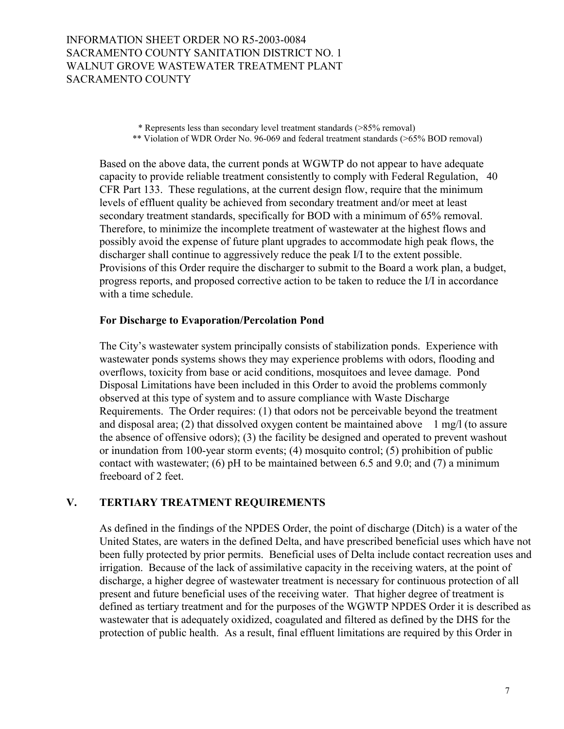\* Represents less than secondary level treatment standards (>85% removal) \*\* Violation of WDR Order No. 96-069 and federal treatment standards (>65% BOD removal)

Based on the above data, the current ponds at WGWTP do not appear to have adequate capacity to provide reliable treatment consistently to comply with Federal Regulation, 40 CFR Part 133. These regulations, at the current design flow, require that the minimum levels of effluent quality be achieved from secondary treatment and/or meet at least secondary treatment standards, specifically for BOD with a minimum of 65% removal. Therefore, to minimize the incomplete treatment of wastewater at the highest flows and possibly avoid the expense of future plant upgrades to accommodate high peak flows, the discharger shall continue to aggressively reduce the peak I/I to the extent possible. Provisions of this Order require the discharger to submit to the Board a work plan, a budget, progress reports, and proposed corrective action to be taken to reduce the I/I in accordance with a time schedule.

#### **For Discharge to Evaporation/Percolation Pond**

The City's wastewater system principally consists of stabilization ponds. Experience with wastewater ponds systems shows they may experience problems with odors, flooding and overflows, toxicity from base or acid conditions, mosquitoes and levee damage. Pond Disposal Limitations have been included in this Order to avoid the problems commonly observed at this type of system and to assure compliance with Waste Discharge Requirements. The Order requires: (1) that odors not be perceivable beyond the treatment and disposal area; (2) that dissolved oxygen content be maintained above  $1 \text{ mg/l}$  (to assure the absence of offensive odors); (3) the facility be designed and operated to prevent washout or inundation from 100-year storm events; (4) mosquito control; (5) prohibition of public contact with wastewater; (6) pH to be maintained between 6.5 and 9.0; and (7) a minimum freeboard of 2 feet.

### **V. TERTIARY TREATMENT REQUIREMENTS**

As defined in the findings of the NPDES Order, the point of discharge (Ditch) is a water of the United States, are waters in the defined Delta, and have prescribed beneficial uses which have not been fully protected by prior permits. Beneficial uses of Delta include contact recreation uses and irrigation. Because of the lack of assimilative capacity in the receiving waters, at the point of discharge, a higher degree of wastewater treatment is necessary for continuous protection of all present and future beneficial uses of the receiving water. That higher degree of treatment is defined as tertiary treatment and for the purposes of the WGWTP NPDES Order it is described as wastewater that is adequately oxidized, coagulated and filtered as defined by the DHS for the protection of public health. As a result, final effluent limitations are required by this Order in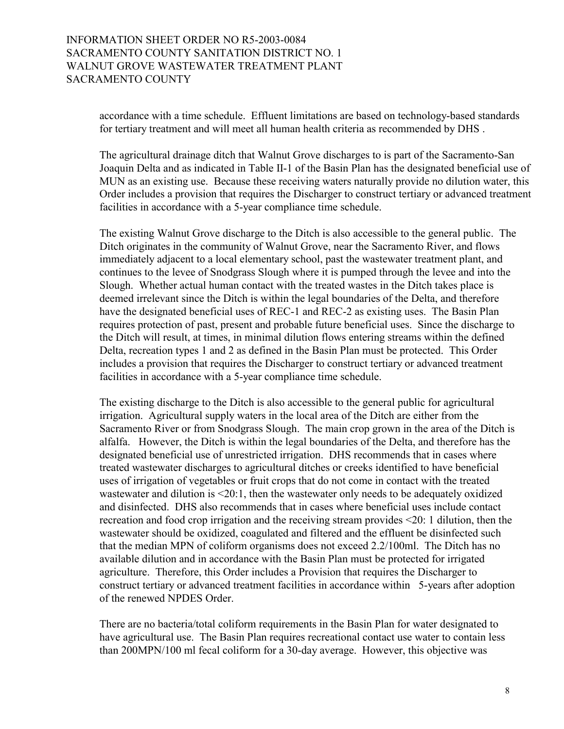accordance with a time schedule. Effluent limitations are based on technology-based standards for tertiary treatment and will meet all human health criteria as recommended by DHS .

The agricultural drainage ditch that Walnut Grove discharges to is part of the Sacramento-San Joaquin Delta and as indicated in Table II-1 of the Basin Plan has the designated beneficial use of MUN as an existing use. Because these receiving waters naturally provide no dilution water, this Order includes a provision that requires the Discharger to construct tertiary or advanced treatment facilities in accordance with a 5-year compliance time schedule.

The existing Walnut Grove discharge to the Ditch is also accessible to the general public. The Ditch originates in the community of Walnut Grove, near the Sacramento River, and flows immediately adjacent to a local elementary school, past the wastewater treatment plant, and continues to the levee of Snodgrass Slough where it is pumped through the levee and into the Slough. Whether actual human contact with the treated wastes in the Ditch takes place is deemed irrelevant since the Ditch is within the legal boundaries of the Delta, and therefore have the designated beneficial uses of REC-1 and REC-2 as existing uses. The Basin Plan requires protection of past, present and probable future beneficial uses. Since the discharge to the Ditch will result, at times, in minimal dilution flows entering streams within the defined Delta, recreation types 1 and 2 as defined in the Basin Plan must be protected. This Order includes a provision that requires the Discharger to construct tertiary or advanced treatment facilities in accordance with a 5-year compliance time schedule.

The existing discharge to the Ditch is also accessible to the general public for agricultural irrigation. Agricultural supply waters in the local area of the Ditch are either from the Sacramento River or from Snodgrass Slough. The main crop grown in the area of the Ditch is alfalfa. However, the Ditch is within the legal boundaries of the Delta, and therefore has the designated beneficial use of unrestricted irrigation. DHS recommends that in cases where treated wastewater discharges to agricultural ditches or creeks identified to have beneficial uses of irrigation of vegetables or fruit crops that do not come in contact with the treated wastewater and dilution is <20:1, then the wastewater only needs to be adequately oxidized and disinfected. DHS also recommends that in cases where beneficial uses include contact recreation and food crop irrigation and the receiving stream provides <20: 1 dilution, then the wastewater should be oxidized, coagulated and filtered and the effluent be disinfected such that the median MPN of coliform organisms does not exceed 2.2/100ml. The Ditch has no available dilution and in accordance with the Basin Plan must be protected for irrigated agriculture. Therefore, this Order includes a Provision that requires the Discharger to construct tertiary or advanced treatment facilities in accordance within 5-years after adoption of the renewed NPDES Order.

There are no bacteria/total coliform requirements in the Basin Plan for water designated to have agricultural use. The Basin Plan requires recreational contact use water to contain less than 200MPN/100 ml fecal coliform for a 30-day average. However, this objective was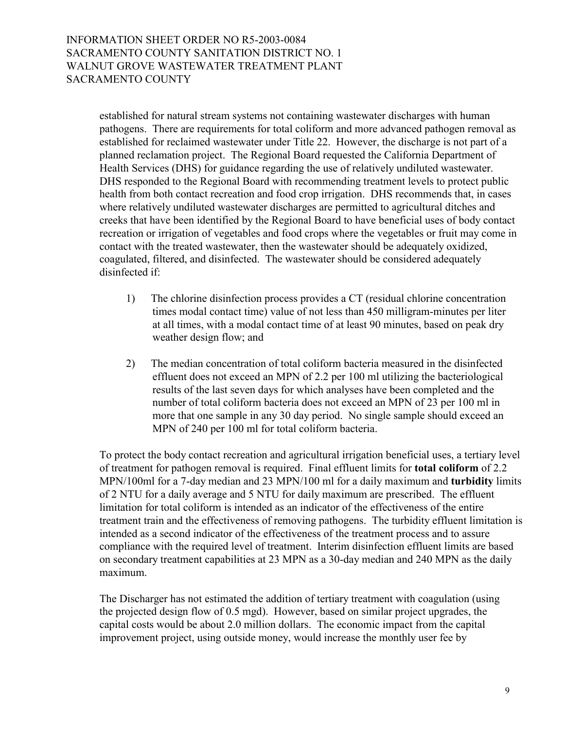established for natural stream systems not containing wastewater discharges with human pathogens. There are requirements for total coliform and more advanced pathogen removal as established for reclaimed wastewater under Title 22. However, the discharge is not part of a planned reclamation project. The Regional Board requested the California Department of Health Services (DHS) for guidance regarding the use of relatively undiluted wastewater. DHS responded to the Regional Board with recommending treatment levels to protect public health from both contact recreation and food crop irrigation. DHS recommends that, in cases where relatively undiluted wastewater discharges are permitted to agricultural ditches and creeks that have been identified by the Regional Board to have beneficial uses of body contact recreation or irrigation of vegetables and food crops where the vegetables or fruit may come in contact with the treated wastewater, then the wastewater should be adequately oxidized, coagulated, filtered, and disinfected. The wastewater should be considered adequately disinfected if:

- 1) The chlorine disinfection process provides a CT (residual chlorine concentration times modal contact time) value of not less than 450 milligram-minutes per liter at all times, with a modal contact time of at least 90 minutes, based on peak dry weather design flow; and
- 2) The median concentration of total coliform bacteria measured in the disinfected effluent does not exceed an MPN of 2.2 per 100 ml utilizing the bacteriological results of the last seven days for which analyses have been completed and the number of total coliform bacteria does not exceed an MPN of 23 per 100 ml in more that one sample in any 30 day period. No single sample should exceed an MPN of 240 per 100 ml for total coliform bacteria.

To protect the body contact recreation and agricultural irrigation beneficial uses, a tertiary level of treatment for pathogen removal is required. Final effluent limits for **total coliform** of 2.2 MPN/100ml for a 7-day median and 23 MPN/100 ml for a daily maximum and **turbidity** limits of 2 NTU for a daily average and 5 NTU for daily maximum are prescribed. The effluent limitation for total coliform is intended as an indicator of the effectiveness of the entire treatment train and the effectiveness of removing pathogens. The turbidity effluent limitation is intended as a second indicator of the effectiveness of the treatment process and to assure compliance with the required level of treatment. Interim disinfection effluent limits are based on secondary treatment capabilities at 23 MPN as a 30-day median and 240 MPN as the daily maximum.

The Discharger has not estimated the addition of tertiary treatment with coagulation (using the projected design flow of 0.5 mgd). However, based on similar project upgrades, the capital costs would be about 2.0 million dollars. The economic impact from the capital improvement project, using outside money, would increase the monthly user fee by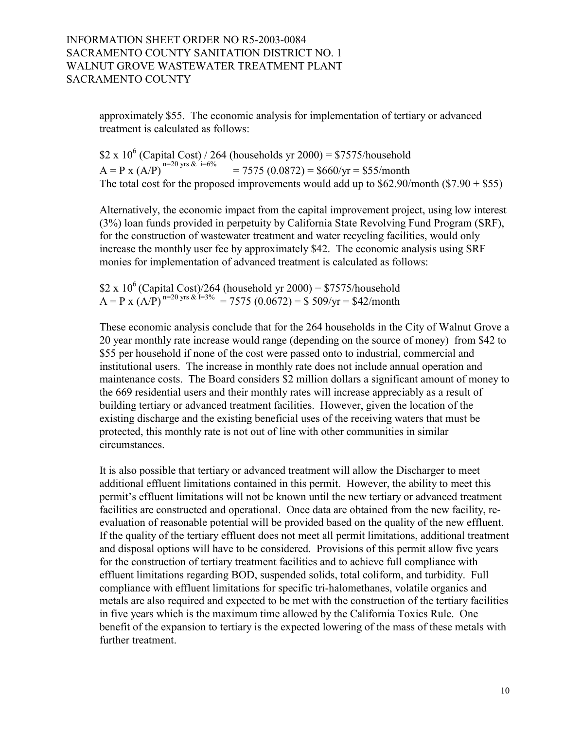approximately \$55. The economic analysis for implementation of tertiary or advanced treatment is calculated as follows:

\$2 x 10<sup>6</sup> (Capital Cost) / 264 (households yr 2000) = \$7575/household  $A = P x (A/P)^{n=20 \text{ yrs}}$  & i=6% = 7575 (0.0872) = \$660/yr = \$55/month The total cost for the proposed improvements would add up to  $$62.90/m$ onth  $$7.90 + $55$ )

Alternatively, the economic impact from the capital improvement project, using low interest (3%) loan funds provided in perpetuity by California State Revolving Fund Program (SRF), for the construction of wastewater treatment and water recycling facilities, would only increase the monthly user fee by approximately \$42. The economic analysis using SRF monies for implementation of advanced treatment is calculated as follows:

\$2 x 10<sup>6</sup> (Capital Cost)/264 (household yr 2000) = \$7575/household  $A = P x (A/P)^{n=20 \text{ yrs}} \& 1=3\% = 7575 (0.0672) = $509/\text{yr} = $42/\text{month}$ 

These economic analysis conclude that for the 264 households in the City of Walnut Grove a 20 year monthly rate increase would range (depending on the source of money) from \$42 to \$55 per household if none of the cost were passed onto to industrial, commercial and institutional users. The increase in monthly rate does not include annual operation and maintenance costs. The Board considers \$2 million dollars a significant amount of money to the 669 residential users and their monthly rates will increase appreciably as a result of building tertiary or advanced treatment facilities. However, given the location of the existing discharge and the existing beneficial uses of the receiving waters that must be protected, this monthly rate is not out of line with other communities in similar circumstances.

It is also possible that tertiary or advanced treatment will allow the Discharger to meet additional effluent limitations contained in this permit. However, the ability to meet this permit's effluent limitations will not be known until the new tertiary or advanced treatment facilities are constructed and operational. Once data are obtained from the new facility, reevaluation of reasonable potential will be provided based on the quality of the new effluent. If the quality of the tertiary effluent does not meet all permit limitations, additional treatment and disposal options will have to be considered. Provisions of this permit allow five years for the construction of tertiary treatment facilities and to achieve full compliance with effluent limitations regarding BOD, suspended solids, total coliform, and turbidity. Full compliance with effluent limitations for specific tri-halomethanes, volatile organics and metals are also required and expected to be met with the construction of the tertiary facilities in five years which is the maximum time allowed by the California Toxics Rule. One benefit of the expansion to tertiary is the expected lowering of the mass of these metals with further treatment.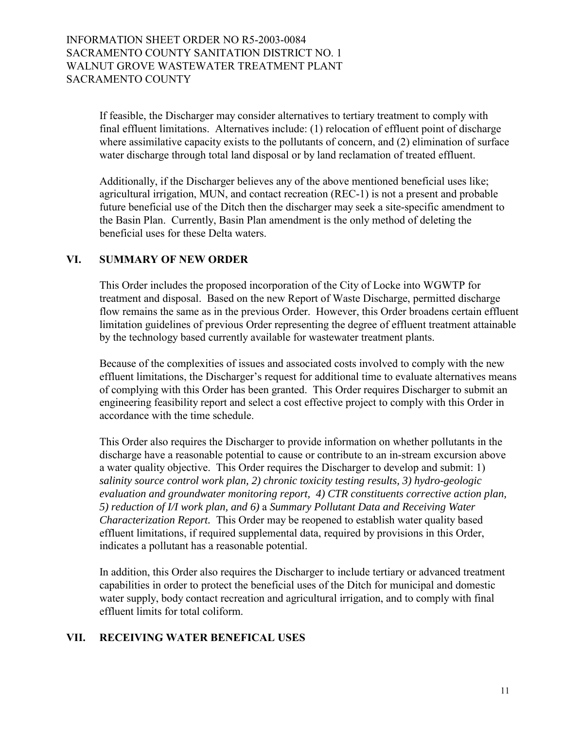If feasible, the Discharger may consider alternatives to tertiary treatment to comply with final effluent limitations. Alternatives include: (1) relocation of effluent point of discharge where assimilative capacity exists to the pollutants of concern, and (2) elimination of surface water discharge through total land disposal or by land reclamation of treated effluent.

Additionally, if the Discharger believes any of the above mentioned beneficial uses like; agricultural irrigation, MUN, and contact recreation (REC-1) is not a present and probable future beneficial use of the Ditch then the discharger may seek a site-specific amendment to the Basin Plan. Currently, Basin Plan amendment is the only method of deleting the beneficial uses for these Delta waters.

## **VI. SUMMARY OF NEW ORDER**

This Order includes the proposed incorporation of the City of Locke into WGWTP for treatment and disposal. Based on the new Report of Waste Discharge, permitted discharge flow remains the same as in the previous Order. However, this Order broadens certain effluent limitation guidelines of previous Order representing the degree of effluent treatment attainable by the technology based currently available for wastewater treatment plants.

Because of the complexities of issues and associated costs involved to comply with the new effluent limitations, the Discharger's request for additional time to evaluate alternatives means of complying with this Order has been granted. This Order requires Discharger to submit an engineering feasibility report and select a cost effective project to comply with this Order in accordance with the time schedule.

This Order also requires the Discharger to provide information on whether pollutants in the discharge have a reasonable potential to cause or contribute to an in-stream excursion above a water quality objective. This Order requires the Discharger to develop and submit: 1) *salinity source control work plan, 2) chronic toxicity testing results, 3) hydro-geologic evaluation and groundwater monitoring report, 4) CTR constituents corrective action plan, 5) reduction of I/I work plan, and 6)* a *Summary Pollutant Data and Receiving Water Characterization Report.* This Order may be reopened to establish water quality based effluent limitations, if required supplemental data, required by provisions in this Order, indicates a pollutant has a reasonable potential.

In addition, this Order also requires the Discharger to include tertiary or advanced treatment capabilities in order to protect the beneficial uses of the Ditch for municipal and domestic water supply, body contact recreation and agricultural irrigation, and to comply with final effluent limits for total coliform.

## **VII. RECEIVING WATER BENEFICAL USES**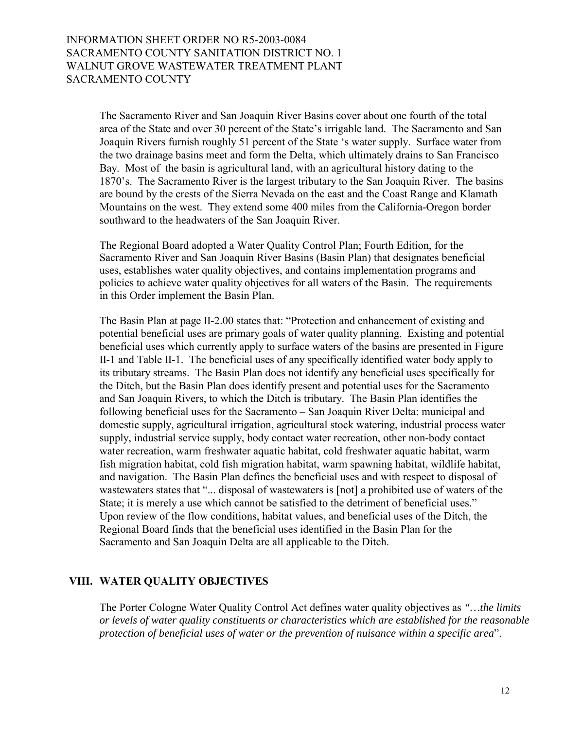The Sacramento River and San Joaquin River Basins cover about one fourth of the total area of the State and over 30 percent of the State's irrigable land. The Sacramento and San Joaquin Rivers furnish roughly 51 percent of the State ës water supply. Surface water from the two drainage basins meet and form the Delta, which ultimately drains to San Francisco Bay. Most of the basin is agricultural land, with an agricultural history dating to the 1870ís. The Sacramento River is the largest tributary to the San Joaquin River. The basins are bound by the crests of the Sierra Nevada on the east and the Coast Range and Klamath Mountains on the west. They extend some 400 miles from the California-Oregon border southward to the headwaters of the San Joaquin River.

The Regional Board adopted a Water Quality Control Plan; Fourth Edition, for the Sacramento River and San Joaquin River Basins (Basin Plan) that designates beneficial uses, establishes water quality objectives, and contains implementation programs and policies to achieve water quality objectives for all waters of the Basin. The requirements in this Order implement the Basin Plan.

The Basin Plan at page II-2.00 states that: "Protection and enhancement of existing and potential beneficial uses are primary goals of water quality planning. Existing and potential beneficial uses which currently apply to surface waters of the basins are presented in Figure II-1 and Table II-1. The beneficial uses of any specifically identified water body apply to its tributary streams. The Basin Plan does not identify any beneficial uses specifically for the Ditch, but the Basin Plan does identify present and potential uses for the Sacramento and San Joaquin Rivers, to which the Ditch is tributary. The Basin Plan identifies the following beneficial uses for the Sacramento – San Joaquin River Delta: municipal and domestic supply, agricultural irrigation, agricultural stock watering, industrial process water supply, industrial service supply, body contact water recreation, other non-body contact water recreation, warm freshwater aquatic habitat, cold freshwater aquatic habitat, warm fish migration habitat, cold fish migration habitat, warm spawning habitat, wildlife habitat, and navigation. The Basin Plan defines the beneficial uses and with respect to disposal of wastewaters states that "... disposal of wastewaters is [not] a prohibited use of waters of the State; it is merely a use which cannot be satisfied to the detriment of beneficial uses." Upon review of the flow conditions, habitat values, and beneficial uses of the Ditch, the Regional Board finds that the beneficial uses identified in the Basin Plan for the Sacramento and San Joaquin Delta are all applicable to the Ditch.

## **VIII. WATER QUALITY OBJECTIVES**

The Porter Cologne Water Quality Control Act defines water quality objectives as *"…the limits or levels of water quality constituents or characteristics which are established for the reasonable protection of beneficial uses of water or the prevention of nuisance within a specific area*î.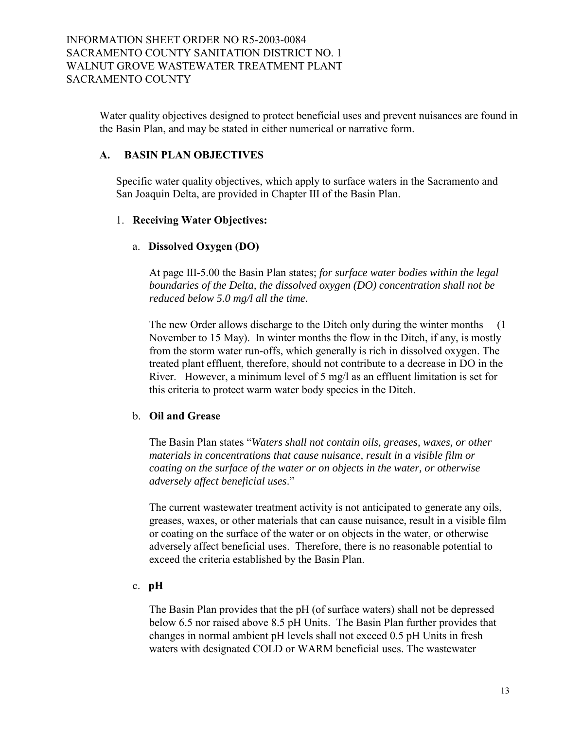Water quality objectives designed to protect beneficial uses and prevent nuisances are found in the Basin Plan, and may be stated in either numerical or narrative form.

### **A. BASIN PLAN OBJECTIVES**

Specific water quality objectives, which apply to surface waters in the Sacramento and San Joaquin Delta, are provided in Chapter III of the Basin Plan.

## 1. **Receiving Water Objectives:**

### a. **Dissolved Oxygen (DO)**

At page III-5.00 the Basin Plan states; *for surface water bodies within the legal boundaries of the Delta, the dissolved oxygen (DO) concentration shall not be reduced below 5.0 mg/l all the time.* 

The new Order allows discharge to the Ditch only during the winter months (1) November to 15 May). In winter months the flow in the Ditch, if any, is mostly from the storm water run-offs, which generally is rich in dissolved oxygen. The treated plant effluent, therefore, should not contribute to a decrease in DO in the River. However, a minimum level of 5 mg/l as an effluent limitation is set for this criteria to protect warm water body species in the Ditch.

## b. **Oil and Grease**

The Basin Plan states "Waters shall not contain oils, greases, waxes, or other *materials in concentrations that cause nuisance, result in a visible film or coating on the surface of the water or on objects in the water, or otherwise adversely affect beneficial uses.*"

The current wastewater treatment activity is not anticipated to generate any oils, greases, waxes, or other materials that can cause nuisance, result in a visible film or coating on the surface of the water or on objects in the water, or otherwise adversely affect beneficial uses. Therefore, there is no reasonable potential to exceed the criteria established by the Basin Plan.

### c. **pH**

The Basin Plan provides that the pH (of surface waters) shall not be depressed below 6.5 nor raised above 8.5 pH Units. The Basin Plan further provides that changes in normal ambient pH levels shall not exceed 0.5 pH Units in fresh waters with designated COLD or WARM beneficial uses. The wastewater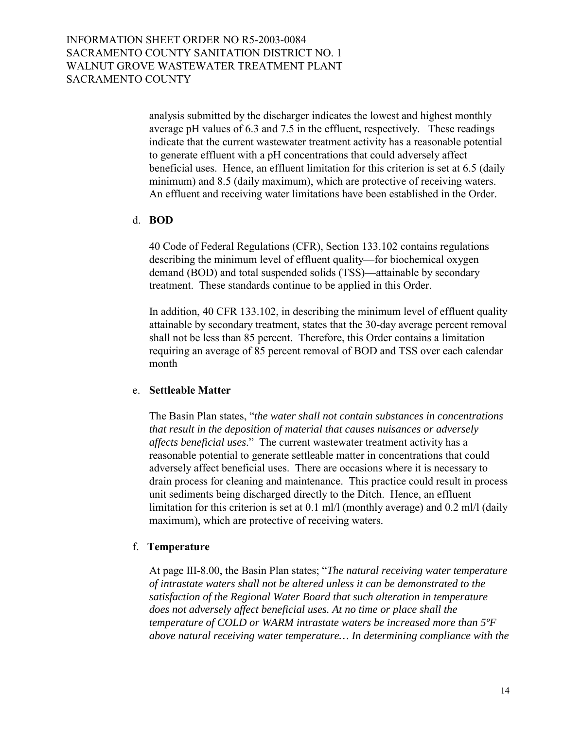analysis submitted by the discharger indicates the lowest and highest monthly average pH values of 6.3 and 7.5 in the effluent, respectively. These readings indicate that the current wastewater treatment activity has a reasonable potential to generate effluent with a pH concentrations that could adversely affect beneficial uses. Hence, an effluent limitation for this criterion is set at 6.5 (daily minimum) and 8.5 (daily maximum), which are protective of receiving waters. An effluent and receiving water limitations have been established in the Order.

### d. **BOD**

40 Code of Federal Regulations (CFR), Section 133.102 contains regulations describing the minimum level of effluent quality—for biochemical oxygen demand (BOD) and total suspended solids (TSS)—attainable by secondary treatment. These standards continue to be applied in this Order.

In addition, 40 CFR 133.102, in describing the minimum level of effluent quality attainable by secondary treatment, states that the 30-day average percent removal shall not be less than 85 percent. Therefore, this Order contains a limitation requiring an average of 85 percent removal of BOD and TSS over each calendar month

## e. **Settleable Matter**

The Basin Plan states, *<sup><i>the water shall not contain substances in concentrations*</sup> *that result in the deposition of material that causes nuisances or adversely affects beneficial uses*.î The current wastewater treatment activity has a reasonable potential to generate settleable matter in concentrations that could adversely affect beneficial uses. There are occasions where it is necessary to drain process for cleaning and maintenance. This practice could result in process unit sediments being discharged directly to the Ditch. Hence, an effluent limitation for this criterion is set at 0.1 ml/l (monthly average) and 0.2 ml/l (daily maximum), which are protective of receiving waters.

## f. **Temperature**

At page III-8.00, the Basin Plan states; *"The natural receiving water temperature of intrastate waters shall not be altered unless it can be demonstrated to the satisfaction of the Regional Water Board that such alteration in temperature does not adversely affect beneficial uses. At no time or place shall the temperature of COLD or WARM intrastate waters be increased more than 5ºF above natural receiving water temperature… In determining compliance with the*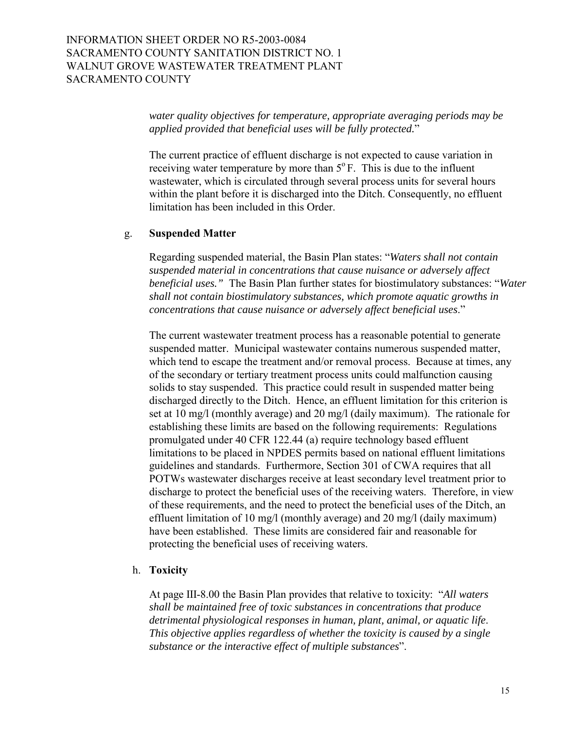*water quality objectives for temperature, appropriate averaging periods may be applied provided that beneficial uses will be fully protected.*î

The current practice of effluent discharge is not expected to cause variation in receiving water temperature by more than 5°F. This is due to the influent wastewater, which is circulated through several process units for several hours within the plant before it is discharged into the Ditch. Consequently, no effluent limitation has been included in this Order.

### g. **Suspended Matter**

Regarding suspended material, the Basin Plan states: "Waters shall not contain *suspended material in concentrations that cause nuisance or adversely affect beneficial uses.*" The Basin Plan further states for biostimulatory substances: "Water *shall not contain biostimulatory substances, which promote aquatic growths in concentrations that cause nuisance or adversely affect beneficial uses.*"

The current wastewater treatment process has a reasonable potential to generate suspended matter. Municipal wastewater contains numerous suspended matter, which tend to escape the treatment and/or removal process. Because at times, any of the secondary or tertiary treatment process units could malfunction causing solids to stay suspended. This practice could result in suspended matter being discharged directly to the Ditch. Hence, an effluent limitation for this criterion is set at 10 mg/l (monthly average) and 20 mg/l (daily maximum). The rationale for establishing these limits are based on the following requirements: Regulations promulgated under 40 CFR 122.44 (a) require technology based effluent limitations to be placed in NPDES permits based on national effluent limitations guidelines and standards. Furthermore, Section 301 of CWA requires that all POTWs wastewater discharges receive at least secondary level treatment prior to discharge to protect the beneficial uses of the receiving waters. Therefore, in view of these requirements, and the need to protect the beneficial uses of the Ditch, an effluent limitation of 10 mg/l (monthly average) and 20 mg/l (daily maximum) have been established. These limits are considered fair and reasonable for protecting the beneficial uses of receiving waters.

#### h. **Toxicity**

At page III-8.00 the Basin Plan provides that relative to toxicity: *"All waters shall be maintained free of toxic substances in concentrations that produce detrimental physiological responses in human, plant, animal, or aquatic life*. *This objective applies regardless of whether the toxicity is caused by a single substance or the interactive effect of multiple substances*".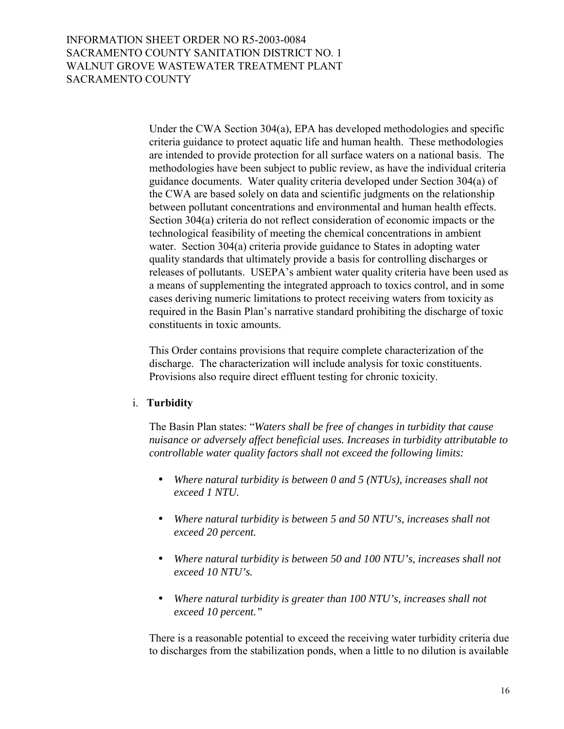Under the CWA Section 304(a), EPA has developed methodologies and specific criteria guidance to protect aquatic life and human health. These methodologies are intended to provide protection for all surface waters on a national basis. The methodologies have been subject to public review, as have the individual criteria guidance documents. Water quality criteria developed under Section 304(a) of the CWA are based solely on data and scientific judgments on the relationship between pollutant concentrations and environmental and human health effects. Section 304(a) criteria do not reflect consideration of economic impacts or the technological feasibility of meeting the chemical concentrations in ambient water. Section 304(a) criteria provide guidance to States in adopting water quality standards that ultimately provide a basis for controlling discharges or releases of pollutants. USEPA's ambient water quality criteria have been used as a means of supplementing the integrated approach to toxics control, and in some cases deriving numeric limitations to protect receiving waters from toxicity as required in the Basin Plan's narrative standard prohibiting the discharge of toxic constituents in toxic amounts.

This Order contains provisions that require complete characterization of the discharge. The characterization will include analysis for toxic constituents. Provisions also require direct effluent testing for chronic toxicity.

### i. **Turbidity**

The Basin Plan states: "Waters shall be free of changes in turbidity that cause *nuisance or adversely affect beneficial uses. Increases in turbidity attributable to controllable water quality factors shall not exceed the following limits:*

- *Where natural turbidity is between 0 and 5 (NTUs), increases shall not exceed 1 NTU.*
- *Where natural turbidity is between 5 and 50 NTU's, increases shall not exceed 20 percent.*
- *Where natural turbidity is between 50 and 100 NTU's, increases shall not exceed 10 NTU's.*
- *Where natural turbidity is greater than 100 NTU's, increases shall not exceed 10 percent."*

There is a reasonable potential to exceed the receiving water turbidity criteria due to discharges from the stabilization ponds, when a little to no dilution is available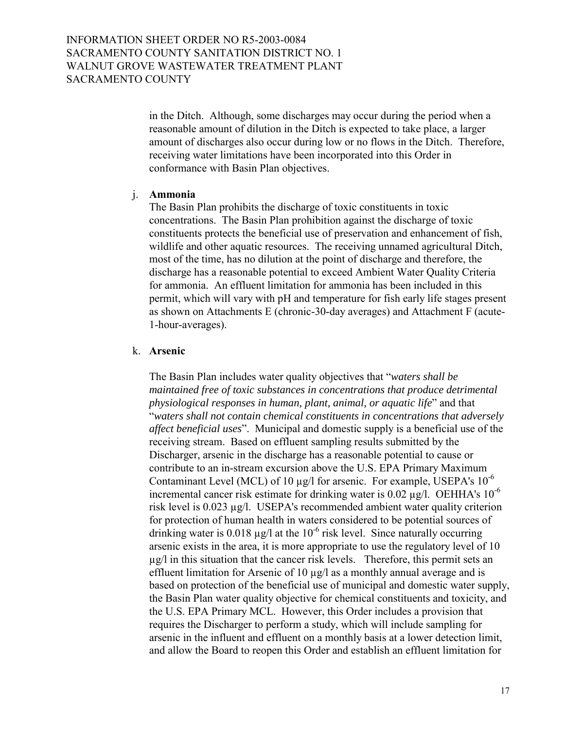in the Ditch. Although, some discharges may occur during the period when a reasonable amount of dilution in the Ditch is expected to take place, a larger amount of discharges also occur during low or no flows in the Ditch. Therefore, receiving water limitations have been incorporated into this Order in conformance with Basin Plan objectives.

### j. **Ammonia**

The Basin Plan prohibits the discharge of toxic constituents in toxic concentrations. The Basin Plan prohibition against the discharge of toxic constituents protects the beneficial use of preservation and enhancement of fish, wildlife and other aquatic resources. The receiving unnamed agricultural Ditch, most of the time, has no dilution at the point of discharge and therefore, the discharge has a reasonable potential to exceed Ambient Water Quality Criteria for ammonia. An effluent limitation for ammonia has been included in this permit, which will vary with pH and temperature for fish early life stages present as shown on Attachments E (chronic-30-day averages) and Attachment F (acute-1-hour-averages).

### k. **Arsenic**

The Basin Plan includes water quality objectives that *"waters shall be maintained free of toxic substances in concentrations that produce detrimental physiological responses in human, plant, animal, or aquatic life*î and that ì*waters shall not contain chemical constituents in concentrations that adversely affect beneficial uses*î. Municipal and domestic supply is a beneficial use of the receiving stream. Based on effluent sampling results submitted by the Discharger, arsenic in the discharge has a reasonable potential to cause or contribute to an in-stream excursion above the U.S. EPA Primary Maximum Contaminant Level (MCL) of 10  $\mu$ g/l for arsenic. For example, USEPA's 10<sup>-6</sup> incremental cancer risk estimate for drinking water is 0.02  $\mu$ g/l. OEHHA's 10<sup>-6</sup> risk level is 0.023 µg/l. USEPA's recommended ambient water quality criterion for protection of human health in waters considered to be potential sources of drinking water is 0.018  $\mu$ g/l at the 10<sup>-6</sup> risk level. Since naturally occurring arsenic exists in the area, it is more appropriate to use the regulatory level of 10 µg/l in this situation that the cancer risk levels. Therefore, this permit sets an effluent limitation for Arsenic of 10 µg/l as a monthly annual average and is based on protection of the beneficial use of municipal and domestic water supply, the Basin Plan water quality objective for chemical constituents and toxicity, and the U.S. EPA Primary MCL. However, this Order includes a provision that requires the Discharger to perform a study, which will include sampling for arsenic in the influent and effluent on a monthly basis at a lower detection limit, and allow the Board to reopen this Order and establish an effluent limitation for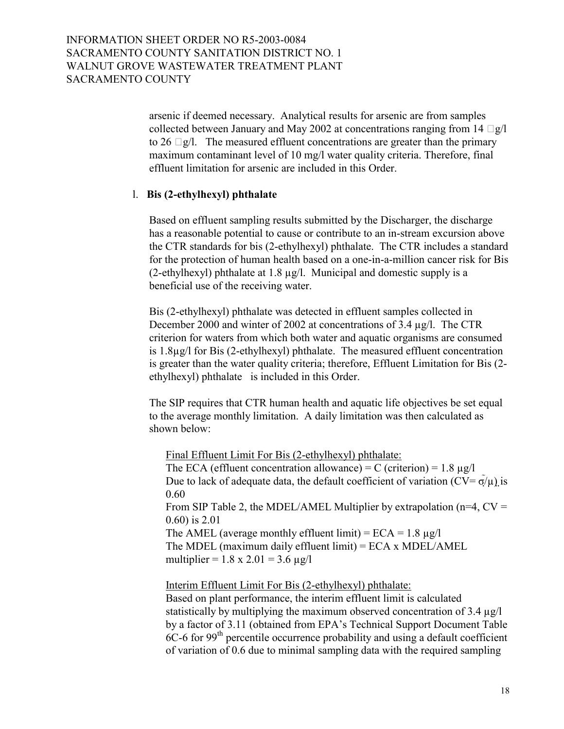arsenic if deemed necessary. Analytical results for arsenic are from samples collected between January and May 2002 at concentrations ranging from 14 g/l to 26 g/l. The measured effluent concentrations are greater than the primary maximum contaminant level of 10 mg/l water quality criteria. Therefore, final effluent limitation for arsenic are included in this Order.

### l. **Bis (2-ethylhexyl) phthalate**

Based on effluent sampling results submitted by the Discharger, the discharge has a reasonable potential to cause or contribute to an in-stream excursion above the CTR standards for bis (2-ethylhexyl) phthalate. The CTR includes a standard for the protection of human health based on a one-in-a-million cancer risk for Bis (2-ethylhexyl) phthalate at  $1.8 \mu g/l$ . Municipal and domestic supply is a beneficial use of the receiving water.

Bis (2-ethylhexyl) phthalate was detected in effluent samples collected in December 2000 and winter of 2002 at concentrations of 3.4 µg/l. The CTR criterion for waters from which both water and aquatic organisms are consumed is 1.8µg/l for Bis (2-ethylhexyl) phthalate. The measured effluent concentration is greater than the water quality criteria; therefore, Effluent Limitation for Bis (2 ethylhexyl) phthalate is included in this Order.

The SIP requires that CTR human health and aquatic life objectives be set equal to the average monthly limitation. A daily limitation was then calculated as shown below:

 Final Effluent Limit For Bis (2-ethylhexyl) phthalate: The ECA (effluent concentration allowance) = C (criterion) =  $1.8 \mu g/l$ Due to lack of adequate data, the default coefficient of variation ( $CV = \sigma/\mu$ ) is 0.60 From SIP Table 2, the MDEL/AMEL Multiplier by extrapolation ( $n=4$ ,  $CV =$ 0.60) is 2.01 The AMEL (average monthly effluent limit) =  $ECA = 1.8 \mu g/l$ The MDEL (maximum daily effluent limit) = ECA x MDEL/AMEL multiplier =  $1.8 \times 2.01 = 3.6 \mu g/l$ 

Interim Effluent Limit For Bis (2-ethylhexyl) phthalate:

Based on plant performance, the interim effluent limit is calculated statistically by multiplying the maximum observed concentration of 3.4 µg/l by a factor of 3.11 (obtained from EPA's Technical Support Document Table  $6C-6$  for 99<sup>th</sup> percentile occurrence probability and using a default coefficient of variation of 0.6 due to minimal sampling data with the required sampling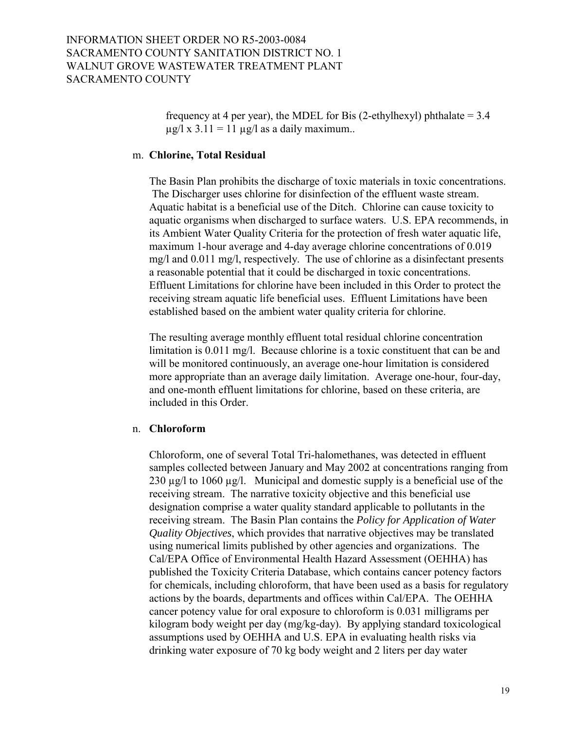frequency at 4 per year), the MDEL for Bis (2-ethylhexyl) phthalate  $= 3.4$  $\mu$ g/l x 3.11 = 11  $\mu$ g/l as a daily maximum..

#### m. **Chlorine, Total Residual**

The Basin Plan prohibits the discharge of toxic materials in toxic concentrations. The Discharger uses chlorine for disinfection of the effluent waste stream. Aquatic habitat is a beneficial use of the Ditch. Chlorine can cause toxicity to aquatic organisms when discharged to surface waters. U.S. EPA recommends, in its Ambient Water Quality Criteria for the protection of fresh water aquatic life, maximum 1-hour average and 4-day average chlorine concentrations of 0.019 mg/l and 0.011 mg/l, respectively. The use of chlorine as a disinfectant presents a reasonable potential that it could be discharged in toxic concentrations. Effluent Limitations for chlorine have been included in this Order to protect the receiving stream aquatic life beneficial uses. Effluent Limitations have been established based on the ambient water quality criteria for chlorine.

The resulting average monthly effluent total residual chlorine concentration limitation is 0.011 mg/l. Because chlorine is a toxic constituent that can be and will be monitored continuously, an average one-hour limitation is considered more appropriate than an average daily limitation. Average one-hour, four-day, and one-month effluent limitations for chlorine, based on these criteria, are included in this Order.

#### n. **Chloroform**

Chloroform, one of several Total Tri-halomethanes, was detected in effluent samples collected between January and May 2002 at concentrations ranging from 230  $\mu$ g/l to 1060  $\mu$ g/l. Municipal and domestic supply is a beneficial use of the receiving stream. The narrative toxicity objective and this beneficial use designation comprise a water quality standard applicable to pollutants in the receiving stream. The Basin Plan contains the *Policy for Application of Water Quality Objectives*, which provides that narrative objectives may be translated using numerical limits published by other agencies and organizations. The Cal/EPA Office of Environmental Health Hazard Assessment (OEHHA) has published the Toxicity Criteria Database, which contains cancer potency factors for chemicals, including chloroform, that have been used as a basis for regulatory actions by the boards, departments and offices within Cal/EPA. The OEHHA cancer potency value for oral exposure to chloroform is 0.031 milligrams per kilogram body weight per day (mg/kg-day). By applying standard toxicological assumptions used by OEHHA and U.S. EPA in evaluating health risks via drinking water exposure of 70 kg body weight and 2 liters per day water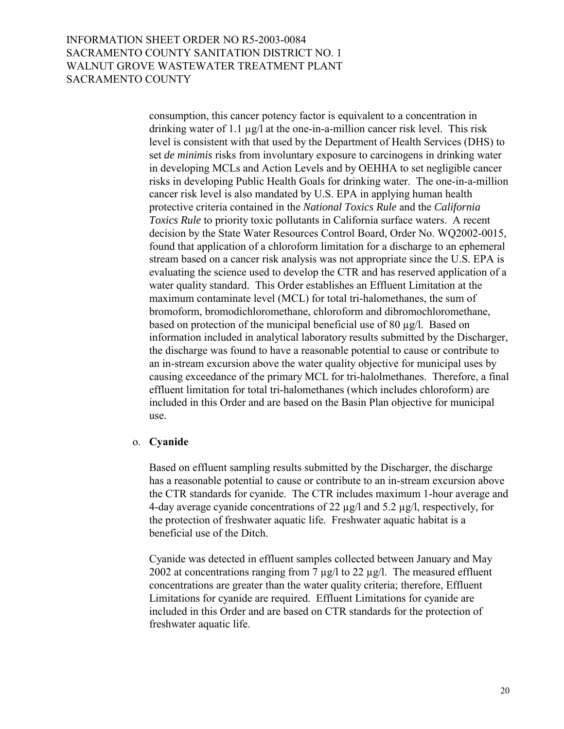consumption, this cancer potency factor is equivalent to a concentration in drinking water of 1.1 µg/l at the one-in-a-million cancer risk level. This risk level is consistent with that used by the Department of Health Services (DHS) to set *de minimis* risks from involuntary exposure to carcinogens in drinking water in developing MCLs and Action Levels and by OEHHA to set negligible cancer risks in developing Public Health Goals for drinking water. The one-in-a-million cancer risk level is also mandated by U.S. EPA in applying human health protective criteria contained in the *National Toxics Rule* and the *California Toxics Rule* to priority toxic pollutants in California surface waters. A recent decision by the State Water Resources Control Board, Order No. WQ2002-0015, found that application of a chloroform limitation for a discharge to an ephemeral stream based on a cancer risk analysis was not appropriate since the U.S. EPA is evaluating the science used to develop the CTR and has reserved application of a water quality standard. This Order establishes an Effluent Limitation at the maximum contaminate level (MCL) for total tri-halomethanes, the sum of bromoform, bromodichloromethane, chloroform and dibromochloromethane, based on protection of the municipal beneficial use of 80 µg/l. Based on information included in analytical laboratory results submitted by the Discharger, the discharge was found to have a reasonable potential to cause or contribute to an in-stream excursion above the water quality objective for municipal uses by causing exceedance of the primary MCL for tri-halolmethanes. Therefore, a final effluent limitation for total tri-halomethanes (which includes chloroform) are included in this Order and are based on the Basin Plan objective for municipal use.

#### o. **Cyanide**

Based on effluent sampling results submitted by the Discharger, the discharge has a reasonable potential to cause or contribute to an in-stream excursion above the CTR standards for cyanide. The CTR includes maximum 1-hour average and 4-day average cyanide concentrations of 22 µg/l and 5.2 µg/l, respectively, for the protection of freshwater aquatic life. Freshwater aquatic habitat is a beneficial use of the Ditch.

Cyanide was detected in effluent samples collected between January and May 2002 at concentrations ranging from 7  $\mu$ g/l to 22  $\mu$ g/l. The measured effluent concentrations are greater than the water quality criteria; therefore, Effluent Limitations for cyanide are required. Effluent Limitations for cyanide are included in this Order and are based on CTR standards for the protection of freshwater aquatic life.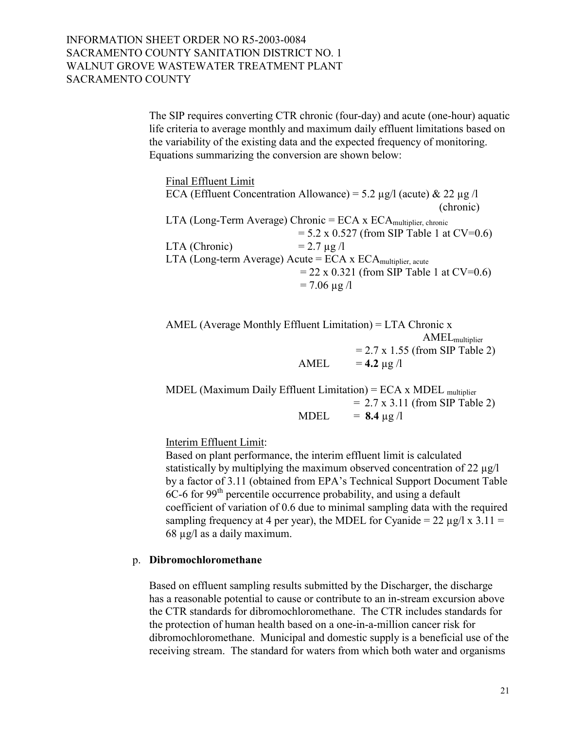The SIP requires converting CTR chronic (four-day) and acute (one-hour) aquatic life criteria to average monthly and maximum daily effluent limitations based on the variability of the existing data and the expected frequency of monitoring. Equations summarizing the conversion are shown below:

 Final Effluent Limit ECA (Effluent Concentration Allowance) = 5.2  $\mu$ g/l (acute) & 22  $\mu$ g/l (chronic) LTA (Long-Term Average) Chronic = ECA x ECAmultiplier, chronic  $= 5.2 \times 0.527$  (from SIP Table 1 at CV=0.6) LTA (Chronic)  $= 2.7 \text{ µg} /l$ LTA (Long-term Average) Acute =  $ECA \times ECA$  multiplier, acute  $= 22 \times 0.321$  (from SIP Table 1 at CV=0.6)  $= 7.06 \mu g/l$ 

AMEL (Average Monthly Effluent Limitation) = LTA Chronic x AMELmultiplier  $= 2.7 \times 1.55$  (from SIP Table 2) AMEL  $= 4.2 \mu g/l$ 

MDEL (Maximum Daily Effluent Limitation) =  $ECA \times MDEL$  multiplier  $= 2.7 \times 3.11$  (from SIP Table 2) MDEL  $= 8.4 \text{ µg} /l$ 

Interim Effluent Limit:

Based on plant performance, the interim effluent limit is calculated statistically by multiplying the maximum observed concentration of 22 µg/l by a factor of 3.11 (obtained from EPA's Technical Support Document Table  $6C-6$  for 99<sup>th</sup> percentile occurrence probability, and using a default coefficient of variation of 0.6 due to minimal sampling data with the required sampling frequency at 4 per year), the MDEL for Cyanide =  $22 \mu g/l \times 3.11 =$ 68 µg/l as a daily maximum.

## p. **Dibromochloromethane**

Based on effluent sampling results submitted by the Discharger, the discharge has a reasonable potential to cause or contribute to an in-stream excursion above the CTR standards for dibromochloromethane. The CTR includes standards for the protection of human health based on a one-in-a-million cancer risk for dibromochloromethane. Municipal and domestic supply is a beneficial use of the receiving stream. The standard for waters from which both water and organisms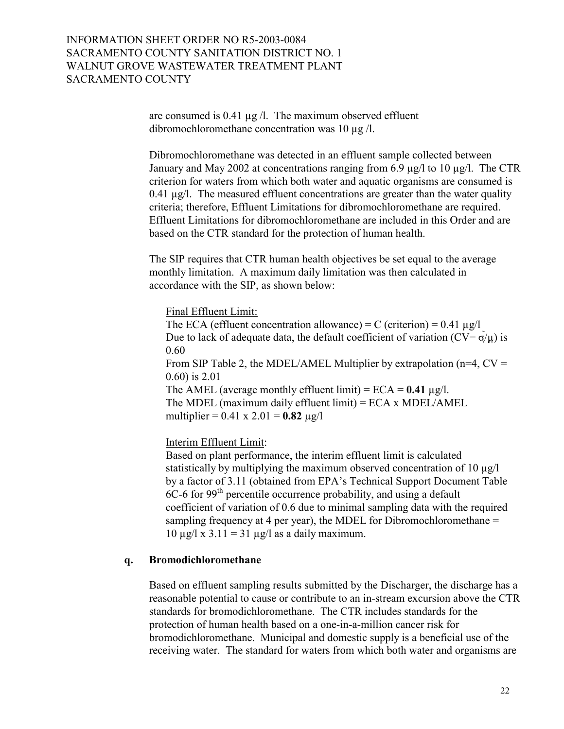are consumed is  $0.41 \mu g/l$ . The maximum observed effluent dibromochloromethane concentration was 10 µg /l.

Dibromochloromethane was detected in an effluent sample collected between January and May 2002 at concentrations ranging from 6.9 µg/l to 10 µg/l. The CTR criterion for waters from which both water and aquatic organisms are consumed is 0.41  $\mu$ g/l. The measured effluent concentrations are greater than the water quality criteria; therefore, Effluent Limitations for dibromochloromethane are required. Effluent Limitations for dibromochloromethane are included in this Order and are based on the CTR standard for the protection of human health.

The SIP requires that CTR human health objectives be set equal to the average monthly limitation. A maximum daily limitation was then calculated in accordance with the SIP, as shown below:

### Final Effluent Limit:

The ECA (effluent concentration allowance) = C (criterion) =  $0.41 \mu g/l$ Due to lack of adequate data, the default coefficient of variation ( $CV = \sigma/\mu$ ) is 0.60 From SIP Table 2, the MDEL/AMEL Multiplier by extrapolation ( $n=4$ ,  $CV =$ 0.60) is 2.01 The AMEL (average monthly effluent limit) =  $ECA = 0.41 \mu g/l$ . The MDEL (maximum daily effluent limit) = ECA x MDEL/AMEL multiplier =  $0.41 \times 2.01 = 0.82 \text{ µg/l}$ 

Interim Effluent Limit:

Based on plant performance, the interim effluent limit is calculated statistically by multiplying the maximum observed concentration of 10 µg/l by a factor of 3.11 (obtained from EPA's Technical Support Document Table  $6C-6$  for 99<sup>th</sup> percentile occurrence probability, and using a default coefficient of variation of 0.6 due to minimal sampling data with the required sampling frequency at 4 per year), the MDEL for Dibromochloromethane =  $10 \mu g / \lambda x$  3.11 = 31  $\mu g / \lambda$  as a daily maximum.

## **q. Bromodichloromethane**

Based on effluent sampling results submitted by the Discharger, the discharge has a reasonable potential to cause or contribute to an in-stream excursion above the CTR standards for bromodichloromethane. The CTR includes standards for the protection of human health based on a one-in-a-million cancer risk for bromodichloromethane. Municipal and domestic supply is a beneficial use of the receiving water. The standard for waters from which both water and organisms are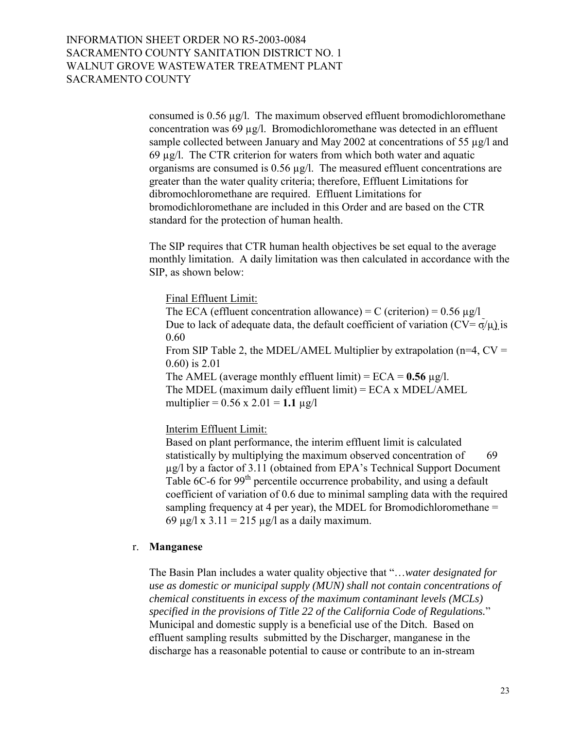consumed is 0.56 µg/l. The maximum observed effluent bromodichloromethane concentration was  $69 \mu g/l$ . Bromodichloromethane was detected in an effluent sample collected between January and May 2002 at concentrations of 55 µg/l and 69 µg/l. The CTR criterion for waters from which both water and aquatic organisms are consumed is  $0.56 \mu g/l$ . The measured effluent concentrations are greater than the water quality criteria; therefore, Effluent Limitations for dibromochloromethane are required. Effluent Limitations for bromodichloromethane are included in this Order and are based on the CTR standard for the protection of human health.

The SIP requires that CTR human health objectives be set equal to the average monthly limitation. A daily limitation was then calculated in accordance with the SIP, as shown below:

Final Effluent Limit:

The ECA (effluent concentration allowance) = C (criterion) =  $0.56 \mu g/l$ Due to lack of adequate data, the default coefficient of variation ( $CV = \sigma/\mu$ ) is 0.60 From SIP Table 2, the MDEL/AMEL Multiplier by extrapolation ( $n=4$ ,  $CV =$ 0.60) is 2.01 The AMEL (average monthly effluent limit) =  $ECA = 0.56 \mu g/l$ . The MDEL (maximum daily effluent limit) = ECA x MDEL/AMEL multiplier =  $0.56 \times 2.01 = 1.1 \text{ µg/l}$ 

Interim Effluent Limit:

Based on plant performance, the interim effluent limit is calculated statistically by multiplying the maximum observed concentration of 69  $\mu$ g/l by a factor of 3.11 (obtained from EPA's Technical Support Document Table 6C-6 for  $99<sup>th</sup>$  percentile occurrence probability, and using a default coefficient of variation of 0.6 due to minimal sampling data with the required sampling frequency at 4 per year), the MDEL for Bromodichloromethane = 69  $\mu$ g/l x 3.11 = 215  $\mu$ g/l as a daily maximum.

## r. **Manganese**

The Basin Plan includes a water quality objective that "...water designated for *use as domestic or municipal supply (MUN) shall not contain concentrations of chemical constituents in excess of the maximum contaminant levels (MCLs) specified in the provisions of Title 22 of the California Code of Regulations.*î Municipal and domestic supply is a beneficial use of the Ditch. Based on effluent sampling results submitted by the Discharger, manganese in the discharge has a reasonable potential to cause or contribute to an in-stream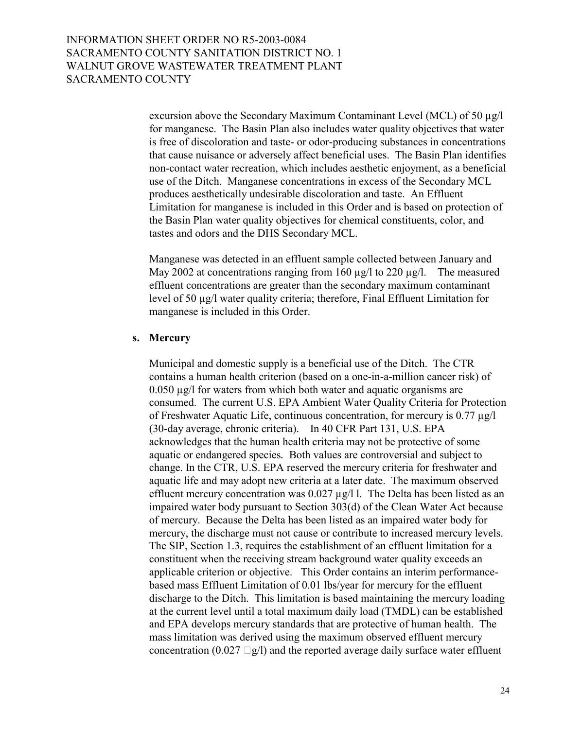excursion above the Secondary Maximum Contaminant Level (MCL) of 50 µg/l for manganese. The Basin Plan also includes water quality objectives that water is free of discoloration and taste- or odor-producing substances in concentrations that cause nuisance or adversely affect beneficial uses. The Basin Plan identifies non-contact water recreation, which includes aesthetic enjoyment, as a beneficial use of the Ditch. Manganese concentrations in excess of the Secondary MCL produces aesthetically undesirable discoloration and taste. An Effluent Limitation for manganese is included in this Order and is based on protection of the Basin Plan water quality objectives for chemical constituents, color, and tastes and odors and the DHS Secondary MCL.

Manganese was detected in an effluent sample collected between January and May 2002 at concentrations ranging from 160  $\mu$ g/l to 220  $\mu$ g/l. The measured effluent concentrations are greater than the secondary maximum contaminant level of 50 µg/l water quality criteria; therefore, Final Effluent Limitation for manganese is included in this Order.

#### **s. Mercury**

Municipal and domestic supply is a beneficial use of the Ditch. The CTR contains a human health criterion (based on a one-in-a-million cancer risk) of 0.050 µg/l for waters from which both water and aquatic organisms are consumed. The current U.S. EPA Ambient Water Quality Criteria for Protection of Freshwater Aquatic Life, continuous concentration, for mercury is 0.77 µg/l (30-day average, chronic criteria). In 40 CFR Part 131, U.S. EPA acknowledges that the human health criteria may not be protective of some aquatic or endangered species*.* Both values are controversial and subject to change. In the CTR, U.S. EPA reserved the mercury criteria for freshwater and aquatic life and may adopt new criteria at a later date. The maximum observed effluent mercury concentration was 0.027 µg/l l. The Delta has been listed as an impaired water body pursuant to Section 303(d) of the Clean Water Act because of mercury. Because the Delta has been listed as an impaired water body for mercury, the discharge must not cause or contribute to increased mercury levels. The SIP, Section 1.3, requires the establishment of an effluent limitation for a constituent when the receiving stream background water quality exceeds an applicable criterion or objective. This Order contains an interim performancebased mass Effluent Limitation of 0.01 lbs/year for mercury for the effluent discharge to the Ditch. This limitation is based maintaining the mercury loading at the current level until a total maximum daily load (TMDL) can be established and EPA develops mercury standards that are protective of human health. The mass limitation was derived using the maximum observed effluent mercury concentration  $(0.027 \text{ g/l})$  and the reported average daily surface water effluent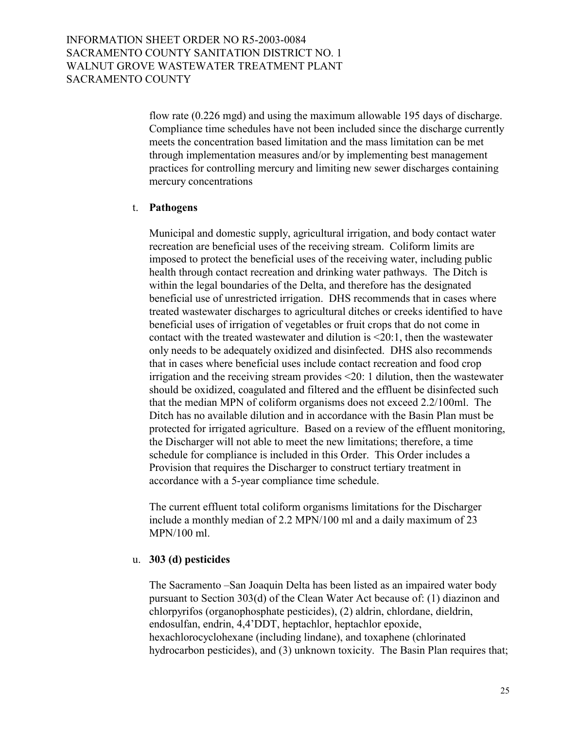> flow rate (0.226 mgd) and using the maximum allowable 195 days of discharge. Compliance time schedules have not been included since the discharge currently meets the concentration based limitation and the mass limitation can be met through implementation measures and/or by implementing best management practices for controlling mercury and limiting new sewer discharges containing mercury concentrations

### t. **Pathogens**

Municipal and domestic supply, agricultural irrigation, and body contact water recreation are beneficial uses of the receiving stream. Coliform limits are imposed to protect the beneficial uses of the receiving water, including public health through contact recreation and drinking water pathways. The Ditch is within the legal boundaries of the Delta, and therefore has the designated beneficial use of unrestricted irrigation. DHS recommends that in cases where treated wastewater discharges to agricultural ditches or creeks identified to have beneficial uses of irrigation of vegetables or fruit crops that do not come in contact with the treated wastewater and dilution is <20:1, then the wastewater only needs to be adequately oxidized and disinfected. DHS also recommends that in cases where beneficial uses include contact recreation and food crop irrigation and the receiving stream provides <20: 1 dilution, then the wastewater should be oxidized, coagulated and filtered and the effluent be disinfected such that the median MPN of coliform organisms does not exceed 2.2/100ml. The Ditch has no available dilution and in accordance with the Basin Plan must be protected for irrigated agriculture. Based on a review of the effluent monitoring, the Discharger will not able to meet the new limitations; therefore, a time schedule for compliance is included in this Order. This Order includes a Provision that requires the Discharger to construct tertiary treatment in accordance with a 5-year compliance time schedule.

The current effluent total coliform organisms limitations for the Discharger include a monthly median of 2.2 MPN/100 ml and a daily maximum of 23 MPN/100 ml.

#### u. **303 (d) pesticides**

The Sacramento – San Joaquin Delta has been listed as an impaired water body pursuant to Section 303(d) of the Clean Water Act because of: (1) diazinon and chlorpyrifos (organophosphate pesticides), (2) aldrin, chlordane, dieldrin, endosulfan, endrin, 4,4'DDT, heptachlor, heptachlor epoxide, hexachlorocyclohexane (including lindane), and toxaphene (chlorinated hydrocarbon pesticides), and (3) unknown toxicity. The Basin Plan requires that;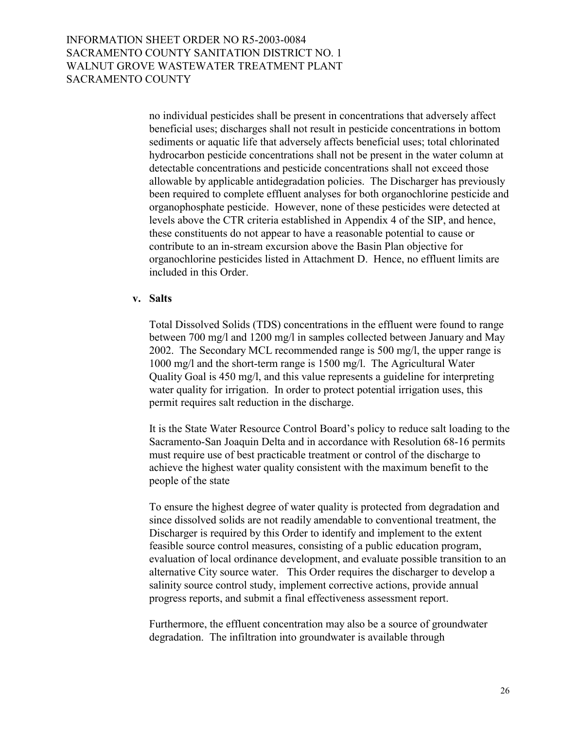no individual pesticides shall be present in concentrations that adversely affect beneficial uses; discharges shall not result in pesticide concentrations in bottom sediments or aquatic life that adversely affects beneficial uses; total chlorinated hydrocarbon pesticide concentrations shall not be present in the water column at detectable concentrations and pesticide concentrations shall not exceed those allowable by applicable antidegradation policies. The Discharger has previously been required to complete effluent analyses for both organochlorine pesticide and organophosphate pesticide. However, none of these pesticides were detected at levels above the CTR criteria established in Appendix 4 of the SIP, and hence, these constituents do not appear to have a reasonable potential to cause or contribute to an in-stream excursion above the Basin Plan objective for organochlorine pesticides listed in Attachment D. Hence, no effluent limits are included in this Order.

#### **v. Salts**

 Total Dissolved Solids (TDS) concentrations in the effluent were found to range between 700 mg/l and 1200 mg/l in samples collected between January and May 2002. The Secondary MCL recommended range is 500 mg/l, the upper range is 1000 mg/l and the short-term range is 1500 mg/l. The Agricultural Water Quality Goal is 450 mg/l, and this value represents a guideline for interpreting water quality for irrigation. In order to protect potential irrigation uses, this permit requires salt reduction in the discharge.

It is the State Water Resource Control Board's policy to reduce salt loading to the Sacramento-San Joaquin Delta and in accordance with Resolution 68-16 permits must require use of best practicable treatment or control of the discharge to achieve the highest water quality consistent with the maximum benefit to the people of the state

 To ensure the highest degree of water quality is protected from degradation and since dissolved solids are not readily amendable to conventional treatment, the Discharger is required by this Order to identify and implement to the extent feasible source control measures, consisting of a public education program, evaluation of local ordinance development, and evaluate possible transition to an alternative City source water. This Order requires the discharger to develop a salinity source control study, implement corrective actions, provide annual progress reports, and submit a final effectiveness assessment report.

 Furthermore, the effluent concentration may also be a source of groundwater degradation. The infiltration into groundwater is available through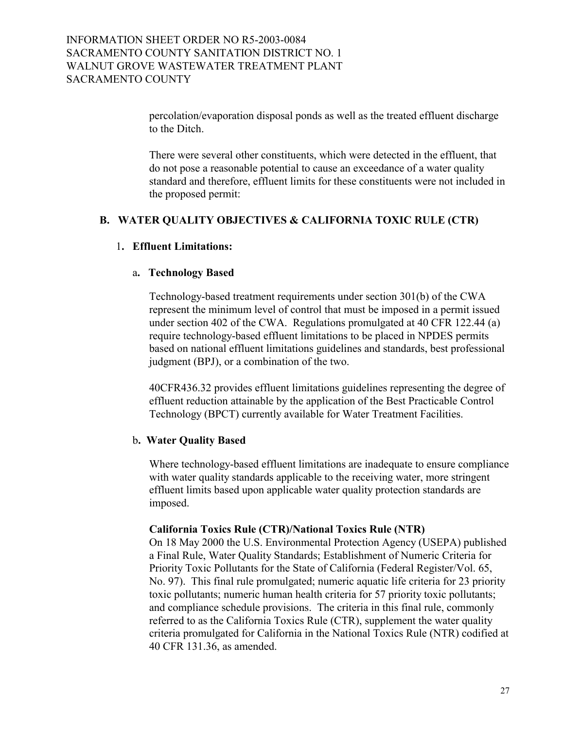percolation/evaporation disposal ponds as well as the treated effluent discharge to the Ditch.

There were several other constituents, which were detected in the effluent, that do not pose a reasonable potential to cause an exceedance of a water quality standard and therefore, effluent limits for these constituents were not included in the proposed permit:

### **B. WATER QUALITY OBJECTIVES & CALIFORNIA TOXIC RULE (CTR)**

### 1**. Effluent Limitations:**

#### a**. Technology Based**

Technology-based treatment requirements under section 301(b) of the CWA represent the minimum level of control that must be imposed in a permit issued under section 402 of the CWA. Regulations promulgated at 40 CFR 122.44 (a) require technology-based effluent limitations to be placed in NPDES permits based on national effluent limitations guidelines and standards, best professional judgment (BPJ), or a combination of the two.

40CFR436.32 provides effluent limitations guidelines representing the degree of effluent reduction attainable by the application of the Best Practicable Control Technology (BPCT) currently available for Water Treatment Facilities.

### b**. Water Quality Based**

Where technology-based effluent limitations are inadequate to ensure compliance with water quality standards applicable to the receiving water, more stringent effluent limits based upon applicable water quality protection standards are imposed.

#### **California Toxics Rule (CTR)/National Toxics Rule (NTR)**

On 18 May 2000 the U.S. Environmental Protection Agency (USEPA) published a Final Rule, Water Quality Standards; Establishment of Numeric Criteria for Priority Toxic Pollutants for the State of California (Federal Register/Vol. 65, No. 97). This final rule promulgated; numeric aquatic life criteria for 23 priority toxic pollutants; numeric human health criteria for 57 priority toxic pollutants; and compliance schedule provisions. The criteria in this final rule, commonly referred to as the California Toxics Rule (CTR), supplement the water quality criteria promulgated for California in the National Toxics Rule (NTR) codified at 40 CFR 131.36, as amended.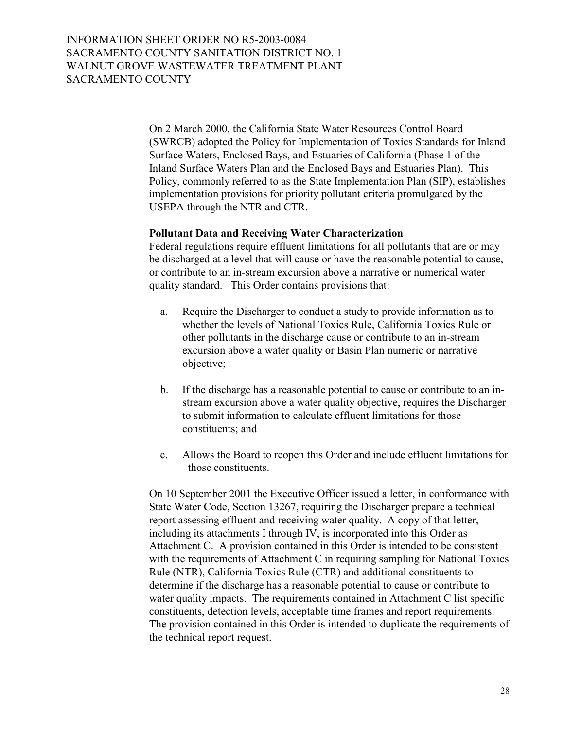On 2 March 2000, the California State Water Resources Control Board (SWRCB) adopted the Policy for Implementation of Toxics Standards for Inland Surface Waters, Enclosed Bays, and Estuaries of California (Phase 1 of the Inland Surface Waters Plan and the Enclosed Bays and Estuaries Plan). This Policy, commonly referred to as the State Implementation Plan (SIP), establishes implementation provisions for priority pollutant criteria promulgated by the USEPA through the NTR and CTR.

### **Pollutant Data and Receiving Water Characterization**

Federal regulations require effluent limitations for all pollutants that are or may be discharged at a level that will cause or have the reasonable potential to cause, or contribute to an in-stream excursion above a narrative or numerical water quality standard. This Order contains provisions that:

- a. Require the Discharger to conduct a study to provide information as to whether the levels of National Toxics Rule, California Toxics Rule or other pollutants in the discharge cause or contribute to an in-stream excursion above a water quality or Basin Plan numeric or narrative objective;
- b. If the discharge has a reasonable potential to cause or contribute to an instream excursion above a water quality objective, requires the Discharger to submit information to calculate effluent limitations for those constituents; and
- c. Allows the Board to reopen this Order and include effluent limitations for those constituents.

On 10 September 2001 the Executive Officer issued a letter, in conformance with State Water Code, Section 13267, requiring the Discharger prepare a technical report assessing effluent and receiving water quality. A copy of that letter, including its attachments I through IV, is incorporated into this Order as Attachment C. A provision contained in this Order is intended to be consistent with the requirements of Attachment C in requiring sampling for National Toxics Rule (NTR), California Toxics Rule (CTR) and additional constituents to determine if the discharge has a reasonable potential to cause or contribute to water quality impacts. The requirements contained in Attachment C list specific constituents, detection levels, acceptable time frames and report requirements. The provision contained in this Order is intended to duplicate the requirements of the technical report request.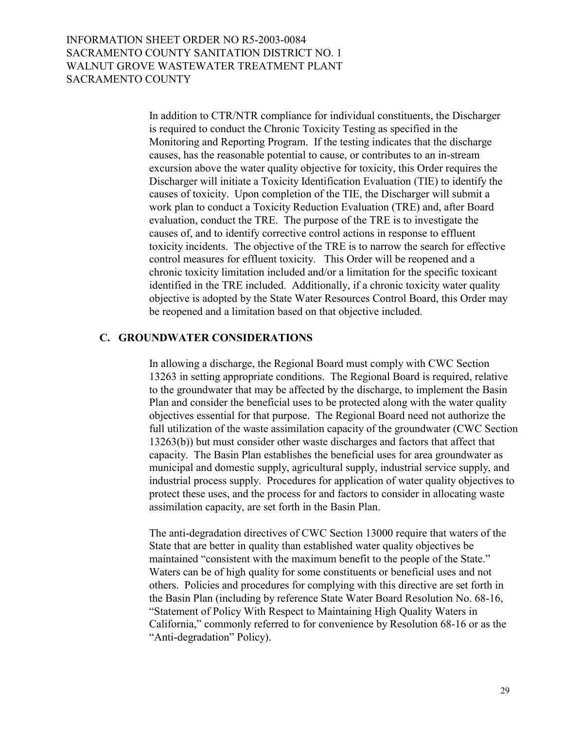In addition to CTR/NTR compliance for individual constituents, the Discharger is required to conduct the Chronic Toxicity Testing as specified in the Monitoring and Reporting Program. If the testing indicates that the discharge causes, has the reasonable potential to cause, or contributes to an in-stream excursion above the water quality objective for toxicity, this Order requires the Discharger will initiate a Toxicity Identification Evaluation (TIE) to identify the causes of toxicity. Upon completion of the TIE, the Discharger will submit a work plan to conduct a Toxicity Reduction Evaluation (TRE) and, after Board evaluation, conduct the TRE. The purpose of the TRE is to investigate the causes of, and to identify corrective control actions in response to effluent toxicity incidents. The objective of the TRE is to narrow the search for effective control measures for effluent toxicity. This Order will be reopened and a chronic toxicity limitation included and/or a limitation for the specific toxicant identified in the TRE included. Additionally, if a chronic toxicity water quality objective is adopted by the State Water Resources Control Board, this Order may be reopened and a limitation based on that objective included.

#### **C. GROUNDWATER CONSIDERATIONS**

In allowing a discharge, the Regional Board must comply with CWC Section 13263 in setting appropriate conditions. The Regional Board is required, relative to the groundwater that may be affected by the discharge, to implement the Basin Plan and consider the beneficial uses to be protected along with the water quality objectives essential for that purpose. The Regional Board need not authorize the full utilization of the waste assimilation capacity of the groundwater (CWC Section 13263(b)) but must consider other waste discharges and factors that affect that capacity. The Basin Plan establishes the beneficial uses for area groundwater as municipal and domestic supply, agricultural supply, industrial service supply, and industrial process supply. Procedures for application of water quality objectives to protect these uses, and the process for and factors to consider in allocating waste assimilation capacity, are set forth in the Basin Plan.

The anti-degradation directives of CWC Section 13000 require that waters of the State that are better in quality than established water quality objectives be maintained "consistent with the maximum benefit to the people of the State." Waters can be of high quality for some constituents or beneficial uses and not others. Policies and procedures for complying with this directive are set forth in the Basin Plan (including by reference State Water Board Resolution No. 68-16, ìStatement of Policy With Respect to Maintaining High Quality Waters in California," commonly referred to for convenience by Resolution 68-16 or as the "Anti-degradation" Policy).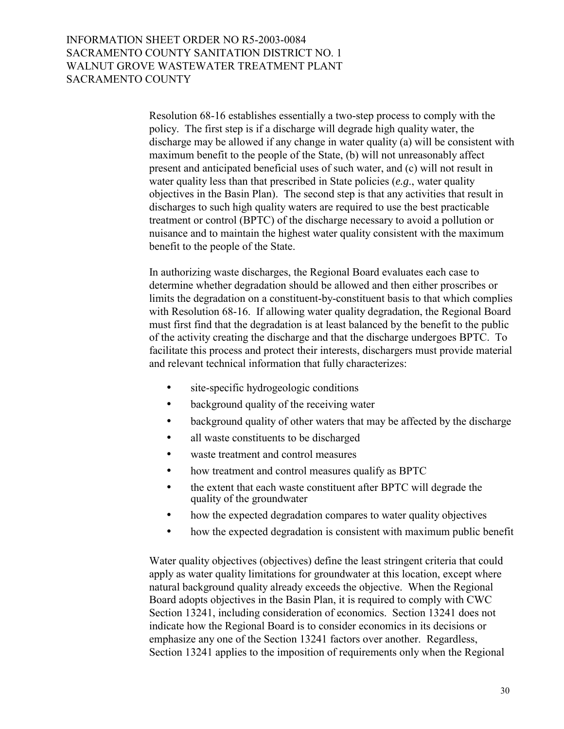Resolution 68-16 establishes essentially a two-step process to comply with the policy. The first step is if a discharge will degrade high quality water, the discharge may be allowed if any change in water quality (a) will be consistent with maximum benefit to the people of the State, (b) will not unreasonably affect present and anticipated beneficial uses of such water, and (c) will not result in water quality less than that prescribed in State policies (*e.g*., water quality objectives in the Basin Plan). The second step is that any activities that result in discharges to such high quality waters are required to use the best practicable treatment or control (BPTC) of the discharge necessary to avoid a pollution or nuisance and to maintain the highest water quality consistent with the maximum benefit to the people of the State.

In authorizing waste discharges, the Regional Board evaluates each case to determine whether degradation should be allowed and then either proscribes or limits the degradation on a constituent-by-constituent basis to that which complies with Resolution 68-16. If allowing water quality degradation, the Regional Board must first find that the degradation is at least balanced by the benefit to the public of the activity creating the discharge and that the discharge undergoes BPTC. To facilitate this process and protect their interests, dischargers must provide material and relevant technical information that fully characterizes:

- site-specific hydrogeologic conditions
- background quality of the receiving water
- background quality of other waters that may be affected by the discharge
- all waste constituents to be discharged
- waste treatment and control measures
- how treatment and control measures qualify as BPTC
- the extent that each waste constituent after BPTC will degrade the quality of the groundwater
- how the expected degradation compares to water quality objectives
- how the expected degradation is consistent with maximum public benefit

Water quality objectives (objectives) define the least stringent criteria that could apply as water quality limitations for groundwater at this location, except where natural background quality already exceeds the objective. When the Regional Board adopts objectives in the Basin Plan, it is required to comply with CWC Section 13241, including consideration of economics. Section 13241 does not indicate how the Regional Board is to consider economics in its decisions or emphasize any one of the Section 13241 factors over another. Regardless, Section 13241 applies to the imposition of requirements only when the Regional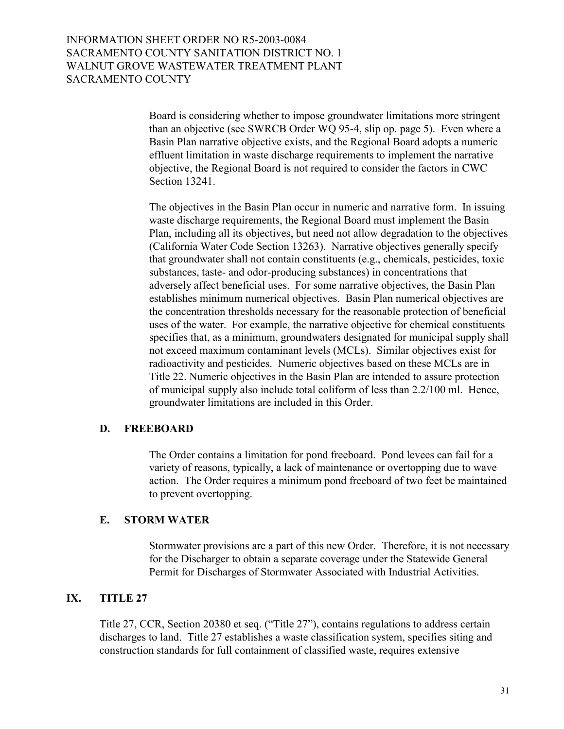Board is considering whether to impose groundwater limitations more stringent than an objective (see SWRCB Order WQ 95-4, slip op. page 5). Even where a Basin Plan narrative objective exists, and the Regional Board adopts a numeric effluent limitation in waste discharge requirements to implement the narrative objective, the Regional Board is not required to consider the factors in CWC Section 13241.

The objectives in the Basin Plan occur in numeric and narrative form. In issuing waste discharge requirements, the Regional Board must implement the Basin Plan, including all its objectives, but need not allow degradation to the objectives (California Water Code Section 13263). Narrative objectives generally specify that groundwater shall not contain constituents (e.g., chemicals, pesticides, toxic substances, taste- and odor-producing substances) in concentrations that adversely affect beneficial uses. For some narrative objectives, the Basin Plan establishes minimum numerical objectives. Basin Plan numerical objectives are the concentration thresholds necessary for the reasonable protection of beneficial uses of the water. For example, the narrative objective for chemical constituents specifies that, as a minimum, groundwaters designated for municipal supply shall not exceed maximum contaminant levels (MCLs). Similar objectives exist for radioactivity and pesticides. Numeric objectives based on these MCLs are in Title 22. Numeric objectives in the Basin Plan are intended to assure protection of municipal supply also include total coliform of less than 2.2/100 ml. Hence, groundwater limitations are included in this Order.

### **D. FREEBOARD**

The Order contains a limitation for pond freeboard. Pond levees can fail for a variety of reasons, typically, a lack of maintenance or overtopping due to wave action. The Order requires a minimum pond freeboard of two feet be maintained to prevent overtopping.

### **E. STORM WATER**

Stormwater provisions are a part of this new Order. Therefore, it is not necessary for the Discharger to obtain a separate coverage under the Statewide General Permit for Discharges of Stormwater Associated with Industrial Activities.

## **IX. TITLE 27**

Title 27, CCR, Section 20380 et seq. ("Title 27"), contains regulations to address certain discharges to land. Title 27 establishes a waste classification system, specifies siting and construction standards for full containment of classified waste, requires extensive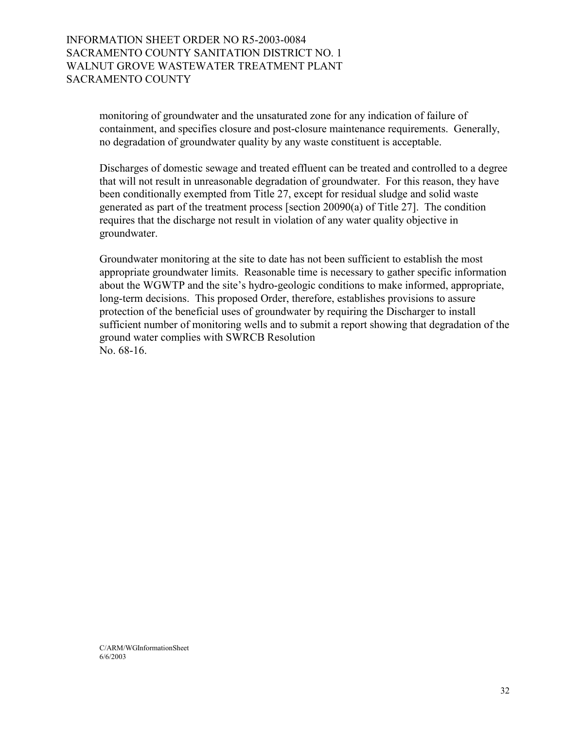> monitoring of groundwater and the unsaturated zone for any indication of failure of containment, and specifies closure and post-closure maintenance requirements. Generally, no degradation of groundwater quality by any waste constituent is acceptable.

Discharges of domestic sewage and treated effluent can be treated and controlled to a degree that will not result in unreasonable degradation of groundwater. For this reason, they have been conditionally exempted from Title 27, except for residual sludge and solid waste generated as part of the treatment process [section 20090(a) of Title 27]. The condition requires that the discharge not result in violation of any water quality objective in groundwater.

Groundwater monitoring at the site to date has not been sufficient to establish the most appropriate groundwater limits. Reasonable time is necessary to gather specific information about the WGWTP and the site's hydro-geologic conditions to make informed, appropriate, long-term decisions. This proposed Order, therefore, establishes provisions to assure protection of the beneficial uses of groundwater by requiring the Discharger to install sufficient number of monitoring wells and to submit a report showing that degradation of the ground water complies with SWRCB Resolution No. 68-16.